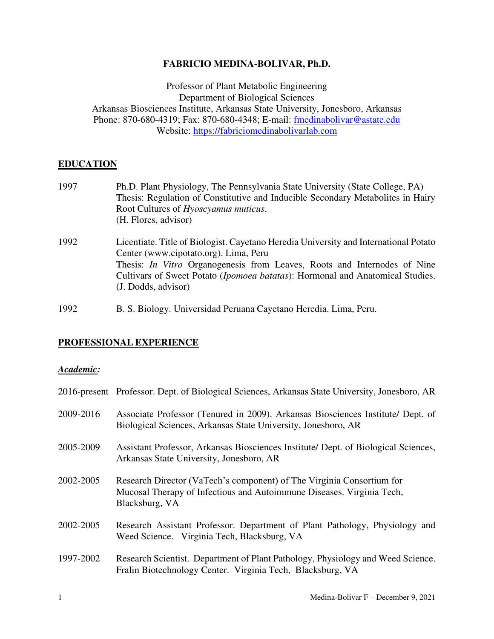# **FABRICIO MEDINA-BOLIVAR, Ph.D.**

Professor of Plant Metabolic Engineering Department of Biological Sciences Arkansas Biosciences Institute, Arkansas State University, Jonesboro, Arkansas Phone: 870-680-4319; Fax: 870-680-4348; E-mail: fmedinabolivar@astate.edu Website: [https://fabriciomedinabolivarlab.com](https://fabriciomedinabolivarlab.com/) 

# **EDUCATION**

| 1997 | Ph.D. Plant Physiology, The Pennsylvania State University (State College, PA)<br>Thesis: Regulation of Constitutive and Inducible Secondary Metabolites in Hairy<br>Root Cultures of Hyoscyamus muticus.<br>(H. Flores, advisor)                                                                                                  |
|------|-----------------------------------------------------------------------------------------------------------------------------------------------------------------------------------------------------------------------------------------------------------------------------------------------------------------------------------|
| 1992 | Licentiate. Title of Biologist. Cayetano Heredia University and International Potato<br>Center (www.cipotato.org). Lima, Peru<br>Thesis: <i>In Vitro</i> Organogenesis from Leaves, Roots and Internodes of Nine<br>Cultivars of Sweet Potato ( <i>Ipomoea batatas</i> ): Hormonal and Anatomical Studies.<br>(J. Dodds, advisor) |

1992 B. S. Biology. Universidad Peruana Cayetano Heredia. Lima, Peru.

# **PROFESSIONAL EXPERIENCE**

### *Academic:*

|           | 2016-present Professor. Dept. of Biological Sciences, Arkansas State University, Jonesboro, AR                                                                   |
|-----------|------------------------------------------------------------------------------------------------------------------------------------------------------------------|
| 2009-2016 | Associate Professor (Tenured in 2009). Arkansas Biosciences Institute/ Dept. of<br>Biological Sciences, Arkansas State University, Jonesboro, AR                 |
| 2005-2009 | Assistant Professor, Arkansas Biosciences Institute/ Dept. of Biological Sciences,<br>Arkansas State University, Jonesboro, AR                                   |
| 2002-2005 | Research Director (VaTech's component) of The Virginia Consortium for<br>Mucosal Therapy of Infectious and Autoimmune Diseases. Virginia Tech,<br>Blacksburg, VA |
| 2002-2005 | Research Assistant Professor. Department of Plant Pathology, Physiology and<br>Weed Science. Virginia Tech, Blacksburg, VA                                       |
| 1997-2002 | Research Scientist. Department of Plant Pathology, Physiology and Weed Science.<br>Fralin Biotechnology Center. Virginia Tech, Blacksburg, VA                    |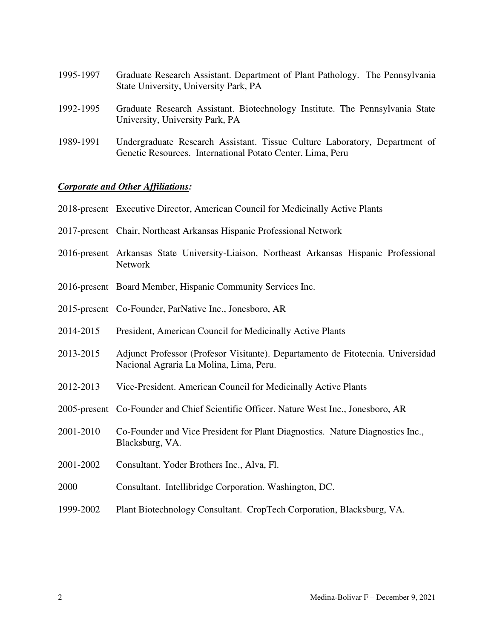| 1995-1997 | Graduate Research Assistant. Department of Plant Pathology. The Pennsylvania<br>State University, University Park, PA |
|-----------|-----------------------------------------------------------------------------------------------------------------------|
| 1992-1995 | Graduate Research Assistant. Biotechnology Institute. The Pennsylvania State<br>University, University Park, PA       |
| 1989-1991 | Undergraduate Research Assistant. Tissue Culture Laboratory, Department of                                            |

Genetic Resources. International Potato Center. Lima, Peru

# *Corporate and Other Affiliations:*

|           | 2018-present Executive Director, American Council for Medicinally Active Plants                                            |  |  |  |  |  |
|-----------|----------------------------------------------------------------------------------------------------------------------------|--|--|--|--|--|
|           | 2017-present Chair, Northeast Arkansas Hispanic Professional Network                                                       |  |  |  |  |  |
|           | 2016-present Arkansas State University-Liaison, Northeast Arkansas Hispanic Professional<br>Network                        |  |  |  |  |  |
|           | 2016-present Board Member, Hispanic Community Services Inc.                                                                |  |  |  |  |  |
|           | 2015-present Co-Founder, ParNative Inc., Jonesboro, AR                                                                     |  |  |  |  |  |
| 2014-2015 | President, American Council for Medicinally Active Plants                                                                  |  |  |  |  |  |
| 2013-2015 | Adjunct Professor (Profesor Visitante). Departamento de Fitotecnia. Universidad<br>Nacional Agraria La Molina, Lima, Peru. |  |  |  |  |  |
| 2012-2013 | Vice-President. American Council for Medicinally Active Plants                                                             |  |  |  |  |  |
|           | 2005-present Co-Founder and Chief Scientific Officer. Nature West Inc., Jonesboro, AR                                      |  |  |  |  |  |
| 2001-2010 | Co-Founder and Vice President for Plant Diagnostics. Nature Diagnostics Inc.,<br>Blacksburg, VA.                           |  |  |  |  |  |
| 2001-2002 | Consultant. Yoder Brothers Inc., Alva, Fl.                                                                                 |  |  |  |  |  |
| 2000      | Consultant. Intellibridge Corporation. Washington, DC.                                                                     |  |  |  |  |  |
| 1999-2002 | Plant Biotechnology Consultant. CropTech Corporation, Blacksburg, VA.                                                      |  |  |  |  |  |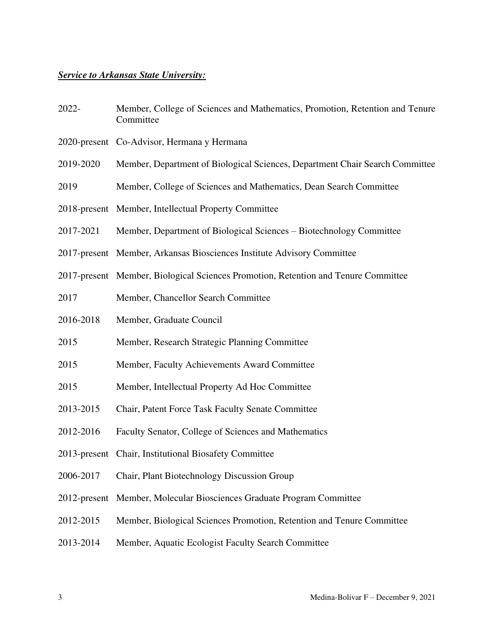## *Service to Arkansas State University:*

- 2022- Member, College of Sciences and Mathematics, Promotion, Retention and Tenure **Committee**
- 2020-present Co-Advisor, Hermana y Hermana
- 2019-2020 Member, Department of Biological Sciences, Department Chair Search Committee
- 2019 Member, College of Sciences and Mathematics, Dean Search Committee
- 2018-present Member, Intellectual Property Committee
- 2017-2021 Member, Department of Biological Sciences Biotechnology Committee
- 2017-present Member, Arkansas Biosciences Institute Advisory Committee
- 2017-present Member, Biological Sciences Promotion, Retention and Tenure Committee
- 2017 Member, Chancellor Search Committee
- 2016-2018 Member, Graduate Council
- 2015 Member, Research Strategic Planning Committee
- 2015 Member, Faculty Achievements Award Committee
- 2015 Member, Intellectual Property Ad Hoc Committee
- 2013-2015 Chair, Patent Force Task Faculty Senate Committee
- 2012-2016 Faculty Senator, College of Sciences and Mathematics
- 2013-present Chair, Institutional Biosafety Committee
- 2006-2017 Chair, Plant Biotechnology Discussion Group
- 2012-present Member, Molecular Biosciences Graduate Program Committee
- 2012-2015 Member, Biological Sciences Promotion, Retention and Tenure Committee
- 2013-2014 Member, Aquatic Ecologist Faculty Search Committee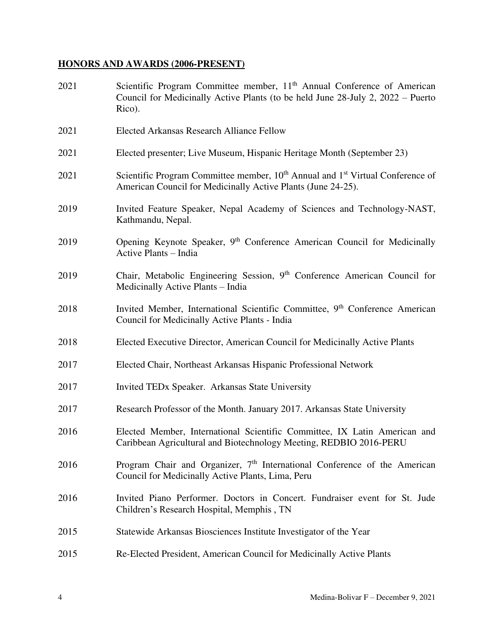# **HONORS AND AWARDS (2006-PRESENT)**

| 2021 | Scientific Program Committee member, 11 <sup>th</sup> Annual Conference of American<br>Council for Medicinally Active Plants (to be held June 28-July 2, 2022 – Puerto<br>Rico). |
|------|----------------------------------------------------------------------------------------------------------------------------------------------------------------------------------|
| 2021 | Elected Arkansas Research Alliance Fellow                                                                                                                                        |
| 2021 | Elected presenter; Live Museum, Hispanic Heritage Month (September 23)                                                                                                           |
| 2021 | Scientific Program Committee member, 10 <sup>th</sup> Annual and 1 <sup>st</sup> Virtual Conference of<br>American Council for Medicinally Active Plants (June 24-25).           |
| 2019 | Invited Feature Speaker, Nepal Academy of Sciences and Technology-NAST,<br>Kathmandu, Nepal.                                                                                     |
| 2019 | Opening Keynote Speaker, 9 <sup>th</sup> Conference American Council for Medicinally<br>Active Plants - India                                                                    |
| 2019 | Chair, Metabolic Engineering Session, 9 <sup>th</sup> Conference American Council for<br>Medicinally Active Plants - India                                                       |
| 2018 | Invited Member, International Scientific Committee, 9 <sup>th</sup> Conference American<br>Council for Medicinally Active Plants - India                                         |
| 2018 | Elected Executive Director, American Council for Medicinally Active Plants                                                                                                       |
| 2017 | Elected Chair, Northeast Arkansas Hispanic Professional Network                                                                                                                  |
| 2017 | Invited TEDx Speaker. Arkansas State University                                                                                                                                  |
| 2017 | Research Professor of the Month. January 2017. Arkansas State University                                                                                                         |
| 2016 | Elected Member, International Scientific Committee, IX Latin American and<br>Caribbean Agricultural and Biotechnology Meeting, REDBIO 2016-PERU                                  |
| 2016 | Program Chair and Organizer, 7 <sup>th</sup> International Conference of the American<br>Council for Medicinally Active Plants, Lima, Peru                                       |
| 2016 | Invited Piano Performer. Doctors in Concert. Fundraiser event for St. Jude<br>Children's Research Hospital, Memphis, TN                                                          |
| 2015 | Statewide Arkansas Biosciences Institute Investigator of the Year                                                                                                                |
| 2015 | Re-Elected President, American Council for Medicinally Active Plants                                                                                                             |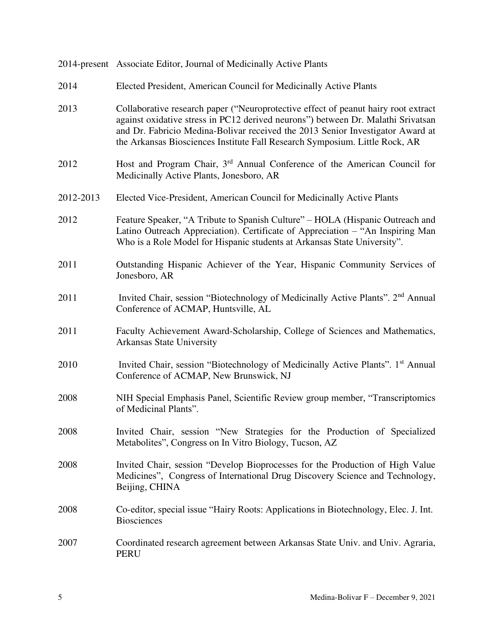|           | 2014-present Associate Editor, Journal of Medicinally Active Plants                                                                                                                                                                                                                                                                     |
|-----------|-----------------------------------------------------------------------------------------------------------------------------------------------------------------------------------------------------------------------------------------------------------------------------------------------------------------------------------------|
| 2014      | Elected President, American Council for Medicinally Active Plants                                                                                                                                                                                                                                                                       |
| 2013      | Collaborative research paper ("Neuroprotective effect of peanut hairy root extract<br>against oxidative stress in PC12 derived neurons") between Dr. Malathi Srivatsan<br>and Dr. Fabricio Medina-Bolivar received the 2013 Senior Investigator Award at<br>the Arkansas Biosciences Institute Fall Research Symposium. Little Rock, AR |
| 2012      | Host and Program Chair, 3 <sup>rd</sup> Annual Conference of the American Council for<br>Medicinally Active Plants, Jonesboro, AR                                                                                                                                                                                                       |
| 2012-2013 | Elected Vice-President, American Council for Medicinally Active Plants                                                                                                                                                                                                                                                                  |
| 2012      | Feature Speaker, "A Tribute to Spanish Culture" – HOLA (Hispanic Outreach and<br>Latino Outreach Appreciation). Certificate of Appreciation – "An Inspiring Man<br>Who is a Role Model for Hispanic students at Arkansas State University".                                                                                             |
| 2011      | Outstanding Hispanic Achiever of the Year, Hispanic Community Services of<br>Jonesboro, AR                                                                                                                                                                                                                                              |
| 2011      | Invited Chair, session "Biotechnology of Medicinally Active Plants". 2 <sup>nd</sup> Annual<br>Conference of ACMAP, Huntsville, AL                                                                                                                                                                                                      |
| 2011      | Faculty Achievement Award-Scholarship, College of Sciences and Mathematics,<br><b>Arkansas State University</b>                                                                                                                                                                                                                         |
| 2010      | Invited Chair, session "Biotechnology of Medicinally Active Plants". 1 <sup>st</sup> Annual<br>Conference of ACMAP, New Brunswick, NJ                                                                                                                                                                                                   |
| 2008      | NIH Special Emphasis Panel, Scientific Review group member, "Transcriptomics"<br>of Medicinal Plants".                                                                                                                                                                                                                                  |
| 2008      | Invited Chair, session "New Strategies for the Production of Specialized<br>Metabolites", Congress on In Vitro Biology, Tucson, AZ                                                                                                                                                                                                      |
| 2008      | Invited Chair, session "Develop Bioprocesses for the Production of High Value<br>Medicines", Congress of International Drug Discovery Science and Technology,<br>Beijing, CHINA                                                                                                                                                         |
| 2008      | Co-editor, special issue "Hairy Roots: Applications in Biotechnology, Elec. J. Int.<br><b>Biosciences</b>                                                                                                                                                                                                                               |
| 2007      | Coordinated research agreement between Arkansas State Univ. and Univ. Agraria,<br><b>PERU</b>                                                                                                                                                                                                                                           |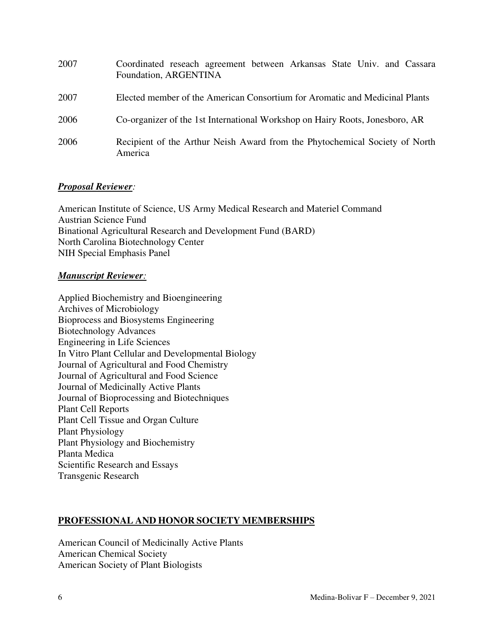| 2007 | Coordinated reseach agreement between Arkansas State Univ. and Cassara<br>Foundation, ARGENTINA |
|------|-------------------------------------------------------------------------------------------------|
| 2007 | Elected member of the American Consortium for Aromatic and Medicinal Plants                     |
| 2006 | Co-organizer of the 1st International Workshop on Hairy Roots, Jonesboro, AR                    |
| 2006 | Recipient of the Arthur Neish Award from the Phytochemical Society of North<br>America          |

# *Proposal Reviewer:*

American Institute of Science, US Army Medical Research and Materiel Command Austrian Science Fund Binational Agricultural Research and Development Fund (BARD) North Carolina Biotechnology Center NIH Special Emphasis Panel

## *Manuscript Reviewer:*

Applied Biochemistry and Bioengineering Archives of Microbiology Bioprocess and Biosystems Engineering Biotechnology Advances Engineering in Life Sciences In Vitro Plant Cellular and Developmental Biology Journal of Agricultural and Food Chemistry Journal of Agricultural and Food Science Journal of Medicinally Active Plants Journal of Bioprocessing and Biotechniques Plant Cell Reports Plant Cell Tissue and Organ Culture Plant Physiology Plant Physiology and Biochemistry Planta Medica Scientific Research and Essays Transgenic Research

# **PROFESSIONAL AND HONOR SOCIETY MEMBERSHIPS**

American Council of Medicinally Active Plants American Chemical Society American Society of Plant Biologists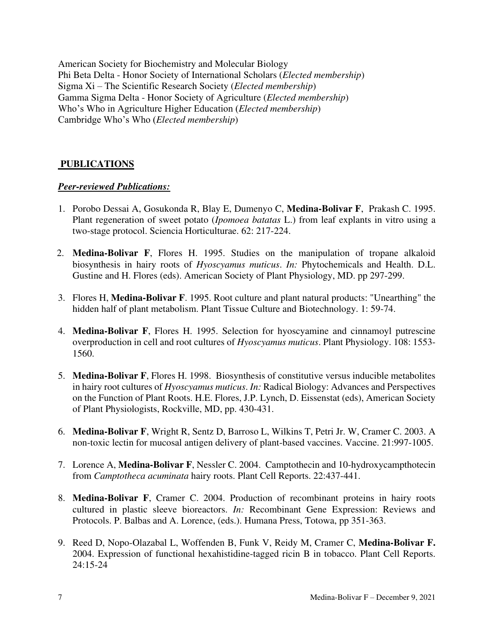American Society for Biochemistry and Molecular Biology Phi Beta Delta - Honor Society of International Scholars (*Elected membership*) Sigma Xi – The Scientific Research Society (*Elected membership*) Gamma Sigma Delta - Honor Society of Agriculture (*Elected membership*) Who's Who in Agriculture Higher Education (*Elected membership*) Cambridge Who's Who (*Elected membership*)

# **PUBLICATIONS**

# *Peer-reviewed Publications:*

- 1. Porobo Dessai A, Gosukonda R, Blay E, Dumenyo C, **Medina-Bolivar F**, Prakash C. 1995. Plant regeneration of sweet potato (*Ipomoea batatas* L.) from leaf explants in vitro using a two-stage protocol. Sciencia Horticulturae. 62: 217-224.
- 2. **Medina-Bolivar F**, Flores H. 1995. Studies on the manipulation of tropane alkaloid biosynthesis in hairy roots of *Hyoscyamus muticus*. *In:* Phytochemicals and Health. D.L. Gustine and H. Flores (eds). American Society of Plant Physiology, MD. pp 297-299.
- 3. Flores H, **Medina-Bolivar F**. 1995. Root culture and plant natural products: "Unearthing" the hidden half of plant metabolism. Plant Tissue Culture and Biotechnology. 1: 59-74.
- 4. **Medina-Bolivar F**, Flores H. 1995. Selection for hyoscyamine and cinnamoyl putrescine overproduction in cell and root cultures of *Hyoscyamus muticus*. Plant Physiology. 108: 1553- 1560.
- 5. **Medina-Bolivar F**, Flores H. 1998. Biosynthesis of constitutive versus inducible metabolites in hairy root cultures of *Hyoscyamus muticus*. *In:* Radical Biology: Advances and Perspectives on the Function of Plant Roots. H.E. Flores, J.P. Lynch, D. Eissenstat (eds), American Society of Plant Physiologists, Rockville, MD, pp. 430-431.
- 6. **Medina-Bolivar F**, Wright R, Sentz D, Barroso L, Wilkins T, Petri Jr. W, Cramer C. 2003. A non-toxic lectin for mucosal antigen delivery of plant-based vaccines. Vaccine. 21:997-1005.
- 7. Lorence A, **Medina-Bolivar F**, Nessler C. 2004. Camptothecin and 10-hydroxycampthotecin from *Camptotheca acuminata* hairy roots. Plant Cell Reports. 22:437-441.
- 8. **Medina-Bolivar F**, Cramer C. 2004. Production of recombinant proteins in hairy roots cultured in plastic sleeve bioreactors. *In:* Recombinant Gene Expression: Reviews and Protocols. P. Balbas and A. Lorence, (eds.). Humana Press, Totowa, pp 351-363.
- 9. Reed D, Nopo-Olazabal L, Woffenden B, Funk V, Reidy M, Cramer C, **Medina-Bolivar F.** 2004. Expression of functional hexahistidine-tagged ricin B in tobacco. Plant Cell Reports. 24:15-24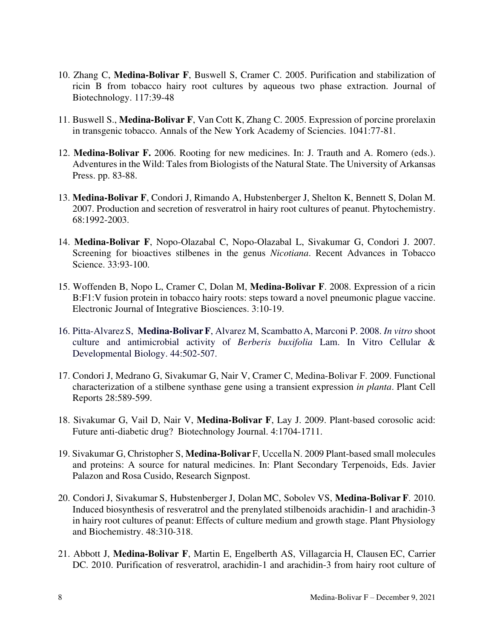- 10. Zhang C, **Medina-Bolivar F**, Buswell S, Cramer C. 2005. Purification and stabilization of ricin B from tobacco hairy root cultures by aqueous two phase extraction. Journal of Biotechnology. 117:39-48
- 11. Buswell S., **Medina-Bolivar F**, Van Cott K, Zhang C. 2005. Expression of porcine prorelaxin in transgenic tobacco. Annals of the New York Academy of Sciencies. 1041:77-81.
- 12. **Medina-Bolivar F.** 2006. Rooting for new medicines. In: J. Trauth and A. Romero (eds.). Adventures in the Wild: Tales from Biologists of the Natural State. The University of Arkansas Press. pp. 83-88.
- 13. **Medina-Bolivar F**, Condori J, Rimando A, Hubstenberger J, Shelton K, Bennett S, Dolan M. 2007. Production and secretion of resveratrol in hairy root cultures of peanut. Phytochemistry. 68:1992-2003.
- 14. **Medina-Bolivar F**, Nopo-Olazabal C, Nopo-Olazabal L, Sivakumar G, Condori J. 2007. Screening for bioactives stilbenes in the genus *Nicotiana*. Recent Advances in Tobacco Science. 33:93-100.
- 15. Woffenden B, Nopo L, Cramer C, Dolan M, **Medina-Bolivar F**. 2008. Expression of a ricin B:F1:V fusion protein in tobacco hairy roots: steps toward a novel pneumonic plague vaccine. Electronic Journal of Integrative Biosciences. 3:10-19.
- 16. Pitta-Alvarez S, **Medina-BolivarF**, Alvarez M, Scambatto A, Marconi P. 2008. *In vitro* shoot culture and antimicrobial activity of *Berberis buxifolia* Lam. In Vitro Cellular & Developmental Biology. 44:502-507.
- 17. Condori J, Medrano G, Sivakumar G, Nair V, Cramer C, Medina-Bolivar F. 2009. Functional characterization of a stilbene synthase gene using a transient expression *in planta*. Plant Cell Reports 28:589-599.
- 18. Sivakumar G, Vail D, Nair V, **Medina-Bolivar F**, Lay J. 2009. Plant-based corosolic acid: Future anti-diabetic drug? Biotechnology Journal. 4:1704-1711.
- 19. Sivakumar G, Christopher S, **Medina-Bolivar** F, UccellaN. 2009 Plant-based small molecules and proteins: A source for natural medicines. In: Plant Secondary Terpenoids, Eds. Javier Palazon and Rosa Cusido, Research Signpost.
- 20. CondoriJ, Sivakumar S, Hubstenberger J, Dolan MC, Sobolev VS, **Medina-Bolivar F**. 2010. Induced biosynthesis of resveratrol and the prenylated stilbenoids arachidin-1 and arachidin-3 in hairy root cultures of peanut: Effects of culture medium and growth stage. Plant Physiology and Biochemistry. 48:310-318.
- 21. Abbott J, **Medina-Bolivar F**, Martin E, Engelberth AS, Villagarcia H, Clausen EC, Carrier DC. 2010. Purification of resveratrol, arachidin-1 and arachidin-3 from hairy root culture of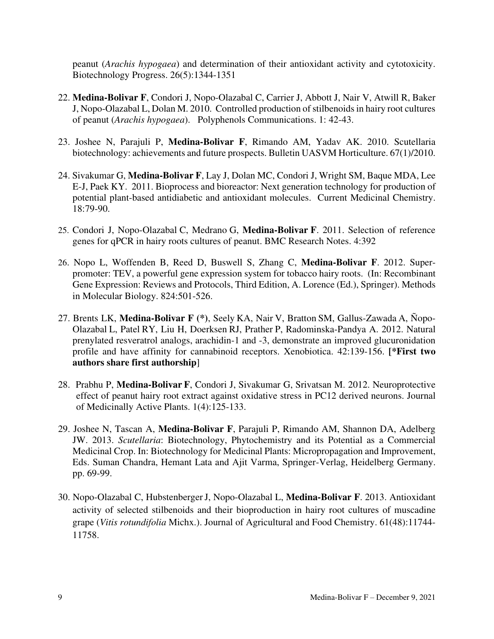peanut (*Arachis hypogaea*) and determination of their antioxidant activity and cytotoxicity. Biotechnology Progress. 26(5):1344-1351

- 22. **Medina-Bolivar F**, Condori J, Nopo-Olazabal C, Carrier J, Abbott J, Nair V, Atwill R, Baker J, Nopo-Olazabal L, Dolan M. 2010. Controlled production of stilbenoids in hairy root cultures of peanut (*Arachis hypogaea*). Polyphenols Communications. 1: 42-43.
- 23. Joshee N, Parajuli P, **Medina-Bolivar F**, Rimando AM, Yadav AK. 2010. Scutellaria biotechnology: achievements and future prospects. Bulletin UASVM Horticulture. 67(1)/2010.
- 24. Sivakumar G, **Medina-Bolivar F**, Lay J, Dolan MC, Condori J, Wright SM, Baque MDA, Lee E-J, Paek KY. 2011. Bioprocess and bioreactor: Next generation technology for production of potential plant-based antidiabetic and antioxidant molecules. Current Medicinal Chemistry. 18:79-90.
- 25. Condori J, Nopo-Olazabal C, Medrano G, **Medina-Bolivar F**. 2011. Selection of reference genes for qPCR in hairy roots cultures of peanut. BMC Research Notes. 4:392
- 26. Nopo L, Woffenden B, Reed D, Buswell S, Zhang C, **Medina-Bolivar F**. 2012. Superpromoter: TEV, a powerful gene expression system for tobacco hairy roots. (In: Recombinant Gene Expression: Reviews and Protocols, Third Edition, A. Lorence (Ed.), Springer). Methods in Molecular Biology. 824:501-526.
- 27. Brents LK, **Medina-Bolivar F (\*)**, Seely KA, Nair V, Bratton SM, Gallus-Zawada A, Ñopo-Olazabal L, Patel RY, Liu H, Doerksen RJ, Prather P, Radominska-Pandya A. 2012. Natural prenylated resveratrol analogs, arachidin-1 and -3, demonstrate an improved glucuronidation profile and have affinity for cannabinoid receptors. Xenobiotica. 42:139-156. **[\*First two authors share first authorship**]
- 28. Prabhu P, **Medina-Bolivar F**, Condori J, Sivakumar G, Srivatsan M. 2012. Neuroprotective effect of peanut hairy root extract against oxidative stress in PC12 derived neurons. Journal of Medicinally Active Plants. 1(4):125-133.
- 29. Joshee N, Tascan A, **Medina-Bolivar F**, Parajuli P, Rimando AM, Shannon DA, Adelberg JW. 2013. *Scutellaria*: Biotechnology, Phytochemistry and its Potential as a Commercial Medicinal Crop. In: Biotechnology for Medicinal Plants: Micropropagation and Improvement, Eds. Suman Chandra, Hemant Lata and Ajit Varma, Springer-Verlag, Heidelberg Germany. pp. 69-99.
- 30. Nopo-Olazabal C, HubstenbergerJ, Nopo-Olazabal L, **Medina-Bolivar F**. 2013. Antioxidant activity of selected stilbenoids and their bioproduction in hairy root cultures of muscadine grape (*Vitis rotundifolia* Michx.). Journal of Agricultural and Food Chemistry. 61(48):11744- 11758.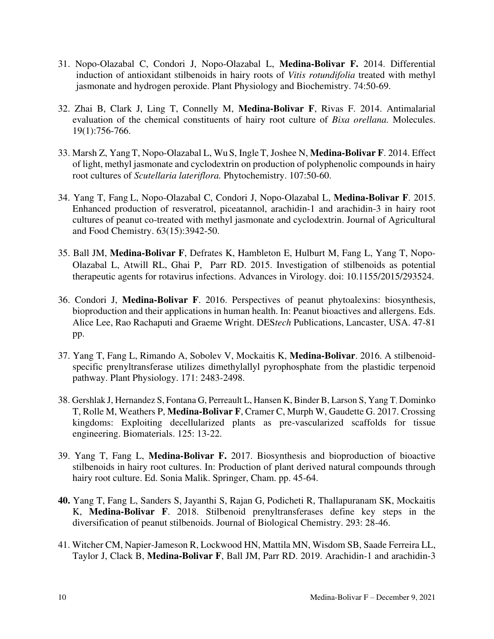- 31. [Nopo-Olazabal C,](http://www.ncbi.nlm.nih.gov/pubmed?term=Nopo-Olazabal%20C%5BAuthor%5D&cauthor=true&cauthor_uid=24269870) [Condori J,](http://www.ncbi.nlm.nih.gov/pubmed?term=Condori%20J%5BAuthor%5D&cauthor=true&cauthor_uid=24269870) [Nopo-Olazabal L,](http://www.ncbi.nlm.nih.gov/pubmed?term=Nopo-Olazabal%20L%5BAuthor%5D&cauthor=true&cauthor_uid=24269870) **[Medina-Bolivar F.](http://www.ncbi.nlm.nih.gov/pubmed?term=Medina-Bolivar%20F%5BAuthor%5D&cauthor=true&cauthor_uid=24269870)** 2014. Differential induction of antioxidant stilbenoids in hairy roots of *Vitis rotundifolia* treated with methyl jasmonate and hydrogen peroxide. [Plant Physiology and Biochemistry.](http://www.ncbi.nlm.nih.gov/pubmed/24269870) 74:50-69.
- 32. Zhai B, Clark J, Ling T, Connelly M, **Medina-Bolivar F**, Rivas F. 2014. Antimalarial evaluation of the chemical constituents of hairy root culture of *Bixa orellana.* Molecules. 19(1):756-766.
- 33. Marsh Z, YangT, Nopo-Olazabal L, Wu S, IngleT, Joshee N, **Medina-Bolivar F**. 2014. Effect of light, methyl jasmonate and cyclodextrin on production of polyphenolic compounds in hairy root cultures of *Scutellaria lateriflora.* Phytochemistry. 107:50-60.
- 34. Yang T, Fang L, Nopo-Olazabal C, Condori J, Nopo-Olazabal L, **Medina-Bolivar F**. 2015. Enhanced production of resveratrol, piceatannol, arachidin-1 and arachidin-3 in hairy root cultures of peanut co-treated with methyl jasmonate and cyclodextrin. Journal of Agricultural and Food Chemistry. 63(15):3942-50.
- 35. Ball JM, **Medina-Bolivar F**, Defrates K, Hambleton E, Hulburt M, Fang L, Yang T, Nopo-Olazabal L, Atwill RL, Ghai P, Parr RD. 2015. Investigation of stilbenoids as potential therapeutic agents for rotavirus infections. Advances in Virology. doi: 10.1155/2015/293524.
- 36. Condori J, **Medina-Bolivar F**. 2016. Perspectives of peanut phytoalexins: biosynthesis, bioproduction and their applications in human health. In: Peanut bioactives and allergens. Eds. Alice Lee, Rao Rachaputi and Graeme Wright. DES*tech* Publications, Lancaster, USA. 47-81 pp.
- 37. Yang T, Fang L, Rimando A, Sobolev V, Mockaitis K, **Medina-Bolivar**. 2016. A stilbenoidspecific prenyltransferase utilizes dimethylallyl pyrophosphate from the plastidic terpenoid pathway. Plant Physiology. 171: 2483-2498.
- 38. Gershlak J, Hernandez S, Fontana G, Perreault L, Hansen K, Binder B, Larson S, Yang T, Dominko T, Rolle M, Weathers P, **Medina-Bolivar F**, Cramer C, Murph W, Gaudette G. 2017. Crossing kingdoms: Exploiting decellularized plants as pre-vascularized scaffolds for tissue engineering. Biomaterials. 125: 13-22.
- 39. Yang T, Fang L, **Medina-Bolivar F.** 2017. Biosynthesis and bioproduction of bioactive stilbenoids in hairy root cultures. In: Production of plant derived natural compounds through hairy root culture. Ed. Sonia Malik. Springer, Cham. pp. 45-64.
- **40.** Yang T, Fang L, Sanders S, Jayanthi S, Rajan G, Podicheti R, Thallapuranam SK, Mockaitis K, **Medina-Bolivar F**. 2018. Stilbenoid prenyltransferases define key steps in the diversification of peanut stilbenoids. Journal of Biological Chemistry. 293: 28-46.
- 41. Witcher CM, Napier-Jameson R, Lockwood HN, Mattila MN, Wisdom SB, Saade Ferreira LL, Taylor J, Clack B, **Medina-Bolivar F**, Ball JM, Parr RD. 2019. Arachidin-1 and arachidin-3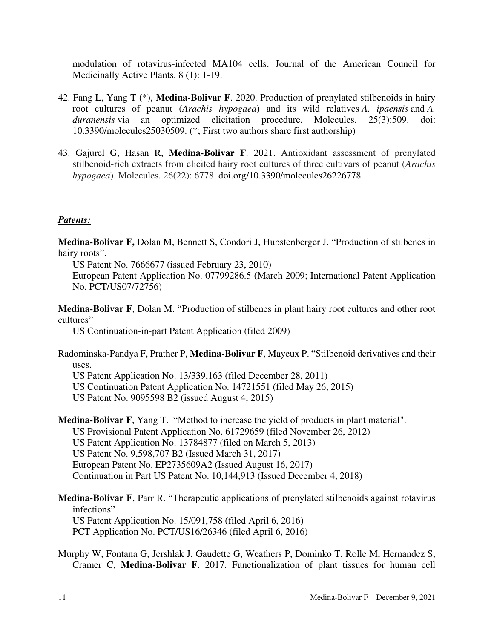modulation of rotavirus-infected MA104 cells. Journal of the American Council for Medicinally Active Plants. 8 (1): 1-19.

- 42. Fang L, Yang T (\*), **Medina-Bolivar F**. 2020. Production of prenylated stilbenoids in hairy root cultures of peanut (*Arachis hypogaea*) and its wild relatives *A. ipaensis* and *A. duranensis* via an optimized elicitation procedure. Molecules. 25(3):509. doi: 10.3390/molecules25030509. (\*; First two authors share first authorship)
- 43. Gajurel G, Hasan R, **Medina-Bolivar F**. 2021. Antioxidant assessment of prenylated stilbenoid-rich extracts from elicited hairy root cultures of three cultivars of peanut (*Arachis hypogaea*). Molecules*.* 26(22): 6778. [doi.org/10.3390/molecules26226778.](https://doi.org/10.3390/molecules26226778)

# *Patents:*

**Medina-Bolivar F,** Dolan M, Bennett S, Condori J, Hubstenberger J. "Production of stilbenes in hairy roots".

US Patent No. 7666677 (issued February 23, 2010)

European Patent Application No. 07799286.5 (March 2009; International Patent Application No. PCT/US07/72756)

**Medina-Bolivar F**, Dolan M. "Production of stilbenes in plant hairy root cultures and other root cultures"

US Continuation-in-part Patent Application (filed 2009)

Radominska-Pandya F, Prather P, **Medina-Bolivar F**, Mayeux P. "Stilbenoid derivatives and their uses.

US Patent Application No. 13/339,163 (filed December 28, 2011)

US Continuation Patent Application No. 14721551 (filed May 26, 2015)

US Patent No. 9095598 B2 (issued August 4, 2015)

**Medina-Bolivar F**, Yang T. "Method to increase the yield of products in plant material". US Provisional Patent Application No. 61729659 (filed November 26, 2012) US Patent Application No. 13784877 (filed on March 5, 2013) US Patent No. 9,598,707 B2 (Issued March 31, 2017) European Patent No. EP2735609A2 (Issued August 16, 2017) Continuation in Part US Patent No. 10,144,913 (Issued December 4, 2018)

**Medina-Bolivar F**, Parr R. "Therapeutic applications of prenylated stilbenoids against rotavirus infections" US Patent Application No. 15/091,758 (filed April 6, 2016) PCT Application No. PCT/US16/26346 (filed April 6, 2016)

Murphy W, Fontana G, Jershlak J, Gaudette G, Weathers P, Dominko T, Rolle M, Hernandez S, Cramer C, **Medina-Bolivar F**. 2017. Functionalization of plant tissues for human cell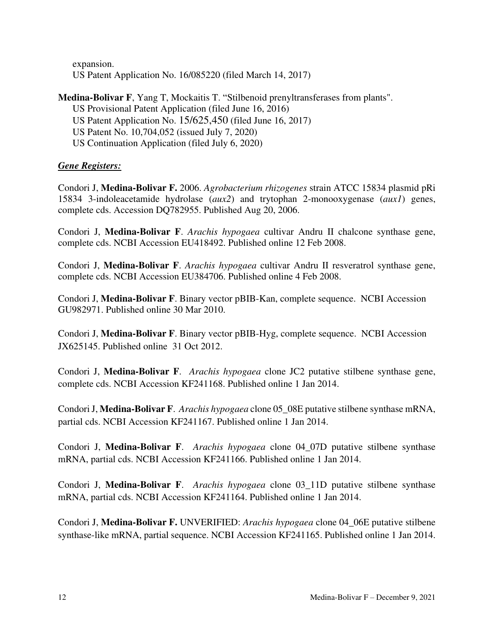expansion. US Patent Application No. 16/085220 (filed March 14, 2017)

# **Medina-Bolivar F**, Yang T, Mockaitis T. "Stilbenoid prenyltransferases from plants". US Provisional Patent Application (filed June 16, 2016) US Patent Application No. 15/625,450 (filed June 16, 2017) US Patent No. 10,704,052 (issued July 7, 2020) US Continuation Application (filed July 6, 2020)

# *Gene Registers:*

Condori J, **Medina-Bolivar F.** 2006. *Agrobacterium rhizogenes* strain ATCC 15834 plasmid pRi 15834 3-indoleacetamide hydrolase (*aux2*) and trytophan 2-monooxygenase (*aux1*) genes, complete cds. Accession DQ782955. Published Aug 20, 2006.

Condori J, **Medina-Bolivar F**. *Arachis hypogaea* cultivar Andru II chalcone synthase gene, complete cds. NCBI Accession EU418492. Published online 12 Feb 2008.

Condori J, **Medina-Bolivar F**. *Arachis hypogaea* cultivar Andru II resveratrol synthase gene, complete cds. NCBI Accession EU384706. Published online 4 Feb 2008.

Condori J, **Medina-Bolivar F**. Binary vector pBIB-Kan, complete sequence. NCBI Accession GU982971. Published online 30 Mar 2010.

Condori J, **Medina-Bolivar F**. Binary vector pBIB-Hyg, complete sequence. NCBI Accession JX625145. Published online 31 Oct 2012.

Condori J, **Medina-Bolivar F**. *Arachis hypogaea* clone JC2 putative stilbene synthase gene, complete cds. NCBI Accession KF241168. Published online 1 Jan 2014.

Condori J, **Medina-Bolivar F**. *Arachis hypogaea* clone 05\_08E putative stilbene synthase mRNA, partial cds. NCBI Accession KF241167. Published online 1 Jan 2014.

Condori J, **Medina-Bolivar F**. *Arachis hypogaea* clone 04\_07D putative stilbene synthase mRNA, partial cds. NCBI Accession KF241166. Published online 1 Jan 2014.

Condori J, **Medina-Bolivar F**. *Arachis hypogaea* clone 03\_11D putative stilbene synthase mRNA, partial cds. NCBI Accession KF241164. Published online 1 Jan 2014.

Condori J, **Medina-Bolivar F.** UNVERIFIED: *Arachis hypogaea* clone 04\_06E putative stilbene synthase-like mRNA, partial sequence. NCBI Accession KF241165. Published online 1 Jan 2014.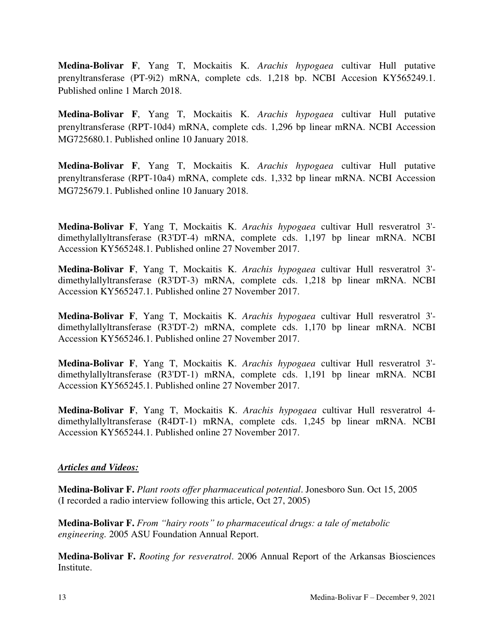**Medina-Bolivar F**, Yang T, Mockaitis K. *Arachis hypogaea* [cultivar Hull putative](https://www.ncbi.nlm.nih.gov/nuccore/KY565249.1)  [prenyltransferase \(PT-9i2\) mRNA, complete cds.](https://www.ncbi.nlm.nih.gov/nuccore/KY565249.1) 1,218 bp. NCBI Accesion KY565249.1. Published online 1 March 2018.

**Medina-Bolivar F**, Yang T, Mockaitis K. *Arachis hypogaea* [cultivar Hull putative](https://www.ncbi.nlm.nih.gov/nuccore/MG725680.1)  [prenyltransferase \(RPT-10d4\) mRNA, complete cds.](https://www.ncbi.nlm.nih.gov/nuccore/MG725680.1) 1,296 bp linear mRNA. NCBI Accession MG725680.1. Published online 10 January 2018.

**Medina-Bolivar F**, Yang T, Mockaitis K. *Arachis hypogaea* [cultivar Hull putative](https://www.ncbi.nlm.nih.gov/nuccore/MG725679.1)  [prenyltransferase \(RPT-10a4\) mRNA, complete cds.](https://www.ncbi.nlm.nih.gov/nuccore/MG725679.1) 1,332 bp linear mRNA. NCBI Accession MG725679.1. Published online 10 January 2018.

**Medina-Bolivar F**, Yang T, Mockaitis K. *Arachis hypogaea* [cultivar Hull resveratrol 3'](https://www.ncbi.nlm.nih.gov/nuccore/KY565248.1) [dimethylallyltransferase \(R3'DT-4\) mRNA, complete cds.](https://www.ncbi.nlm.nih.gov/nuccore/KY565248.1) 1,197 bp linear mRNA. NCBI Accession KY565248.1. Published online 27 November 2017.

**Medina-Bolivar F**, Yang T, Mockaitis K. *Arachis hypogaea* cultivar Hull resveratrol 3' dimethylallyltransferase (R3'DT-3) mRNA, complete cds. 1,218 bp linear mRNA. NCBI Accession KY565247.1. Published online 27 November 2017.

**Medina-Bolivar F**, Yang T, Mockaitis K. *Arachis hypogaea* cultivar Hull resveratrol 3' dimethylallyltransferase (R3'DT-2) mRNA, complete cds. 1,170 bp linear mRNA. NCBI Accession KY565246.1. Published online 27 November 2017.

**Medina-Bolivar F**, Yang T, Mockaitis K. *Arachis hypogaea* cultivar Hull resveratrol 3' dimethylallyltransferase (R3'DT-1) mRNA, complete cds. 1,191 bp linear mRNA. NCBI Accession KY565245.1. Published online 27 November 2017.

**Medina-Bolivar F**, Yang T, Mockaitis K. *Arachis hypogaea* cultivar Hull resveratrol 4 dimethylallyltransferase (R4DT-1) mRNA, complete cds. 1,245 bp linear mRNA. NCBI Accession KY565244.1. Published online 27 November 2017.

# *Articles and Videos:*

**Medina-Bolivar F.** *Plant roots offer pharmaceutical potential*. Jonesboro Sun. Oct 15, 2005 (I recorded a radio interview following this article, Oct 27, 2005)

**Medina-Bolivar F.** *From "hairy roots" to pharmaceutical drugs: a tale of metabolic engineering.* 2005 ASU Foundation Annual Report.

**Medina-Bolivar F.** *Rooting for resveratrol*. 2006 Annual Report of the Arkansas Biosciences Institute.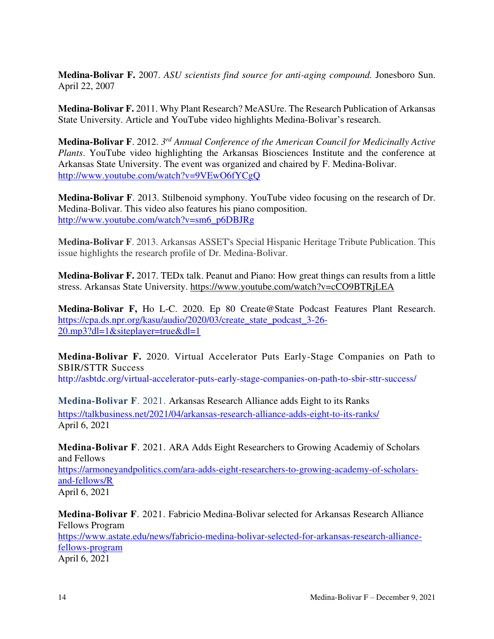**Medina-Bolivar F.** 2007. *ASU scientists find source for anti-aging compound.* Jonesboro Sun. April 22, 2007

**Medina-Bolivar F.** 2011. Why Plant Research? MeASUre. The Research Publication of Arkansas State University. Article and YouTube video highlights Medina-Bolivar's research.

**Medina-Bolivar F**. 2012. *3 rd Annual Conference of the American Council for Medicinally Active Plants*. YouTube video highlighting the Arkansas Biosciences Institute and the conference at Arkansas State University. The event was organized and chaired by F. Medina-Bolivar. <http://www.youtube.com/watch?v=9VEwO6fYCgQ>

**Medina-Bolivar F**. 2013. Stilbenoid symphony. YouTube video focusing on the research of Dr. Medina-Bolivar. This video also features his piano composition. [http://www.youtube.com/watch?v=sm6\\_p6DBJRg](http://www.youtube.com/watch?v=sm6_p6DBJRg)

**Medina-Bolivar F**. 2013. Arkansas ASSET's Special Hispanic Heritage Tribute Publication. This issue highlights the research profile of Dr. Medina-Bolivar.

**Medina-Bolivar F.** 2017. TEDx talk. Peanut and Piano: How great things can results from a little stress. Arkansas State University.<https://www.youtube.com/watch?v=cCO9BTRjLEA>

**Medina-Bolivar F,** Ho L-C. 2020. Ep 80 Create@State Podcast Features Plant Research. [https://cpa.ds.npr.org/kasu/audio/2020/03/create\\_state\\_podcast\\_3-26-](https://cpa.ds.npr.org/kasu/audio/2020/03/create_state_podcast_3-26-20.mp3?dl=1&siteplayer=true&dl=1) [20.mp3?dl=1&siteplayer=true&dl=1](https://cpa.ds.npr.org/kasu/audio/2020/03/create_state_podcast_3-26-20.mp3?dl=1&siteplayer=true&dl=1)

**Medina-Bolivar F.** 2020. Virtual Accelerator Puts Early-Stage Companies on Path to SBIR/STTR Success

<http://asbtdc.org/virtual-accelerator-puts-early-stage-companies-on-path-to-sbir-sttr-success/>

**Medina-Bolivar F**. 2021. Arkansas Research Alliance adds Eight to its Ranks <https://talkbusiness.net/2021/04/arkansas-research-alliance-adds-eight-to-its-ranks/> April 6, 2021

**Medina-Bolivar F**. 2021. ARA Adds Eight Researchers to Growing Academiy of Scholars and Fellows [https://armoneyandpolitics.com/ara-adds-eight-researchers-to-growing-academy-of-scholars-](https://armoneyandpolitics.com/ara-adds-eight-researchers-to-growing-academy-of-scholars-and-fellows/R)

[and-fellows/R](https://armoneyandpolitics.com/ara-adds-eight-researchers-to-growing-academy-of-scholars-and-fellows/R) April 6, 2021

**Medina-Bolivar F**. 2021. Fabricio Medina-Bolivar selected for Arkansas Research Alliance Fellows Program [https://www.astate.edu/news/fabricio-medina-bolivar-selected-for-arkansas-research-alliance](https://www.astate.edu/news/fabricio-medina-bolivar-selected-for-arkansas-research-alliance-fellows-program)[fellows-program](https://www.astate.edu/news/fabricio-medina-bolivar-selected-for-arkansas-research-alliance-fellows-program) April 6, 2021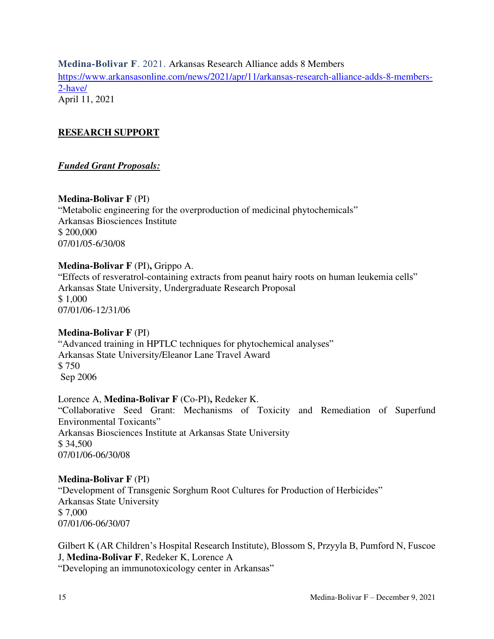**Medina-Bolivar F**. 2021. Arkansas Research Alliance adds 8 Members [https://www.arkansasonline.com/news/2021/apr/11/arkansas-research-alliance-adds-8-members-](https://www.arkansasonline.com/news/2021/apr/11/arkansas-research-alliance-adds-8-members-2-have/)[2-have/](https://www.arkansasonline.com/news/2021/apr/11/arkansas-research-alliance-adds-8-members-2-have/) April 11, 2021

### **RESEARCH SUPPORT** ٦

# *Funded Grant Proposals:*

# **Medina-Bolivar F** (PI)

"Metabolic engineering for the overproduction of medicinal phytochemicals" Arkansas Biosciences Institute \$ 200,000 07/01/05-6/30/08

# **Medina-Bolivar F** (PI)**,** Grippo A.

"Effects of resveratrol-containing extracts from peanut hairy roots on human leukemia cells" Arkansas State University, Undergraduate Research Proposal \$ 1,000 07/01/06-12/31/06

## **Medina-Bolivar F** (PI)

"Advanced training in HPTLC techniques for phytochemical analyses" Arkansas State University/Eleanor Lane Travel Award \$ 750 Sep 2006

## Lorence A, **Medina-Bolivar F** (Co-PI)**,** Redeker K.

"Collaborative Seed Grant: Mechanisms of Toxicity and Remediation of Superfund Environmental Toxicants" Arkansas Biosciences Institute at Arkansas State University \$ 34,500 07/01/06-06/30/08

## **Medina-Bolivar F** (PI)

"Development of Transgenic Sorghum Root Cultures for Production of Herbicides" Arkansas State University \$ 7,000 07/01/06-06/30/07

Gilbert K (AR Children's Hospital Research Institute), Blossom S, Przyyla B, Pumford N, Fuscoe J, **Medina-Bolivar F**, Redeker K, Lorence A "Developing an immunotoxicology center in Arkansas"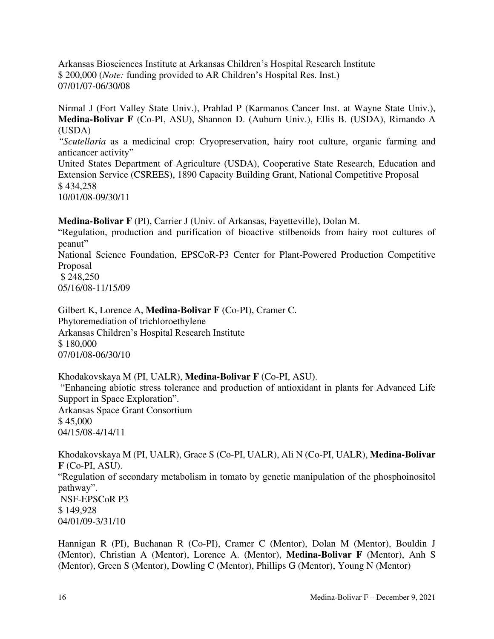Arkansas Biosciences Institute at Arkansas Children's Hospital Research Institute \$ 200,000 (*Note:* funding provided to AR Children's Hospital Res. Inst.) 07/01/07-06/30/08

Nirmal J (Fort Valley State Univ.), Prahlad P (Karmanos Cancer Inst. at Wayne State Univ.), **Medina-Bolivar F** (Co-PI, ASU), Shannon D. (Auburn Univ.), Ellis B. (USDA), Rimando A (USDA)

*"Scutellaria* as a medicinal crop: Cryopreservation, hairy root culture, organic farming and anticancer activity"

United States Department of Agriculture (USDA), Cooperative State Research, Education and Extension Service (CSREES), 1890 Capacity Building Grant, National Competitive Proposal \$ 434,258 10/01/08-09/30/11

**Medina-Bolivar F** (PI), Carrier J (Univ. of Arkansas, Fayetteville), Dolan M.

"Regulation, production and purification of bioactive stilbenoids from hairy root cultures of peanut"

National Science Foundation, EPSCoR-P3 Center for Plant-Powered Production Competitive Proposal \$ 248,250

05/16/08-11/15/09

Gilbert K, Lorence A, **Medina-Bolivar F** (Co-PI), Cramer C. Phytoremediation of trichloroethylene Arkansas Children's Hospital Research Institute \$ 180,000 07/01/08-06/30/10

Khodakovskaya M (PI, UALR), **Medina-Bolivar F** (Co-PI, ASU).

"Enhancing abiotic stress tolerance and production of antioxidant in plants for Advanced Life Support in Space Exploration". Arkansas Space Grant Consortium

\$ 45,000

04/15/08-4/14/11

Khodakovskaya M (PI, UALR), Grace S (Co-PI, UALR), Ali N (Co-PI, UALR), **Medina-Bolivar F** (Co-PI, ASU). "Regulation of secondary metabolism in tomato by genetic manipulation of the phosphoinositol pathway". NSF-EPSCoR P3 \$ 149,928 04/01/09-3/31/10

Hannigan R (PI), Buchanan R (Co-PI), Cramer C (Mentor), Dolan M (Mentor), Bouldin J (Mentor), Christian A (Mentor), Lorence A. (Mentor), **Medina-Bolivar F** (Mentor), Anh S (Mentor), Green S (Mentor), Dowling C (Mentor), Phillips G (Mentor), Young N (Mentor)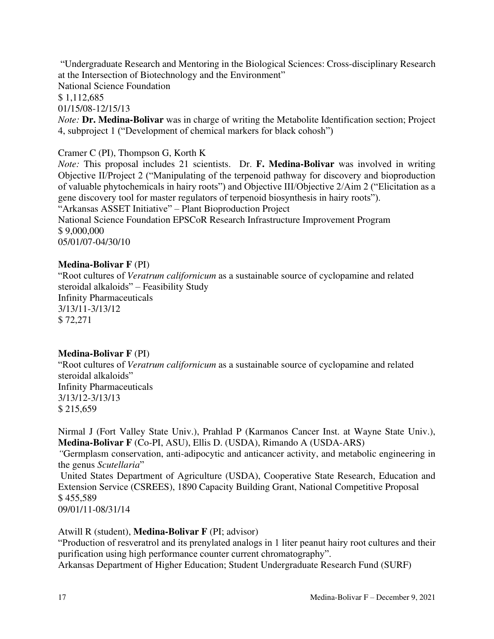"Undergraduate Research and Mentoring in the Biological Sciences: Cross-disciplinary Research at the Intersection of Biotechnology and the Environment"

National Science Foundation

\$ 1,112,685

01/15/08-12/15/13

*Note:* **Dr. Medina-Bolivar** was in charge of writing the Metabolite Identification section; Project 4, subproject 1 ("Development of chemical markers for black cohosh")

# Cramer C (PI), Thompson G, Korth K

*Note:* This proposal includes 21 scientists. Dr. **F. Medina-Bolivar** was involved in writing Objective II/Project 2 ("Manipulating of the terpenoid pathway for discovery and bioproduction of valuable phytochemicals in hairy roots") and Objective III/Objective 2/Aim 2 ("Elicitation as a gene discovery tool for master regulators of terpenoid biosynthesis in hairy roots"). "Arkansas ASSET Initiative" – Plant Bioproduction Project National Science Foundation EPSCoR Research Infrastructure Improvement Program \$ 9,000,000 05/01/07-04/30/10

# **Medina-Bolivar F** (PI)

"Root cultures of *Veratrum californicum* as a sustainable source of cyclopamine and related steroidal alkaloids" – Feasibility Study Infinity Pharmaceuticals 3/13/11-3/13/12 \$ 72,271

## **Medina-Bolivar F** (PI)

"Root cultures of *Veratrum californicum* as a sustainable source of cyclopamine and related steroidal alkaloids" Infinity Pharmaceuticals 3/13/12-3/13/13 \$ 215,659

Nirmal J (Fort Valley State Univ.), Prahlad P (Karmanos Cancer Inst. at Wayne State Univ.), **Medina-Bolivar F** (Co-PI, ASU), Ellis D. (USDA), Rimando A (USDA-ARS)

*"*Germplasm conservation, anti-adipocytic and anticancer activity, and metabolic engineering in the genus *Scutellaria*"

 United States Department of Agriculture (USDA), Cooperative State Research, Education and Extension Service (CSREES), 1890 Capacity Building Grant, National Competitive Proposal \$ 455,589

09/01/11-08/31/14

## Atwill R (student), **Medina-Bolivar F** (PI; advisor)

"Production of resveratrol and its prenylated analogs in 1 liter peanut hairy root cultures and their purification using high performance counter current chromatography".

Arkansas Department of Higher Education; Student Undergraduate Research Fund (SURF)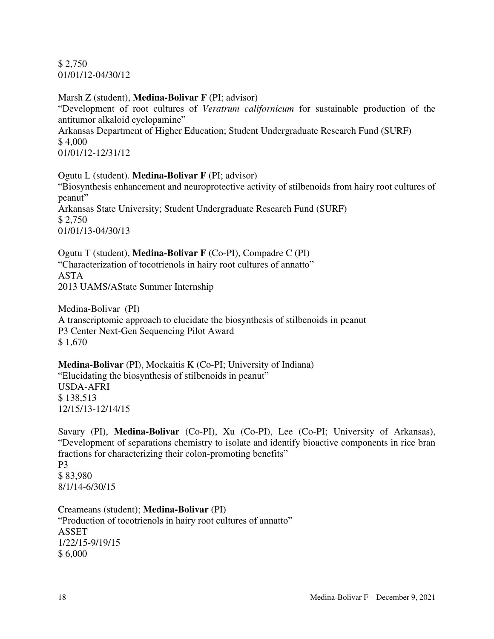\$ 2,750 01/01/12-04/30/12

## Marsh Z (student), **Medina-Bolivar F** (PI; advisor)

"Development of root cultures of *Veratrum californicum* for sustainable production of the antitumor alkaloid cyclopamine" Arkansas Department of Higher Education; Student Undergraduate Research Fund (SURF) \$ 4,000 01/01/12-12/31/12

# Ogutu L (student). **Medina-Bolivar F** (PI; advisor)

"Biosynthesis enhancement and neuroprotective activity of stilbenoids from hairy root cultures of peanut" Arkansas State University; Student Undergraduate Research Fund (SURF) \$ 2,750 01/01/13-04/30/13

Ogutu T (student), **Medina-Bolivar F** (Co-PI), Compadre C (PI) "Characterization of tocotrienols in hairy root cultures of annatto" ASTA 2013 UAMS/AState Summer Internship

Medina-Bolivar (PI) A transcriptomic approach to elucidate the biosynthesis of stilbenoids in peanut P3 Center Next-Gen Sequencing Pilot Award \$ 1,670

# **Medina-Bolivar** (PI), Mockaitis K (Co-PI; University of Indiana)

"Elucidating the biosynthesis of stilbenoids in peanut" USDA-AFRI

\$ 138,513 12/15/13-12/14/15

Savary (PI), **Medina-Bolivar** (Co-PI), Xu (Co-PI), Lee (Co-PI; University of Arkansas), "Development of separations chemistry to isolate and identify bioactive components in rice bran fractions for characterizing their colon-promoting benefits" P3 \$ 83,980 8/1/14-6/30/15

Creameans (student); **Medina-Bolivar** (PI) "Production of tocotrienols in hairy root cultures of annatto" ASSET 1/22/15-9/19/15 \$ 6,000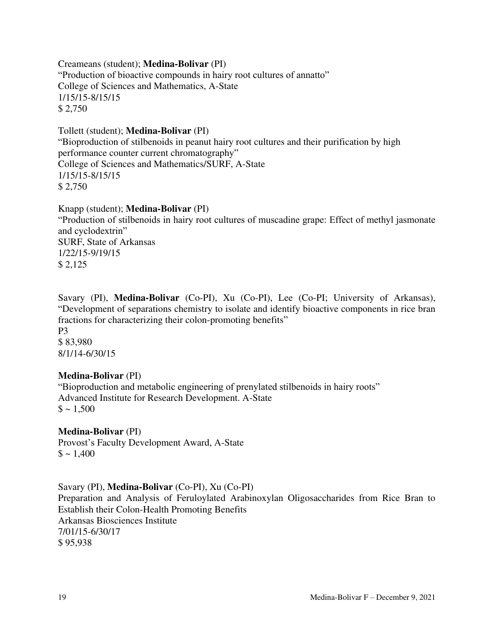Creameans (student); **Medina-Bolivar** (PI) "Production of bioactive compounds in hairy root cultures of annatto" College of Sciences and Mathematics, A-State 1/15/15-8/15/15 \$ 2,750

Tollett (student); **Medina-Bolivar** (PI) "Bioproduction of stilbenoids in peanut hairy root cultures and their purification by high performance counter current chromatography" College of Sciences and Mathematics/SURF, A-State 1/15/15-8/15/15 \$ 2,750

Knapp (student); **Medina-Bolivar** (PI)

"Production of stilbenoids in hairy root cultures of muscadine grape: Effect of methyl jasmonate and cyclodextrin" SURF, State of Arkansas 1/22/15-9/19/15 \$ 2,125

Savary (PI), **Medina-Bolivar** (Co-PI), Xu (Co-PI), Lee (Co-PI; University of Arkansas), "Development of separations chemistry to isolate and identify bioactive components in rice bran fractions for characterizing their colon-promoting benefits" P3 \$ 83,980 8/1/14-6/30/15

## **Medina-Bolivar** (PI)

"Bioproduction and metabolic engineering of prenylated stilbenoids in hairy roots" Advanced Institute for Research Development. A-State  $\$$  ~ 1,500

**Medina-Bolivar** (PI) Provost's Faculty Development Award, A-State  $\$ \sim 1,400$ 

Savary (PI), **Medina-Bolivar** (Co-PI), Xu (Co-PI) Preparation and Analysis of Feruloylated Arabinoxylan Oligosaccharides from Rice Bran to Establish their Colon-Health Promoting Benefits Arkansas Biosciences Institute 7/01/15-6/30/17 \$ 95,938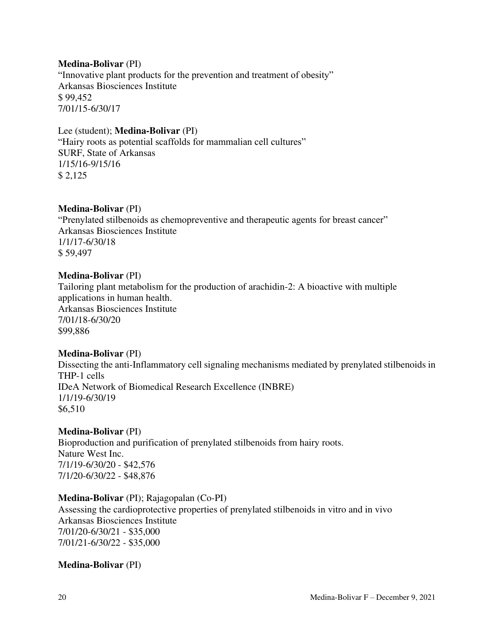## **Medina-Bolivar** (PI)

"Innovative plant products for the prevention and treatment of obesity" Arkansas Biosciences Institute \$ 99,452 7/01/15-6/30/17

## Lee (student); **Medina-Bolivar** (PI)

"Hairy roots as potential scaffolds for mammalian cell cultures" SURF, State of Arkansas 1/15/16-9/15/16 \$ 2,125

# **Medina-Bolivar** (PI)

"Prenylated stilbenoids as chemopreventive and therapeutic agents for breast cancer" Arkansas Biosciences Institute 1/1/17-6/30/18 \$ 59,497

## **Medina-Bolivar** (PI)

Tailoring plant metabolism for the production of arachidin-2: A bioactive with multiple applications in human health. Arkansas Biosciences Institute 7/01/18-6/30/20 \$99,886

## **Medina-Bolivar** (PI)

Dissecting the anti-Inflammatory cell signaling mechanisms mediated by prenylated stilbenoids in THP-1 cells IDeA Network of Biomedical Research Excellence (INBRE) 1/1/19-6/30/19 \$6,510

## **Medina-Bolivar** (PI)

Bioproduction and purification of prenylated stilbenoids from hairy roots. Nature West Inc. 7/1/19-6/30/20 - \$42,576 7/1/20-6/30/22 - \$48,876

# **Medina-Bolivar** (PI); Rajagopalan (Co-PI)

Assessing the cardioprotective properties of prenylated stilbenoids in vitro and in vivo Arkansas Biosciences Institute 7/01/20-6/30/21 - \$35,000 7/01/21-6/30/22 - \$35,000

## **Medina-Bolivar** (PI)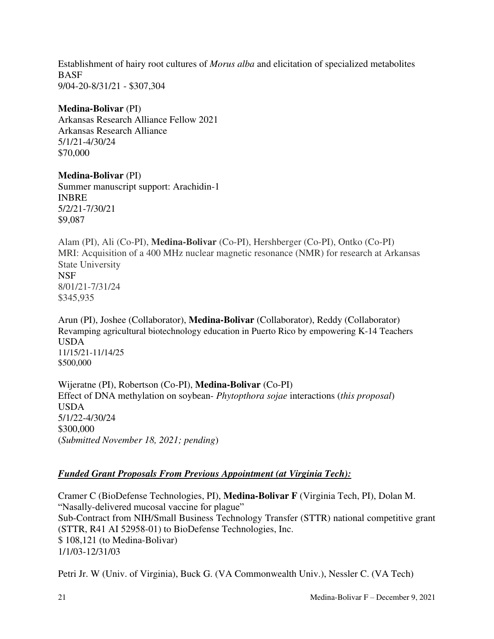Establishment of hairy root cultures of *Morus alba* and elicitation of specialized metabolites **BASF** 9/04-20-8/31/21 - \$307,304

### **Medina-Bolivar** (PI)

Arkansas Research Alliance Fellow 2021 Arkansas Research Alliance 5/1/21-4/30/24 \$70,000

## **Medina-Bolivar** (PI)

Summer manuscript support: Arachidin-1 INBRE 5/2/21-7/30/21 \$9,087

Alam (PI), Ali (Co-PI), **Medina-Bolivar** (Co-PI), Hershberger (Co-PI), Ontko (Co-PI) MRI: Acquisition of a 400 MHz nuclear magnetic resonance (NMR) for research at Arkansas State University NSF 8/01/21-7/31/24 \$345,935

Arun (PI), Joshee (Collaborator), **Medina-Bolivar** (Collaborator), Reddy (Collaborator) Revamping agricultural biotechnology education in Puerto Rico by empowering K-14 Teachers USDA 11/15/21-11/14/25 \$500,000

Wijeratne (PI), Robertson (Co-PI), **Medina-Bolivar** (Co-PI) Effect of DNA methylation on soybean- *Phytopthora sojae* interactions (*this proposal*) USDA 5/1/22-4/30/24 \$300,000 (*Submitted November 18, 2021; pending*)

# *Funded Grant Proposals From Previous Appointment (at Virginia Tech):*

Cramer C (BioDefense Technologies, PI), **Medina-Bolivar F** (Virginia Tech, PI), Dolan M. "Nasally-delivered mucosal vaccine for plague" Sub-Contract from NIH/Small Business Technology Transfer (STTR) national competitive grant (STTR, R41 AI 52958-01) to BioDefense Technologies, Inc. \$ 108,121 (to Medina-Bolivar) 1/1/03-12/31/03

Petri Jr. W (Univ. of Virginia), Buck G. (VA Commonwealth Univ.), Nessler C. (VA Tech)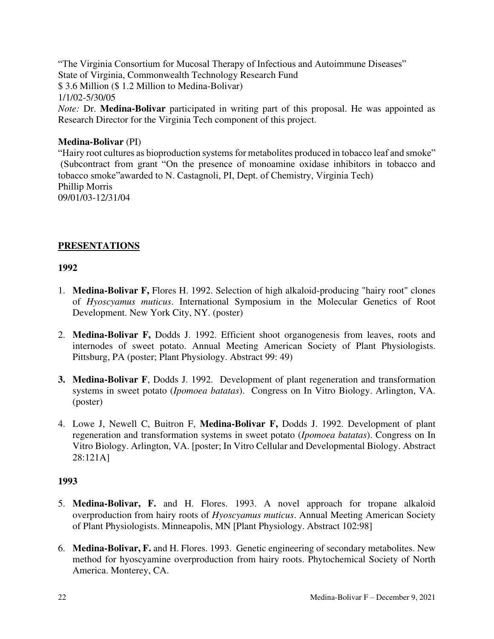"The Virginia Consortium for Mucosal Therapy of Infectious and Autoimmune Diseases" State of Virginia, Commonwealth Technology Research Fund \$ 3.6 Million (\$ 1.2 Million to Medina-Bolivar) 1/1/02-5/30/05 *Note:* Dr. **Medina-Bolivar** participated in writing part of this proposal. He was appointed as Research Director for the Virginia Tech component of this project.

# **Medina-Bolivar** (PI)

"Hairy root cultures as bioproduction systems for metabolites produced in tobacco leaf and smoke" (Subcontract from grant "On the presence of monoamine oxidase inhibitors in tobacco and tobacco smoke"awarded to N. Castagnoli, PI, Dept. of Chemistry, Virginia Tech) Phillip Morris 09/01/03-12/31/04

# **PRESENTATIONS**

# **1992**

- 1. **Medina-Bolivar F,** Flores H. 1992. Selection of high alkaloid-producing "hairy root" clones of *Hyoscyamus muticus*. International Symposium in the Molecular Genetics of Root Development. New York City, NY. (poster)
- 2. **Medina-Bolivar F,** Dodds J. 1992. Efficient shoot organogenesis from leaves, roots and internodes of sweet potato. Annual Meeting American Society of Plant Physiologists. Pittsburg, PA (poster; Plant Physiology. Abstract 99: 49)
- **3. Medina-Bolivar F**, Dodds J. 1992. Development of plant regeneration and transformation systems in sweet potato (*Ipomoea batatas*). Congress on In Vitro Biology. Arlington, VA. (poster)
- 4. Lowe J, Newell C, Buitron F, **Medina-Bolivar F,** Dodds J. 1992. Development of plant regeneration and transformation systems in sweet potato (*Ipomoea batatas*). Congress on In Vitro Biology. Arlington, VA. [poster; In Vitro Cellular and Developmental Biology. Abstract 28:121A]

- 5. **Medina-Bolivar, F.** and H. Flores. 1993. A novel approach for tropane alkaloid overproduction from hairy roots of *Hyoscyamus muticus*. Annual Meeting American Society of Plant Physiologists. Minneapolis, MN [Plant Physiology. Abstract 102:98]
- 6. **Medina-Bolivar, F.** and H. Flores. 1993. Genetic engineering of secondary metabolites. New method for hyoscyamine overproduction from hairy roots. Phytochemical Society of North America. Monterey, CA.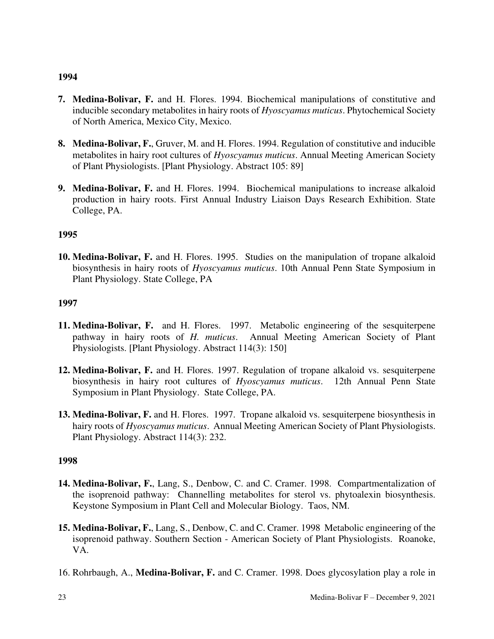- **7. Medina-Bolivar, F.** and H. Flores. 1994. Biochemical manipulations of constitutive and inducible secondary metabolites in hairy roots of *Hyoscyamus muticus*. Phytochemical Society of North America, Mexico City, Mexico.
- **8. Medina-Bolivar, F.**, Gruver, M. and H. Flores. 1994. Regulation of constitutive and inducible metabolites in hairy root cultures of *Hyoscyamus muticus*. Annual Meeting American Society of Plant Physiologists. [Plant Physiology. Abstract 105: 89]
- **9. Medina-Bolivar, F.** and H. Flores. 1994. Biochemical manipulations to increase alkaloid production in hairy roots. First Annual Industry Liaison Days Research Exhibition. State College, PA.

# **1995**

**10. Medina-Bolivar, F.** and H. Flores. 1995. Studies on the manipulation of tropane alkaloid biosynthesis in hairy roots of *Hyoscyamus muticus*. 10th Annual Penn State Symposium in Plant Physiology. State College, PA

# **1997**

- **11. Medina-Bolivar, F.** and H. Flores. 1997. Metabolic engineering of the sesquiterpene pathway in hairy roots of *H. muticus*. Annual Meeting American Society of Plant Physiologists. [Plant Physiology. Abstract 114(3): 150]
- **12. Medina-Bolivar, F.** and H. Flores. 1997. Regulation of tropane alkaloid vs. sesquiterpene biosynthesis in hairy root cultures of *Hyoscyamus muticus*. 12th Annual Penn State Symposium in Plant Physiology. State College, PA.
- **13. Medina-Bolivar, F.** and H. Flores. 1997. Tropane alkaloid vs. sesquiterpene biosynthesis in hairy roots of *Hyoscyamus muticus*. Annual Meeting American Society of Plant Physiologists. Plant Physiology. Abstract 114(3): 232.

- **14. Medina-Bolivar, F.**, Lang, S., Denbow, C. and C. Cramer. 1998. Compartmentalization of the isoprenoid pathway: Channelling metabolites for sterol vs. phytoalexin biosynthesis. Keystone Symposium in Plant Cell and Molecular Biology. Taos, NM.
- **15. Medina-Bolivar, F.**, Lang, S., Denbow, C. and C. Cramer. 1998 Metabolic engineering of the isoprenoid pathway. Southern Section - American Society of Plant Physiologists. Roanoke, VA.
- 16. Rohrbaugh, A., **Medina-Bolivar, F.** and C. Cramer. 1998. Does glycosylation play a role in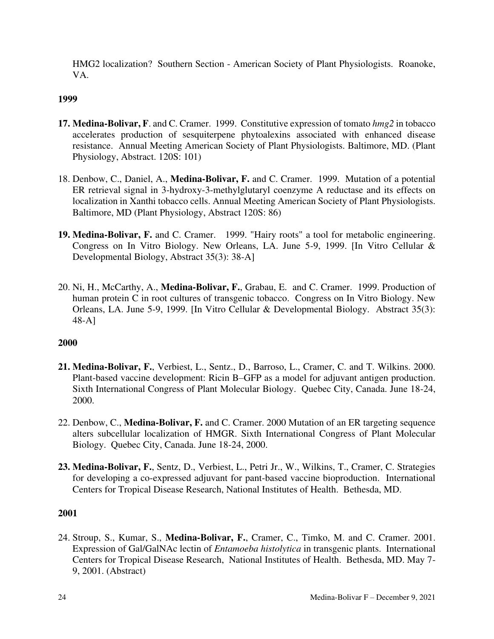HMG2 localization? Southern Section - American Society of Plant Physiologists. Roanoke, VA.

# **1999**

- **17. Medina-Bolivar, F**. and C. Cramer. 1999. Constitutive expression of tomato *hmg2* in tobacco accelerates production of sesquiterpene phytoalexins associated with enhanced disease resistance. Annual Meeting American Society of Plant Physiologists. Baltimore, MD. (Plant Physiology, Abstract. 120S: 101)
- 18. Denbow, C., Daniel, A., **Medina-Bolivar, F.** and C. Cramer. 1999. Mutation of a potential ER retrieval signal in 3-hydroxy-3-methylglutaryl coenzyme A reductase and its effects on localization in Xanthi tobacco cells. Annual Meeting American Society of Plant Physiologists. Baltimore, MD (Plant Physiology, Abstract 120S: 86)
- **19. Medina-Bolivar, F.** and C. Cramer. 1999. "Hairy roots" a tool for metabolic engineering. Congress on In Vitro Biology. New Orleans, LA. June 5-9, 1999. [In Vitro Cellular & Developmental Biology, Abstract 35(3): 38-A]
- 20. Ni, H., McCarthy, A., **Medina-Bolivar, F.**, Grabau, E. and C. Cramer. 1999. Production of human protein C in root cultures of transgenic tobacco. Congress on In Vitro Biology. New Orleans, LA. June 5-9, 1999. [In Vitro Cellular & Developmental Biology. Abstract 35(3): 48-A]

## **2000**

- **21. Medina-Bolivar, F.**, Verbiest, L., Sentz., D., Barroso, L., Cramer, C. and T. Wilkins. 2000. Plant-based vaccine development: Ricin B–GFP as a model for adjuvant antigen production. Sixth International Congress of Plant Molecular Biology. Quebec City, Canada. June 18-24, 2000.
- 22. Denbow, C., **Medina-Bolivar, F.** and C. Cramer. 2000 Mutation of an ER targeting sequence alters subcellular localization of HMGR. Sixth International Congress of Plant Molecular Biology. Quebec City, Canada. June 18-24, 2000.
- **23. Medina-Bolivar, F.**, Sentz, D., Verbiest, L., Petri Jr., W., Wilkins, T., Cramer, C. Strategies for developing a co-expressed adjuvant for pant-based vaccine bioproduction. International Centers for Tropical Disease Research, National Institutes of Health. Bethesda, MD.

## **2001**

24. Stroup, S., Kumar, S., **Medina-Bolivar, F.**, Cramer, C., Timko, M. and C. Cramer. 2001. Expression of Gal/GalNAc lectin of *Entamoeba histolytica* in transgenic plants. International Centers for Tropical Disease Research, National Institutes of Health. Bethesda, MD. May 7- 9, 2001. (Abstract)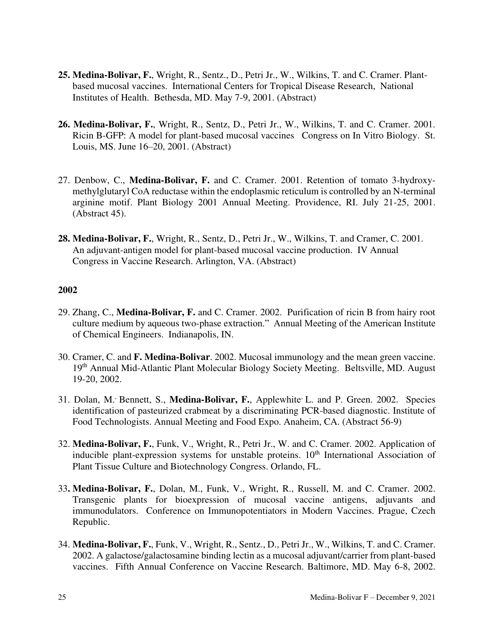- **25. Medina-Bolivar, F.**, Wright, R., Sentz., D., Petri Jr., W., Wilkins, T. and C. Cramer. Plantbased mucosal vaccines. International Centers for Tropical Disease Research, National Institutes of Health. Bethesda, MD. May 7-9, 2001. (Abstract)
- **26. Medina-Bolivar, F.**, Wright, R., Sentz, D., Petri Jr., W., Wilkins, T. and C. Cramer. 2001. Ricin B-GFP: A model for plant-based mucosal vaccines Congress on In Vitro Biology. St. Louis, MS. June 16–20, 2001. (Abstract)
- 27. Denbow, C., **Medina-Bolivar, F.** and C. Cramer. 2001. Retention of tomato 3-hydroxymethylglutaryl CoA reductase within the endoplasmic reticulum is controlled by an N-terminal arginine motif. Plant Biology 2001 Annual Meeting. Providence, RI. July 21-25, 2001. (Abstract 45).
- **28. Medina-Bolivar, F.**, Wright, R., Sentz, D., Petri Jr., W., Wilkins, T. and Cramer, C. 2001. An adjuvant-antigen model for plant-based mucosal vaccine production. IV Annual Congress in Vaccine Research. Arlington, VA. (Abstract)

- 29. Zhang, C., **Medina-Bolivar, F.** and C. Cramer. 2002. Purification of ricin B from hairy root culture medium by aqueous two-phase extraction." Annual Meeting of the American Institute of Chemical Engineers. Indianapolis, IN.
- 30. Cramer, C. and **F. Medina-Bolivar**. 2002. Mucosal immunology and the mean green vaccine. 19th Annual Mid-Atlantic Plant Molecular Biology Society Meeting. Beltsville, MD. August 19-20, 2002.
- 31. Dolan, M., Bennett, S., **Medina-Bolivar, F.**, Applewhite, L. and P. Green. 2002. Species identification of pasteurized crabmeat by a discriminating PCR-based diagnostic. Institute of Food Technologists. Annual Meeting and Food Expo. Anaheim, CA. (Abstract 56-9)
- 32. **Medina-Bolivar, F.**, Funk, V., Wright, R., Petri Jr., W. and C. Cramer. 2002. Application of inducible plant-expression systems for unstable proteins.  $10<sup>th</sup>$  International Association of Plant Tissue Culture and Biotechnology Congress. Orlando, FL.
- 33**. Medina-Bolivar, F.**, Dolan, M., Funk, V., Wright, R., Russell, M. and C. Cramer. 2002. Transgenic plants for bioexpression of mucosal vaccine antigens, adjuvants and immunodulators. Conference on Immunopotentiators in Modern Vaccines. Prague, Czech Republic.
- 34. **Medina-Bolivar, F.**, Funk, V., Wright, R., Sentz., D., Petri Jr., W., Wilkins, T. and C. Cramer. 2002. A galactose/galactosamine binding lectin as a mucosal adjuvant/carrier from plant-based vaccines. Fifth Annual Conference on Vaccine Research. Baltimore, MD. May 6-8, 2002.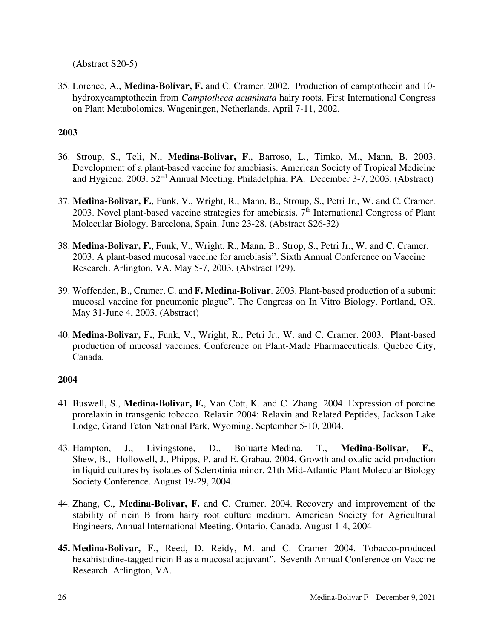(Abstract S20-5)

35. Lorence, A., **Medina-Bolivar, F.** and C. Cramer. 2002. Production of camptothecin and 10 hydroxycamptothecin from *Camptotheca acuminata* hairy roots. First International Congress on Plant Metabolomics. Wageningen, Netherlands. April 7-11, 2002.

# **2003**

- 36. Stroup, S., Teli, N., **Medina-Bolivar, F**., Barroso, L., Timko, M., Mann, B. 2003. Development of a plant-based vaccine for amebiasis. American Society of Tropical Medicine and Hygiene. 2003. 52nd Annual Meeting. Philadelphia, PA. December 3-7, 2003. (Abstract)
- 37. **Medina-Bolivar, F.**, Funk, V., Wright, R., Mann, B., Stroup, S., Petri Jr., W. and C. Cramer. 2003. Novel plant-based vaccine strategies for amebiasis.  $7<sup>th</sup>$  International Congress of Plant Molecular Biology. Barcelona, Spain. June 23-28. (Abstract S26-32)
- 38. **Medina-Bolivar, F.**, Funk, V., Wright, R., Mann, B., Strop, S., Petri Jr., W. and C. Cramer. 2003. A plant-based mucosal vaccine for amebiasis". Sixth Annual Conference on Vaccine Research. Arlington, VA. May 5-7, 2003. (Abstract P29).
- 39. Woffenden, B., Cramer, C. and **F. Medina-Bolivar**. 2003. Plant-based production of a subunit mucosal vaccine for pneumonic plague". The Congress on In Vitro Biology. Portland, OR. May 31-June 4, 2003. (Abstract)
- 40. **Medina-Bolivar, F.**, Funk, V., Wright, R., Petri Jr., W. and C. Cramer. 2003. Plant-based production of mucosal vaccines. Conference on Plant-Made Pharmaceuticals. Quebec City, Canada.

- 41. Buswell, S., **Medina-Bolivar, F.**, Van Cott, K. and C. Zhang. 2004. Expression of porcine prorelaxin in transgenic tobacco. Relaxin 2004: Relaxin and Related Peptides, Jackson Lake Lodge, Grand Teton National Park, Wyoming. September 5-10, 2004.
- 43. Hampton, J., Livingstone, D., Boluarte-Medina, T., **Medina-Bolivar, F.**, Shew, B., Hollowell, J., Phipps, P. and E. Grabau. 2004. Growth and oxalic acid production in liquid cultures by isolates of Sclerotinia minor. 21th Mid-Atlantic Plant Molecular Biology Society Conference. August 19-29, 2004.
- 44. Zhang, C., **Medina-Bolivar, F.** and C. Cramer. 2004. Recovery and improvement of the stability of ricin B from hairy root culture medium. American Society for Agricultural Engineers, Annual International Meeting. Ontario, Canada. August 1-4, 2004
- **45. Medina-Bolivar, F**., Reed, D. Reidy, M. and C. Cramer 2004. Tobacco-produced hexahistidine-tagged ricin B as a mucosal adjuvant". Seventh Annual Conference on Vaccine Research. Arlington, VA.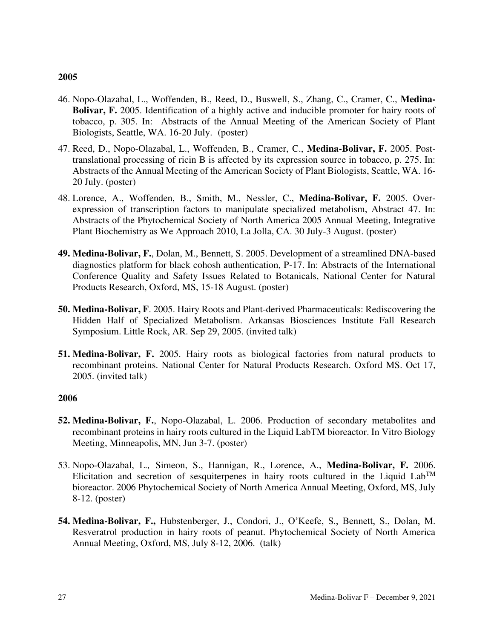- 46. Nopo-Olazabal, L., Woffenden, B., Reed, D., Buswell, S., Zhang, C., Cramer, C., **Medina-Bolivar, F.** 2005. Identification of a highly active and inducible promoter for hairy roots of tobacco, p. 305. In: Abstracts of the Annual Meeting of the American Society of Plant Biologists, Seattle, WA. 16-20 July. (poster)
- 47. Reed, D., Nopo-Olazabal, L., Woffenden, B., Cramer, C., **Medina-Bolivar, F.** 2005. Posttranslational processing of ricin B is affected by its expression source in tobacco, p. 275. In: Abstracts of the Annual Meeting of the American Society of Plant Biologists, Seattle, WA. 16- 20 July. (poster)
- 48. Lorence, A., Woffenden, B., Smith, M., Nessler, C., **Medina-Bolivar, F.** 2005. Overexpression of transcription factors to manipulate specialized metabolism, Abstract 47. In: Abstracts of the Phytochemical Society of North America 2005 Annual Meeting, Integrative Plant Biochemistry as We Approach 2010, La Jolla, CA. 30 July-3 August. (poster)
- **49. Medina-Bolivar, F.**, Dolan, M., Bennett, S. 2005. Development of a streamlined DNA-based diagnostics platform for black cohosh authentication, P-17. In: Abstracts of the International Conference Quality and Safety Issues Related to Botanicals, National Center for Natural Products Research, Oxford, MS, 15-18 August. (poster)
- **50. Medina-Bolivar, F**. 2005. Hairy Roots and Plant-derived Pharmaceuticals: Rediscovering the Hidden Half of Specialized Metabolism. Arkansas Biosciences Institute Fall Research Symposium. Little Rock, AR. Sep 29, 2005. (invited talk)
- **51. Medina-Bolivar, F.** 2005. Hairy roots as biological factories from natural products to recombinant proteins. National Center for Natural Products Research. Oxford MS. Oct 17, 2005. (invited talk)

- **52. Medina-Bolivar, F.**, Nopo-Olazabal, L. 2006. Production of secondary metabolites and recombinant proteins in hairy roots cultured in the Liquid LabTM bioreactor. In Vitro Biology Meeting, Minneapolis, MN, Jun 3-7. (poster)
- 53. Nopo-Olazabal, L*.,* Simeon, S., Hannigan, R., Lorence, A., **Medina-Bolivar, F.** 2006. Elicitation and secretion of sesquiterpenes in hairy roots cultured in the Liquid Lab<sup>TM</sup> bioreactor. 2006 Phytochemical Society of North America Annual Meeting, Oxford, MS, July 8-12. (poster)
- **54. Medina-Bolivar, F.,** Hubstenberger, J., Condori, J., O'Keefe, S., Bennett, S., Dolan, M. Resveratrol production in hairy roots of peanut. Phytochemical Society of North America Annual Meeting, Oxford, MS, July 8-12, 2006. (talk)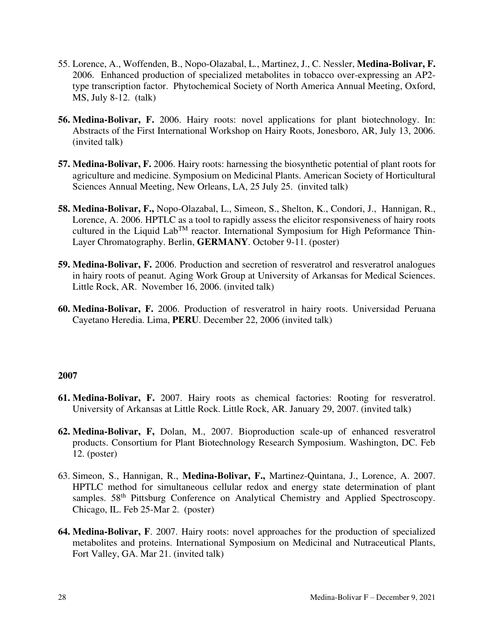- 55. Lorence, A., Woffenden, B., Nopo-Olazabal, L*.*, Martinez, J., C. Nessler, **Medina-Bolivar, F.**  2006. Enhanced production of specialized metabolites in tobacco over-expressing an AP2 type transcription factor. Phytochemical Society of North America Annual Meeting, Oxford, MS, July 8-12. (talk)
- **56. Medina-Bolivar, F.** 2006. Hairy roots: novel applications for plant biotechnology. In: Abstracts of the First International Workshop on Hairy Roots, Jonesboro, AR, July 13, 2006. (invited talk)
- **57. Medina-Bolivar, F.** 2006. Hairy roots: harnessing the biosynthetic potential of plant roots for agriculture and medicine. Symposium on Medicinal Plants. American Society of Horticultural Sciences Annual Meeting, New Orleans, LA, 25 July 25. (invited talk)
- **58. Medina-Bolivar, F.,** Nopo-Olazabal, L., Simeon, S., Shelton, K., Condori, J., Hannigan, R., Lorence, A. 2006. HPTLC as a tool to rapidly assess the elicitor responsiveness of hairy roots cultured in the Liquid  $Lab^{TM}$  reactor. International Symposium for High Peformance Thin-Layer Chromatography. Berlin, **GERMANY**. October 9-11. (poster)
- **59. Medina-Bolivar, F.** 2006. Production and secretion of resveratrol and resveratrol analogues in hairy roots of peanut. Aging Work Group at University of Arkansas for Medical Sciences. Little Rock, AR. November 16, 2006. (invited talk)
- **60. Medina-Bolivar, F.** 2006. Production of resveratrol in hairy roots. Universidad Peruana Cayetano Heredia. Lima, **PERU**. December 22, 2006 (invited talk)

- **61. Medina-Bolivar, F.** 2007. Hairy roots as chemical factories: Rooting for resveratrol. University of Arkansas at Little Rock. Little Rock, AR. January 29, 2007. (invited talk)
- **62. Medina-Bolivar, F,** Dolan, M., 2007. Bioproduction scale-up of enhanced resveratrol products. Consortium for Plant Biotechnology Research Symposium. Washington, DC. Feb 12. (poster)
- 63. Simeon, S., Hannigan, R., **Medina-Bolivar, F.,** Martinez-Quintana, J., Lorence, A. 2007. HPTLC method for simultaneous cellular redox and energy state determination of plant samples. 58<sup>th</sup> Pittsburg Conference on Analytical Chemistry and Applied Spectroscopy. Chicago, IL. Feb 25-Mar 2. (poster)
- **64. Medina-Bolivar, F**. 2007. Hairy roots: novel approaches for the production of specialized metabolites and proteins. International Symposium on Medicinal and Nutraceutical Plants, Fort Valley, GA. Mar 21. (invited talk)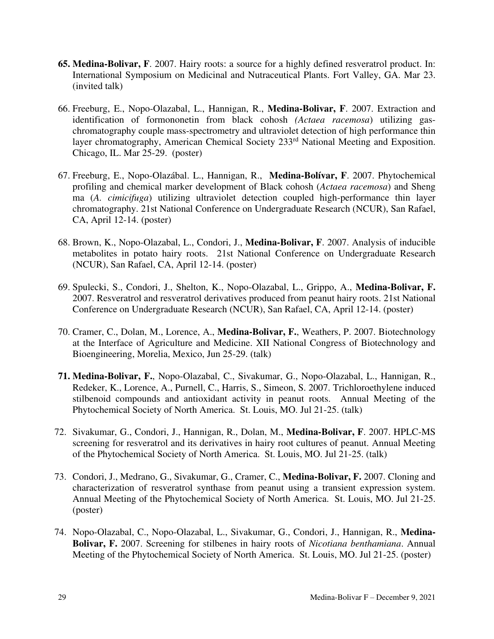- **65. Medina-Bolivar, F**. 2007. Hairy roots: a source for a highly defined resveratrol product. In: International Symposium on Medicinal and Nutraceutical Plants. Fort Valley, GA. Mar 23. (invited talk)
- 66. Freeburg, E., Nopo-Olazabal, L., Hannigan, R., **Medina-Bolivar, F**. 2007. Extraction and identification of formononetin from black cohosh *(Actaea racemosa*) utilizing gaschromatography couple mass-spectrometry and ultraviolet detection of high performance thin layer chromatography, American Chemical Society 233<sup>rd</sup> National Meeting and Exposition. Chicago, IL. Mar 25-29. (poster)
- 67. Freeburg, E., Nopo-Olazábal. L., Hannigan, R., **Medina-Bolívar, F**. 2007. Phytochemical profiling and chemical marker development of Black cohosh (*Actaea racemosa*) and Sheng ma (*A. cimicifuga*) utilizing ultraviolet detection coupled high-performance thin layer chromatography. 21st National Conference on Undergraduate Research (NCUR), San Rafael, CA, April 12-14. (poster)
- 68. Brown, K., Nopo-Olazabal, L., Condori, J., **Medina-Bolivar, F**. 2007. Analysis of inducible metabolites in potato hairy roots. 21st National Conference on Undergraduate Research (NCUR), San Rafael, CA, April 12-14. (poster)
- 69. Spulecki, S., Condori, J., Shelton, K., Nopo-Olazabal, L., Grippo, A., **Medina-Bolivar, F.** 2007. Resveratrol and resveratrol derivatives produced from peanut hairy roots. 21st National Conference on Undergraduate Research (NCUR), San Rafael, CA, April 12-14. (poster)
- 70. Cramer, C., Dolan, M., Lorence, A., **Medina-Bolivar, F.**, Weathers, P. 2007. Biotechnology at the Interface of Agriculture and Medicine. XII National Congress of Biotechnology and Bioengineering, Morelia, Mexico, Jun 25-29. (talk)
- **71. Medina-Bolivar, F.**, Nopo-Olazabal, C., Sivakumar, G., Nopo-Olazabal, L., Hannigan, R., Redeker, K., Lorence, A., Purnell, C., Harris, S., Simeon, S. 2007. Trichloroethylene induced stilbenoid compounds and antioxidant activity in peanut roots. Annual Meeting of the Phytochemical Society of North America. St. Louis, MO. Jul 21-25. (talk)
- 72. Sivakumar, G., Condori, J., Hannigan, R., Dolan, M., **Medina-Bolivar, F**. 2007. HPLC-MS screening for resveratrol and its derivatives in hairy root cultures of peanut. Annual Meeting of the Phytochemical Society of North America. St. Louis, MO. Jul 21-25. (talk)
- 73. Condori, J., Medrano, G., Sivakumar, G., Cramer, C., **Medina-Bolivar, F.** 2007. Cloning and characterization of resveratrol synthase from peanut using a transient expression system. Annual Meeting of the Phytochemical Society of North America. St. Louis, MO. Jul 21-25. (poster)
- 74. Nopo-Olazabal, C., Nopo-Olazabal, L., Sivakumar, G., Condori, J., Hannigan, R., **Medina-Bolivar, F.** 2007. Screening for stilbenes in hairy roots of *Nicotiana benthamiana*. Annual Meeting of the Phytochemical Society of North America. St. Louis, MO. Jul 21-25. (poster)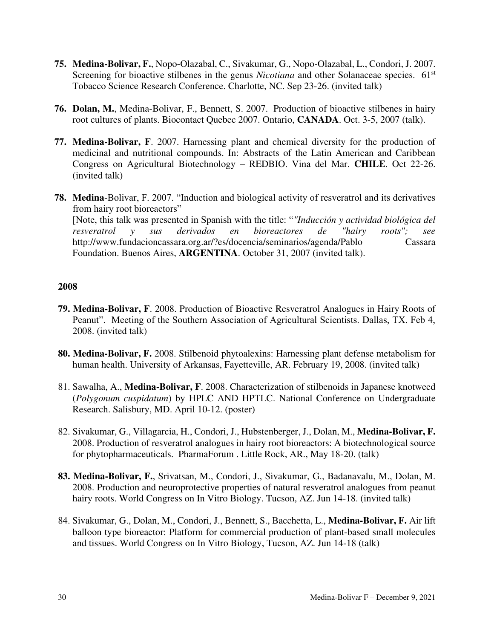- **75. Medina-Bolivar, F.**, Nopo-Olazabal, C., Sivakumar, G., Nopo-Olazabal, L., Condori, J. 2007. Screening for bioactive stilbenes in the genus *Nicotiana* and other Solanaceae species. 61<sup>st</sup> Tobacco Science Research Conference. Charlotte, NC. Sep 23-26. (invited talk)
- **76. Dolan, M.**, Medina-Bolivar, F., Bennett, S. 2007. Production of bioactive stilbenes in hairy root cultures of plants. Biocontact Quebec 2007. Ontario, **CANADA**. Oct. 3-5, 2007 (talk).
- **77. Medina-Bolivar, F**. 2007. Harnessing plant and chemical diversity for the production of medicinal and nutritional compounds. In: Abstracts of the Latin American and Caribbean Congress on Agricultural Biotechnology – REDBIO. Vina del Mar. **CHILE**. Oct 22-26. (invited talk)
- **78. Medina**-Bolivar, F. 2007. "Induction and biological activity of resveratrol and its derivatives from hairy root bioreactors" [Note, this talk was presented in Spanish with the title: "*"Inducción y actividad biológica del resveratrol y sus derivados en bioreactores de "hairy roots"; see* http://www.fundacioncassara.org.ar/?es/docencia/seminarios/agenda/Pablo Cassara Foundation. Buenos Aires, **ARGENTINA**. October 31, 2007 (invited talk).

- **79. Medina-Bolivar, F**. 2008. Production of Bioactive Resveratrol Analogues in Hairy Roots of Peanut". Meeting of the Southern Association of Agricultural Scientists. Dallas, TX. Feb 4, 2008. (invited talk)
- **80. Medina-Bolivar, F.** 2008. Stilbenoid phytoalexins: Harnessing plant defense metabolism for human health. University of Arkansas, Fayetteville, AR. February 19, 2008. (invited talk)
- 81. Sawalha, A., **Medina-Bolivar, F**. 2008. Characterization of stilbenoids in Japanese knotweed (*Polygonum cuspidatum*) by HPLC AND HPTLC. National Conference on Undergraduate Research. Salisbury, MD. April 10-12. (poster)
- 82. Sivakumar, G., Villagarcia, H., Condori, J., Hubstenberger, J., Dolan, M., **Medina-Bolivar, F.**  2008. Production of resveratrol analogues in hairy root bioreactors: A biotechnological source for phytopharmaceuticals. PharmaForum . Little Rock, AR., May 18-20. (talk)
- **83. Medina-Bolivar, F.**, Srivatsan, M., Condori, J., Sivakumar, G., Badanavalu, M., Dolan, M. 2008. Production and neuroprotective properties of natural resveratrol analogues from peanut hairy roots. World Congress on In Vitro Biology. Tucson, AZ. Jun 14-18. (invited talk)
- 84. Sivakumar, G., Dolan, M., Condori, J., Bennett, S., Bacchetta, L., **Medina-Bolivar, F.** Air lift balloon type bioreactor: Platform for commercial production of plant-based small molecules and tissues. World Congress on In Vitro Biology, Tucson, AZ. Jun 14-18 (talk)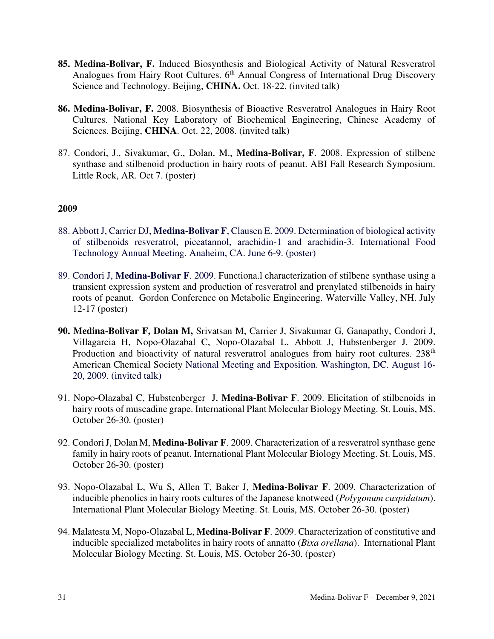- **85. Medina-Bolivar, F.** Induced Biosynthesis and Biological Activity of Natural Resveratrol Analogues from Hairy Root Cultures. 6<sup>th</sup> Annual Congress of International Drug Discovery Science and Technology. Beijing, **CHINA.** Oct. 18-22. (invited talk)
- **86. Medina-Bolivar, F.** 2008. Biosynthesis of Bioactive Resveratrol Analogues in Hairy Root Cultures. National Key Laboratory of Biochemical Engineering, Chinese Academy of Sciences. Beijing, **CHINA**. Oct. 22, 2008. (invited talk)
- 87. Condori, J., Sivakumar, G., Dolan, M., **Medina-Bolivar, F**. 2008. Expression of stilbene synthase and stilbenoid production in hairy roots of peanut. ABI Fall Research Symposium. Little Rock, AR. Oct 7. (poster)

- 88. Abbott J, Carrier DJ, **Medina-Bolivar F**, Clausen E. 2009. Determination of biological activity of stilbenoids resveratrol, piceatannol, arachidin-1 and arachidin-3. International Food Technology Annual Meeting. Anaheim, CA. June 6-9. (poster)
- 89. Condori J, **Medina-Bolivar F**. 2009. Functiona.l characterization of stilbene synthase using a transient expression system and production of resveratrol and prenylated stilbenoids in hairy roots of peanut. Gordon Conference on Metabolic Engineering. Waterville Valley, NH. July 12-17 (poster)
- **90. Medina-Bolivar F, Dolan M,** Srivatsan M, Carrier J, Sivakumar G, Ganapathy, Condori J, Villagarcia H, Nopo-Olazabal C, Nopo-Olazabal L, Abbott J, Hubstenberger J. 2009. Production and bioactivity of natural resveratrol analogues from hairy root cultures.  $238<sup>th</sup>$ American Chemical Society National Meeting and Exposition. Washington, DC. August 16- 20, 2009. (invited talk)
- 91. Nopo-Olazabal C, Hubstenberger J, **Medina-Bolivar. F**. 2009. Elicitation of stilbenoids in hairy roots of muscadine grape. International Plant Molecular Biology Meeting. St. Louis, MS. October 26-30. (poster)
- 92. CondoriJ, Dolan M, **Medina-Bolivar F**. 2009. Characterization of a resveratrol synthase gene family in hairy roots of peanut. International Plant Molecular Biology Meeting. St. Louis, MS. October 26-30. (poster)
- 93. Nopo-Olazabal L, Wu S, Allen T, Baker J, **Medina-Bolivar F**. 2009. Characterization of inducible phenolics in hairy roots cultures of the Japanese knotweed (*Polygonum cuspidatum*). International Plant Molecular Biology Meeting. St. Louis, MS. October 26-30. (poster)
- 94. Malatesta M, Nopo-Olazabal L, **Medina-Bolivar F**. 2009. Characterization of constitutive and inducible specialized metabolites in hairy roots of annatto (*Bixa orellana*). International Plant Molecular Biology Meeting. St. Louis, MS. October 26-30. (poster)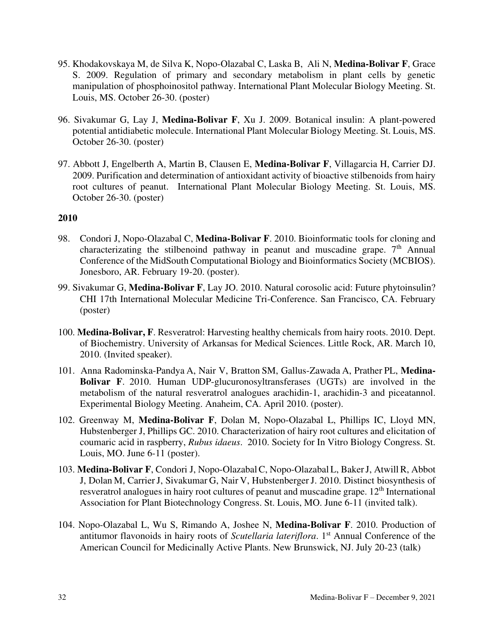- 95. Khodakovskaya M, de Silva K, Nopo-Olazabal C, Laska B, Ali N, **Medina-Bolivar F**, Grace S. 2009. Regulation of primary and secondary metabolism in plant cells by genetic manipulation of phosphoinositol pathway. International Plant Molecular Biology Meeting. St. Louis, MS. October 26-30. (poster)
- 96. Sivakumar G, Lay J, **Medina-Bolivar F**, Xu J. 2009. Botanical insulin: A plant-powered potential antidiabetic molecule. International Plant Molecular Biology Meeting. St. Louis, MS. October 26-30. (poster)
- 97. Abbott J, Engelberth A, Martin B, Clausen E, **Medina-Bolivar F**, Villagarcia H, Carrier DJ. 2009. Purification and determination of antioxidant activity of bioactive stilbenoids from hairy root cultures of peanut. International Plant Molecular Biology Meeting. St. Louis, MS. October 26-30. (poster)

- 98. Condori J, Nopo-Olazabal C, **Medina-Bolivar F**. 2010. Bioinformatic tools for cloning and characterizating the stilbenoind pathway in peanut and muscadine grape.  $7<sup>th</sup>$  Annual Conference of the MidSouth Computational Biology and Bioinformatics Society (MCBIOS). Jonesboro, AR. February 19-20. (poster).
- 99. Sivakumar G, **Medina-Bolivar F**, Lay JO. 2010. Natural corosolic acid: Future phytoinsulin? CHI 17th International Molecular Medicine Tri-Conference. San Francisco, CA. February (poster)
- 100. **Medina-Bolivar, F**. Resveratrol: Harvesting healthy chemicals from hairy roots. 2010. Dept. of Biochemistry. University of Arkansas for Medical Sciences. Little Rock, AR. March 10, 2010. (Invited speaker).
- 101. Anna Radominska-Pandya A, Nair V, Bratton SM, Gallus-Zawada A, Prather PL, **Medina-Bolivar F**. 2010. Human UDP-glucuronosyltransferases (UGTs) are involved in the metabolism of the natural resveratrol analogues arachidin-1, arachidin-3 and piceatannol. Experimental Biology Meeting. Anaheim, CA. April 2010. (poster).
- 102. Greenway M, **Medina-Bolivar F**, Dolan M, Nopo-Olazabal L, Phillips IC, Lloyd MN, Hubstenberger J, Phillips GC. 2010. Characterization of hairy root cultures and elicitation of coumaric acid in raspberry, *Rubus idaeus*. 2010. Society for In Vitro Biology Congress. St. Louis, MO. June 6-11 (poster).
- 103. **Medina-Bolivar F**, Condori J, Nopo-OlazabalC, Nopo-Olazabal L, BakerJ, AtwillR, Abbot J, Dolan M, CarrierJ, Sivakumar G, Nair V, HubstenbergerJ. 2010. Distinct biosynthesis of resveratrol analogues in hairy root cultures of peanut and muscadine grape. 12<sup>th</sup> International Association for Plant Biotechnology Congress. St. Louis, MO. June 6-11 (invited talk).
- 104. Nopo-Olazabal L, Wu S, Rimando A, Joshee N, **Medina-Bolivar F**. 2010. Production of antitumor flavonoids in hairy roots of *Scutellaria lateriflora*. 1<sup>st</sup> Annual Conference of the American Council for Medicinally Active Plants. New Brunswick, NJ. July 20-23 (talk)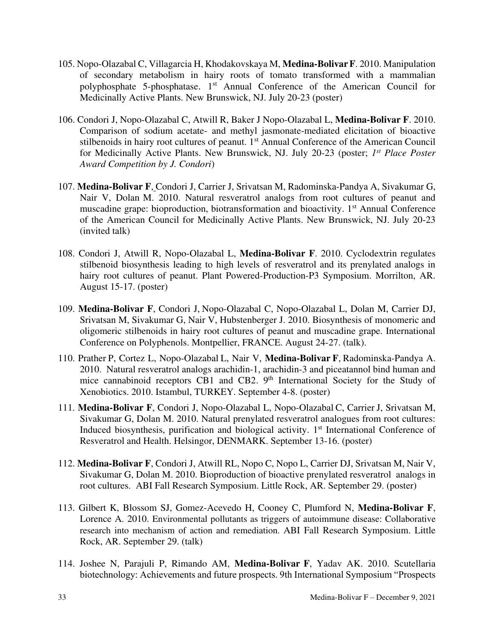- 105. Nopo-Olazabal C, Villagarcia H, Khodakovskaya M, **Medina-BolivarF**. 2010. Manipulation of secondary metabolism in hairy roots of tomato transformed with a mammalian polyphosphate 5-phosphatase. 1<sup>st</sup> Annual Conference of the American Council for Medicinally Active Plants. New Brunswick, NJ. July 20-23 (poster)
- 106. Condori J, Nopo-Olazabal C, Atwill R, Baker J Nopo-Olazabal L, **Medina-Bolivar F**. 2010. Comparison of sodium acetate- and methyl jasmonate-mediated elicitation of bioactive stilbenoids in hairy root cultures of peanut. 1<sup>st</sup> Annual Conference of the American Council for Medicinally Active Plants. New Brunswick, NJ. July 20-23 (poster; *1 st Place Poster Award Competition by J. Condori*)
- 107. **Medina-Bolivar F**, Condori J, Carrier J, Srivatsan M, Radominska-Pandya A, Sivakumar G, Nair V, Dolan M. 2010. Natural resveratrol analogs from root cultures of peanut and muscadine grape: bioproduction, biotransformation and bioactivity. 1<sup>st</sup> Annual Conference of the American Council for Medicinally Active Plants. New Brunswick, NJ. July 20-23 (invited talk)
- 108. Condori J, Atwill R, Nopo-Olazabal L, **Medina-Bolivar F**. 2010. Cyclodextrin regulates stilbenoid biosynthesis leading to high levels of resveratrol and its prenylated analogs in hairy root cultures of peanut. Plant Powered-Production-P3 Symposium. Morrilton, AR. August 15-17. (poster)
- 109. **Medina-Bolivar F**, Condori J, Nopo-Olazabal C, Nopo-Olazabal L, Dolan M, Carrier DJ, Srivatsan M, Sivakumar G, Nair V, Hubstenberger J. 2010. Biosynthesis of monomeric and oligomeric stilbenoids in hairy root cultures of peanut and muscadine grape. International Conference on Polyphenols. Montpellier, FRANCE. August 24-27. (talk).
- 110. Prather P, Cortez L, Nopo-Olazabal L, Nair V, **Medina-Bolivar F**, Radominska-Pandya A. 2010. Natural resveratrol analogs arachidin-1, arachidin-3 and piceatannol bind human and mice cannabinoid receptors CB1 and CB2.  $9<sup>th</sup>$  International Society for the Study of Xenobiotics. 2010. Istambul, TURKEY. September 4-8. (poster)
- 111. **Medina-Bolivar F**, Condori J, Nopo-Olazabal L, Nopo-Olazabal C, Carrier J, Srivatsan M, Sivakumar G, Dolan M. 2010. Natural prenylated resveratrol analogues from root cultures: Induced biosynthesis, purification and biological activity. 1<sup>st</sup> International Conference of Resveratrol and Health. Helsingor, DENMARK. September 13-16. (poster)
- 112. **Medina-Bolivar F**, Condori J, Atwill RL, Nopo C, Nopo L, Carrier DJ, Srivatsan M, Nair V, Sivakumar G, Dolan M. 2010. Bioproduction of bioactive prenylated resveratrol analogs in root cultures. ABI Fall Research Symposium. Little Rock, AR. September 29. (poster)
- 113. Gilbert K, Blossom SJ, Gomez-Acevedo H, Cooney C, Plumford N, **Medina-Bolivar F**, Lorence A. 2010. Environmental pollutants as triggers of autoimmune disease: Collaborative research into mechanism of action and remediation. ABI Fall Research Symposium. Little Rock, AR. September 29. (talk)
- 114. Joshee N, Parajuli P, Rimando AM, **Medina-Bolivar F**, Yadav AK. 2010. Scutellaria biotechnology: Achievements and future prospects. 9th International Symposium "Prospects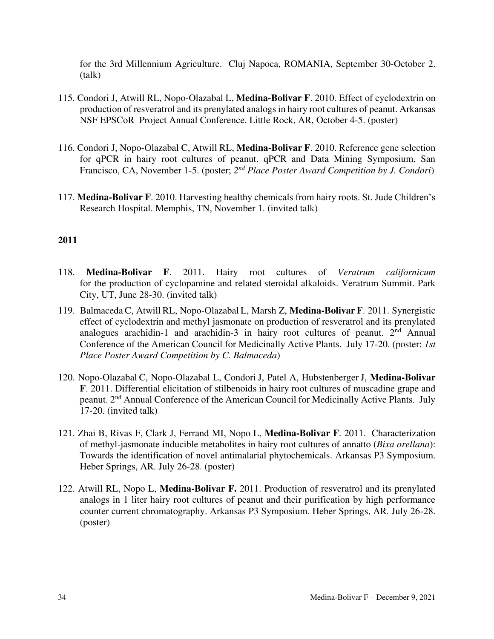for the 3rd Millennium Agriculture. Cluj Napoca, ROMANIA, September 30-October 2. (talk)

- 115. Condori J, Atwill RL, Nopo-Olazabal L, **Medina-Bolivar F**. 2010. Effect of cyclodextrin on production of resveratrol and its prenylated analogs in hairy root cultures of peanut. Arkansas NSF EPSCoR Project Annual Conference. Little Rock, AR, October 4-5. (poster)
- 116. Condori J, Nopo-Olazabal C, Atwill RL, **Medina-Bolivar F**. 2010. Reference gene selection for qPCR in hairy root cultures of peanut. qPCR and Data Mining Symposium, San Francisco, CA, November 1-5. (poster; 2<sup>nd</sup> Place Poster Award Competition by J. Condori)
- 117. **Medina-Bolivar F**. 2010. Harvesting healthy chemicals from hairy roots. St. Jude Children's Research Hospital. Memphis, TN, November 1. (invited talk)

- 118. **Medina-Bolivar F**. 2011. Hairy root cultures of *Veratrum californicum* for the production of cyclopamine and related steroidal alkaloids. Veratrum Summit. Park City, UT, June 28-30. (invited talk)
- 119. Balmaceda C, Atwill RL, Nopo-Olazabal L, Marsh Z, **Medina-Bolivar F**. 2011. Synergistic effect of cyclodextrin and methyl jasmonate on production of resveratrol and its prenylated analogues arachidin-1 and arachidin-3 in hairy root cultures of peanut.  $2<sup>nd</sup>$  Annual Conference of the American Council for Medicinally Active Plants. July 17-20. (poster: *1st Place Poster Award Competition by C. Balmaceda*)
- 120. Nopo-Olazabal C, Nopo-Olazabal L, Condori J, Patel A, Hubstenberger J, **Medina-Bolivar F**. 2011. Differential elicitation of stilbenoids in hairy root cultures of muscadine grape and peanut. 2nd Annual Conference of the American Council for Medicinally Active Plants. July 17-20. (invited talk)
- 121. Zhai B, Rivas F, Clark J, Ferrand MI, Nopo L, **Medina-Bolivar F**. 2011. Characterization of methyl-jasmonate inducible metabolites in hairy root cultures of annatto (*Bixa orellana*): Towards the identification of novel antimalarial phytochemicals. Arkansas P3 Symposium. Heber Springs, AR. July 26-28. (poster)
- 122. Atwill RL, Nopo L, **Medina-Bolivar F.** 2011. Production of resveratrol and its prenylated analogs in 1 liter hairy root cultures of peanut and their purification by high performance counter current chromatography. Arkansas P3 Symposium. Heber Springs, AR. July 26-28. (poster)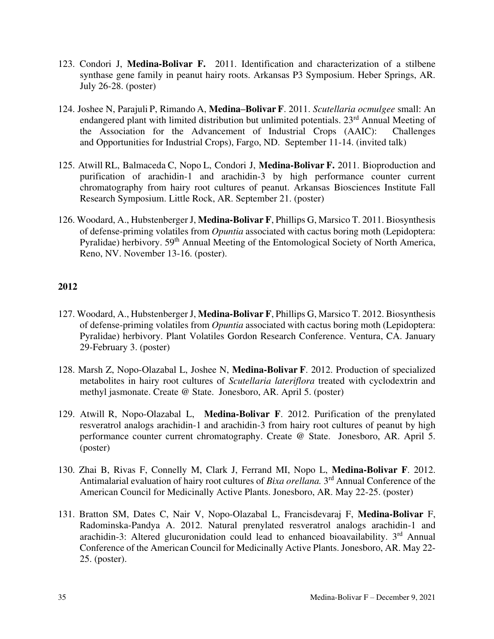- 123. Condori J, **Medina-Bolivar F.** 2011. Identification and characterization of a stilbene synthase gene family in peanut hairy roots. Arkansas P3 Symposium. Heber Springs, AR. July 26-28. (poster)
- 124. Joshee N, Parajuli P, Rimando A, **Medina–Bolivar F**. 2011. *Scutellaria ocmulgee* small: An endangered plant with limited distribution but unlimited potentials. 23<sup>rd</sup> Annual Meeting of the Association for the Advancement of Industrial Crops (AAIC): Challenges and Opportunities for Industrial Crops), Fargo, ND. September 11-14. (invited talk)
- 125. Atwill RL, Balmaceda C, Nopo L, Condori J, **Medina-Bolivar F.** 2011. Bioproduction and purification of arachidin-1 and arachidin-3 by high performance counter current chromatography from hairy root cultures of peanut. Arkansas Biosciences Institute Fall Research Symposium. Little Rock, AR. September 21. (poster)
- 126. Woodard, A., Hubstenberger J, **Medina-Bolivar F**, Phillips G, Marsico T. 2011. Biosynthesis of defense-priming volatiles from *Opuntia* associated with cactus boring moth (Lepidoptera: Pyralidae) herbivory. 59<sup>th</sup> Annual Meeting of the Entomological Society of North America, Reno, NV. November 13-16. (poster).

- 127. Woodard, A., Hubstenberger J, **Medina-Bolivar F**, Phillips G, Marsico T. 2012. Biosynthesis of defense-priming volatiles from *Opuntia* associated with cactus boring moth (Lepidoptera: Pyralidae) herbivory. Plant Volatiles Gordon Research Conference. Ventura, CA. January 29-February 3. (poster)
- 128. Marsh Z, Nopo-Olazabal L, Joshee N, **Medina-Bolivar F**. 2012. Production of specialized metabolites in hairy root cultures of *Scutellaria lateriflora* treated with cyclodextrin and methyl jasmonate. Create @ State. Jonesboro, AR. April 5. (poster)
- 129. Atwill R, Nopo-Olazabal L, **Medina-Bolivar F**. 2012. Purification of the prenylated resveratrol analogs arachidin-1 and arachidin-3 from hairy root cultures of peanut by high performance counter current chromatography. Create @ State. Jonesboro, AR. April 5. (poster)
- 130. Zhai B, Rivas F, Connelly M, Clark J, Ferrand MI, Nopo L, **Medina-Bolivar F**. 2012. Antimalarial evaluation of hairy root cultures of *Bixa orellana*. 3<sup>rd</sup> Annual Conference of the American Council for Medicinally Active Plants. Jonesboro, AR. May 22-25. (poster)
- 131. Bratton SM, Dates C, Nair V, Nopo-Olazabal L, Francisdevaraj F, **Medina-Bolivar** F, Radominska-Pandya A. 2012. Natural prenylated resveratrol analogs arachidin-1 and arachidin-3: Altered glucuronidation could lead to enhanced bioavailability. 3<sup>rd</sup> Annual Conference of the American Council for Medicinally Active Plants. Jonesboro, AR. May 22- 25. (poster).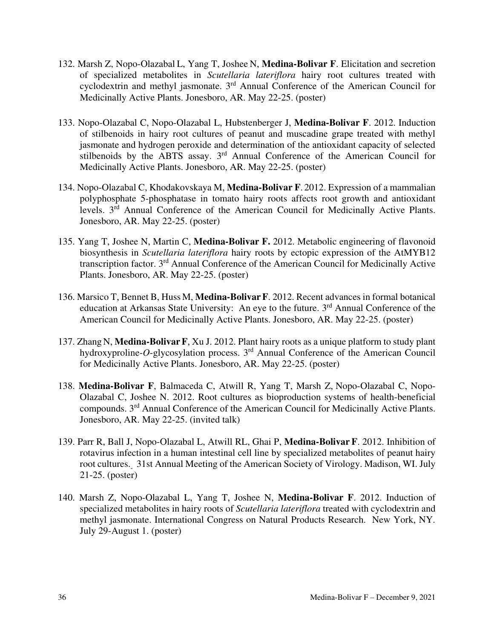- 132. Marsh Z, Nopo-Olazabal L, Yang T, Joshee N, **Medina-Bolivar F**. Elicitation and secretion of specialized metabolites in *Scutellaria lateriflora* hairy root cultures treated with cyclodextrin and methyl jasmonate. 3rd Annual Conference of the American Council for Medicinally Active Plants. Jonesboro, AR. May 22-25. (poster)
- 133. Nopo-Olazabal C, Nopo-Olazabal L, Hubstenberger J, **Medina-Bolivar F**. 2012. Induction of stilbenoids in hairy root cultures of peanut and muscadine grape treated with methyl jasmonate and hydrogen peroxide and determination of the antioxidant capacity of selected stilbenoids by the ABTS assay. 3<sup>rd</sup> Annual Conference of the American Council for Medicinally Active Plants. Jonesboro, AR. May 22-25. (poster)
- 134. Nopo-Olazabal C, Khodakovskaya M, **Medina-Bolivar F**. 2012. Expression of a mammalian polyphosphate 5-phosphatase in tomato hairy roots affects root growth and antioxidant levels. 3rd Annual Conference of the American Council for Medicinally Active Plants. Jonesboro, AR. May 22-25. (poster)
- 135. Yang T, Joshee N, Martin C, **Medina-Bolivar F.** 2012. Metabolic engineering of flavonoid biosynthesis in *Scutellaria lateriflora* hairy roots by ectopic expression of the AtMYB12 transcription factor. 3<sup>rd</sup> Annual Conference of the American Council for Medicinally Active Plants. Jonesboro, AR. May 22-25. (poster)
- 136. Marsico T, Bennet B, HussM, **Medina-BolivarF**. 2012. Recent advances in formal botanical education at Arkansas State University: An eye to the future. 3<sup>rd</sup> Annual Conference of the American Council for Medicinally Active Plants. Jonesboro, AR. May 22-25. (poster)
- 137. ZhangN, **Medina-BolivarF**, Xu J. 2012. Plant hairy roots as a unique platform to study plant hydroxyproline-*O*-glycosylation process. 3rd Annual Conference of the American Council for Medicinally Active Plants. Jonesboro, AR. May 22-25. (poster)
- 138. **Medina-Bolivar F**, Balmaceda C, Atwill R, Yang T, Marsh Z, Nopo-Olazabal C, Nopo-Olazabal C, Joshee N. 2012. Root cultures as bioproduction systems of health-beneficial compounds. 3<sup>rd</sup> Annual Conference of the American Council for Medicinally Active Plants. Jonesboro, AR. May 22-25. (invited talk)
- 139. Parr R, Ball J, Nopo-Olazabal L, Atwill RL, Ghai P, **Medina-Bolivar F**. 2012. Inhibition of rotavirus infection in a human intestinal cell line by specialized metabolites of peanut hairy root cultures. 31st Annual Meeting of the American Society of Virology. Madison, WI. July 21-25. (poster)
- 140. Marsh Z, Nopo-Olazabal L, Yang T, Joshee N, **Medina-Bolivar F**. 2012. Induction of specialized metabolites in hairy roots of *Scutellaria lateriflora* treated with cyclodextrin and methyl jasmonate. International Congress on Natural Products Research. New York, NY. July 29-August 1. (poster)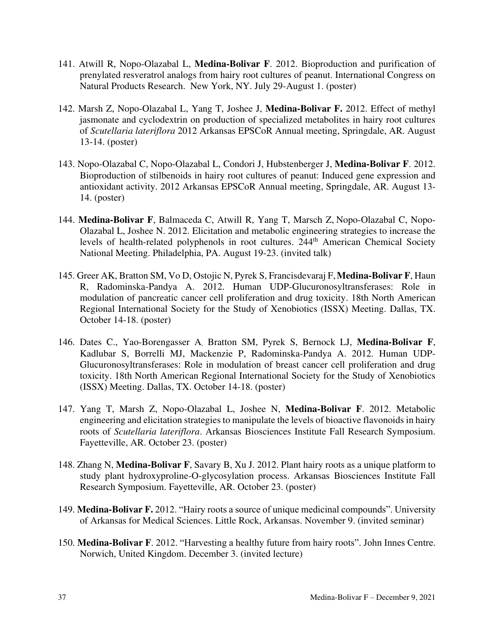- 141. Atwill R, Nopo-Olazabal L, **Medina-Bolivar F**. 2012. Bioproduction and purification of prenylated resveratrol analogs from hairy root cultures of peanut. International Congress on Natural Products Research. New York, NY. July 29-August 1. (poster)
- 142. Marsh Z, Nopo-Olazabal L, Yang T, Joshee J, **Medina-Bolivar F.** 2012. Effect of methyl jasmonate and cyclodextrin on production of specialized metabolites in hairy root cultures of *Scutellaria lateriflora* 2012 Arkansas EPSCoR Annual meeting, Springdale, AR. August 13-14. (poster)
- 143. Nopo-Olazabal C, Nopo-Olazabal L, Condori J, Hubstenberger J, **Medina-Bolivar F**. 2012. Bioproduction of stilbenoids in hairy root cultures of peanut: Induced gene expression and antioxidant activity. 2012 Arkansas EPSCoR Annual meeting, Springdale, AR. August 13- 14. (poster)
- 144. **Medina-Bolivar F**, Balmaceda C, Atwill R, Yang T, Marsch Z, Nopo-Olazabal C, Nopo-Olazabal L, Joshee N. 2012. Elicitation and metabolic engineering strategies to increase the levels of health-related polyphenols in root cultures. 244<sup>th</sup> American Chemical Society National Meeting. Philadelphia, PA. August 19-23. (invited talk)
- 145. Greer AK, Bratton SM, Vo D, Ostojic N, Pyrek S, Francisdevaraj F,**Medina-Bolivar F**, Haun R, Radominska-Pandya A. 2012. Human UDP-Glucuronosyltransferases: Role in modulation of pancreatic cancer cell proliferation and drug toxicity. 18th North American Regional International Society for the Study of Xenobiotics (ISSX) Meeting. Dallas, TX. October 14-18. (poster)
- 146. Dates C., Yao-Borengasser A, Bratton SM, Pyrek S, Bernock LJ, **Medina-Bolivar F**, Kadlubar S, Borrelli MJ, Mackenzie P, Radominska-Pandya A. 2012. Human UDP-Glucuronosyltransferases: Role in modulation of breast cancer cell proliferation and drug toxicity. 18th North American Regional International Society for the Study of Xenobiotics (ISSX) Meeting. Dallas, TX. October 14-18. (poster)
- 147. Yang T, Marsh Z, Nopo-Olazabal L, Joshee N, **Medina-Bolivar F**. 2012. Metabolic engineering and elicitation strategies to manipulate the levels of bioactive flavonoids in hairy roots of *Scutellaria lateriflora*. Arkansas Biosciences Institute Fall Research Symposium. Fayetteville, AR. October 23. (poster)
- 148. Zhang N, **Medina-Bolivar F**, Savary B, Xu J. 2012. Plant hairy roots as a unique platform to study plant hydroxyproline-O-glycosylation process. Arkansas Biosciences Institute Fall Research Symposium. Fayetteville, AR. October 23. (poster)
- 149. **Medina-Bolivar F.** 2012. "Hairy roots a source of unique medicinal compounds". University of Arkansas for Medical Sciences. Little Rock, Arkansas. November 9. (invited seminar)
- 150. **Medina-Bolivar F**. 2012. "Harvesting a healthy future from hairy roots". John Innes Centre. Norwich, United Kingdom. December 3. (invited lecture)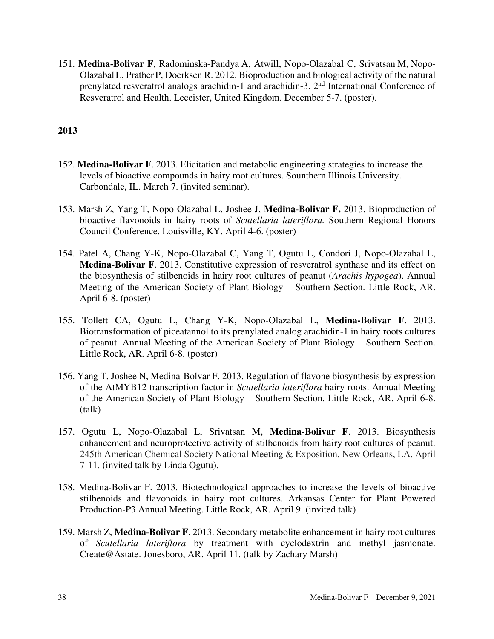151. **Medina-Bolivar F**, Radominska-Pandya A, Atwill, Nopo-Olazabal C, Srivatsan M, Nopo-OlazabalL, Prather P, Doerksen R. 2012. Bioproduction and biological activity of the natural prenylated resveratrol analogs arachidin-1 and arachidin-3. 2nd International Conference of Resveratrol and Health. Leceister, United Kingdom. December 5-7. (poster).

- 152. **Medina-Bolivar F**. 2013. Elicitation and metabolic engineering strategies to increase the levels of bioactive compounds in hairy root cultures. Sounthern Illinois University. Carbondale, IL. March 7. (invited seminar).
- 153. Marsh Z, Yang T, Nopo-Olazabal L, Joshee J, **Medina-Bolivar F.** 2013. Bioproduction of bioactive flavonoids in hairy roots of *Scutellaria lateriflora.* Southern Regional Honors Council Conference. Louisville, KY. April 4-6. (poster)
- 154. Patel A, Chang Y-K, Nopo-Olazabal C, Yang T, Ogutu L, Condori J, Nopo-Olazabal L, **Medina-Bolivar F**. 2013. Constitutive expression of resveratrol synthase and its effect on the biosynthesis of stilbenoids in hairy root cultures of peanut (*Arachis hypogea*). Annual Meeting of the American Society of Plant Biology – Southern Section. Little Rock, AR. April 6-8. (poster)
- 155. Tollett CA, Ogutu L, Chang Y-K, Nopo-Olazabal L, **Medina-Bolivar F**. 2013. Biotransformation of piceatannol to its prenylated analog arachidin-1 in hairy roots cultures of peanut. Annual Meeting of the American Society of Plant Biology – Southern Section. Little Rock, AR. April 6-8. (poster)
- 156. Yang T, Joshee N, Medina-Bolvar F. 2013. Regulation of flavone biosynthesis by expression of the AtMYB12 transcription factor in *Scutellaria lateriflora* hairy roots. Annual Meeting of the American Society of Plant Biology – Southern Section. Little Rock, AR. April 6-8. (talk)
- 157. Ogutu L, Nopo-Olazabal L, Srivatsan M, **Medina-Bolivar F**. 2013. Biosynthesis enhancement and neuroprotective activity of stilbenoids from hairy root cultures of peanut. 245th American Chemical Society National Meeting & Exposition. New Orleans, LA. April 7-11. (invited talk by Linda Ogutu).
- 158. Medina-Bolivar F. 2013. Biotechnological approaches to increase the levels of bioactive stilbenoids and flavonoids in hairy root cultures. Arkansas Center for Plant Powered Production-P3 Annual Meeting. Little Rock, AR. April 9. (invited talk)
- 159. Marsh Z, **Medina-Bolivar F**. 2013. Secondary metabolite enhancement in hairy root cultures of *Scutellaria lateriflora* by treatment with cyclodextrin and methyl jasmonate. Create@Astate. Jonesboro, AR. April 11. (talk by Zachary Marsh)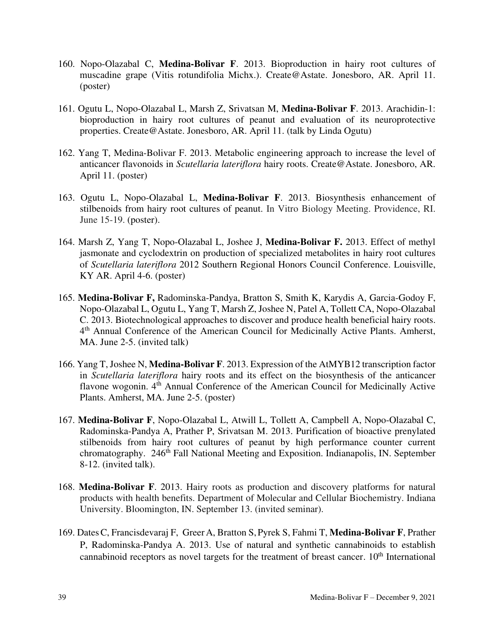- 160. Nopo-Olazabal C, **Medina-Bolivar F**. 2013. Bioproduction in hairy root cultures of muscadine grape (Vitis rotundifolia Michx.). Create@Astate. Jonesboro, AR. April 11. (poster)
- 161. Ogutu L, Nopo-Olazabal L, Marsh Z, Srivatsan M, **Medina-Bolivar F**. 2013. Arachidin-1: bioproduction in hairy root cultures of peanut and evaluation of its neuroprotective properties. Create@Astate. Jonesboro, AR. April 11. (talk by Linda Ogutu)
- 162. Yang T, Medina-Bolivar F. 2013. Metabolic engineering approach to increase the level of anticancer flavonoids in *Scutellaria lateriflora* hairy roots. Create@Astate. Jonesboro, AR. April 11. (poster)
- 163. Ogutu L, Nopo-Olazabal L, **Medina-Bolivar F**. 2013. Biosynthesis enhancement of stilbenoids from hairy root cultures of peanut. In Vitro Biology Meeting. Providence, RI. June 15-19. (poster).
- 164. Marsh Z, Yang T, Nopo-Olazabal L, Joshee J, **Medina-Bolivar F.** 2013. Effect of methyl jasmonate and cyclodextrin on production of specialized metabolites in hairy root cultures of *Scutellaria lateriflora* 2012 Southern Regional Honors Council Conference. Louisville, KY AR. April 4-6. (poster)
- 165. **Medina-Bolivar F,** Radominska-Pandya, Bratton S, Smith K, Karydis A, Garcia-Godoy F, Nopo-Olazabal L, Ogutu L, Yang T, Marsh Z, Joshee N, Patel A, Tollett CA, Nopo-Olazabal C. 2013. Biotechnological approaches to discover and produce health beneficial hairy roots. 4<sup>th</sup> Annual Conference of the American Council for Medicinally Active Plants. Amherst, MA. June 2-5. (invited talk)
- 166. Yang T, Joshee N, **Medina-Bolivar F**. 2013. Expression of the AtMYB12 transcription factor in *Scutellaria lateriflora* hairy roots and its effect on the biosynthesis of the anticancer flavone wogonin. 4<sup>th</sup> Annual Conference of the American Council for Medicinally Active Plants. Amherst, MA. June 2-5. (poster)
- 167. **Medina-Bolivar F**, Nopo-Olazabal L, Atwill L, Tollett A, Campbell A, Nopo-Olazabal C, Radominska-Pandya A, Prather P, Srivatsan M. 2013. Purification of bioactive prenylated stilbenoids from hairy root cultures of peanut by high performance counter current chromatography. 246<sup>th</sup> Fall National Meeting and Exposition. Indianapolis, IN. September 8-12. (invited talk).
- 168. **Medina-Bolivar F**. 2013. Hairy roots as production and discovery platforms for natural products with health benefits. Department of Molecular and Cellular Biochemistry. Indiana University. Bloomington, IN. September 13. (invited seminar).
- 169. DatesC, Francisdevaraj F, GreerA, Bratton S, Pyrek S, Fahmi T, **Medina-Bolivar F**, Prather P, Radominska-Pandya A. 2013. Use of natural and synthetic cannabinoids to establish cannabinoid receptors as novel targets for the treatment of breast cancer.  $10<sup>th</sup>$  International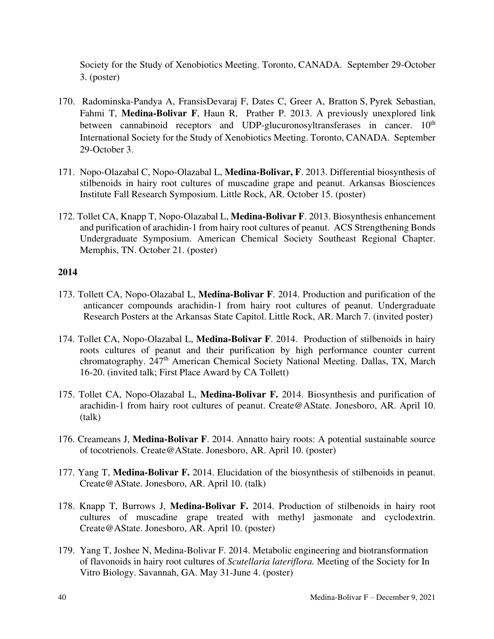Society for the Study of Xenobiotics Meeting. Toronto, CANADA. September 29-October 3. (poster)

- 170. Radominska-Pandya A, FransisDevaraj F, Dates C, Greer A, Bratton S, Pyrek Sebastian, Fahmi T, **Medina-Bolivar F**, Haun R, Prather P. 2013. A previously unexplored link between cannabinoid receptors and UDP-glucuronosyltransferases in cancer.  $10<sup>th</sup>$ International Society for the Study of Xenobiotics Meeting. Toronto, CANADA. September 29-October 3.
- 171. Nopo-Olazabal C, Nopo-Olazabal L, **Medina-Bolivar, F**. 2013. Differential biosynthesis of stilbenoids in hairy root cultures of muscadine grape and peanut. Arkansas Biosciences Institute Fall Research Symposium. Little Rock, AR. October 15. (poster)
- 172. Tollet CA, Knapp T, Nopo-Olazabal L, **Medina-Bolivar F**. 2013. Biosynthesis enhancement and purification of arachidin-1 from hairy root cultures of peanut. ACS Strengthening Bonds Undergraduate Symposium. American Chemical Society Southeast Regional Chapter. Memphis, TN. October 21. (poster)

- 173. Tollett CA, Nopo-Olazabal L, **Medina-Bolivar F**. 2014. Production and purification of the anticancer compounds arachidin-1 from hairy root cultures of peanut. Undergraduate Research Posters at the Arkansas State Capitol. Little Rock, AR. March 7. (invited poster)
- 174. Tollet CA, Nopo-Olazabal L, **Medina-Bolivar F**. 2014. Production of stilbenoids in hairy roots cultures of peanut and their purification by high performance counter current chromatography. 247<sup>th</sup> American Chemical Society National Meeting. Dallas, TX, March 16-20. (invited talk; First Place Award by CA Tollett)
- 175. Tollet CA, Nopo-Olazabal L, **Medina-Bolivar F.** 2014. Biosynthesis and purification of arachidin-1 from hairy root cultures of peanut. Create@AState. Jonesboro, AR. April 10. (talk)
- 176. Creameans J, **Medina-Bolivar F**. 2014. Annatto hairy roots: A potential sustainable source of tocotrienols. Create@AState. Jonesboro, AR. April 10. (poster)
- 177. Yang T, **Medina-Bolivar F.** 2014. Elucidation of the biosynthesis of stilbenoids in peanut. Create@AState. Jonesboro, AR. April 10. (talk)
- 178. Knapp T, Burrows J, **Medina-Bolivar F.** 2014. Production of stilbenoids in hairy root cultures of muscadine grape treated with methyl jasmonate and cyclodextrin. Create@AState. Jonesboro, AR. April 10. (poster)
- 179. Yang T, Joshee N, Medina-Bolivar F. 2014. Metabolic engineering and biotransformation of flavonoids in hairy root cultures of *Scutellaria lateriflora.* Meeting of the Society for In Vitro Biology. Savannah, GA. May 31-June 4. (poster)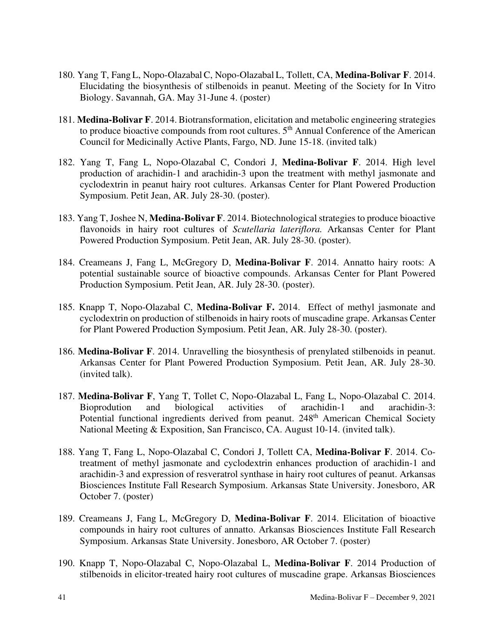- 180. Yang T, Fang L, Nopo-OlazabalC, Nopo-Olazabal L, Tollett, CA, **Medina-Bolivar F**. 2014. Elucidating the biosynthesis of stilbenoids in peanut. Meeting of the Society for In Vitro Biology. Savannah, GA. May 31-June 4. (poster)
- 181. **Medina-Bolivar F**. 2014. Biotransformation, elicitation and metabolic engineering strategies to produce bioactive compounds from root cultures.  $5<sup>th</sup>$  Annual Conference of the American Council for Medicinally Active Plants, Fargo, ND. June 15-18. (invited talk)
- 182. Yang T, Fang L, Nopo-Olazabal C, Condori J, **Medina-Bolivar F**. 2014. High level production of arachidin-1 and arachidin-3 upon the treatment with methyl jasmonate and cyclodextrin in peanut hairy root cultures. Arkansas Center for Plant Powered Production Symposium. Petit Jean, AR. July 28-30. (poster).
- 183. Yang T, Joshee N, **Medina-Bolivar F**. 2014. Biotechnological strategies to produce bioactive flavonoids in hairy root cultures of *Scutellaria lateriflora.* Arkansas Center for Plant Powered Production Symposium. Petit Jean, AR. July 28-30. (poster).
- 184. Creameans J, Fang L, McGregory D, **Medina-Bolivar F**. 2014. Annatto hairy roots: A potential sustainable source of bioactive compounds. Arkansas Center for Plant Powered Production Symposium. Petit Jean, AR. July 28-30. (poster).
- 185. Knapp T, Nopo-Olazabal C, **Medina-Bolivar F.** 2014. Effect of methyl jasmonate and cyclodextrin on production of stilbenoids in hairy roots of muscadine grape. Arkansas Center for Plant Powered Production Symposium. Petit Jean, AR. July 28-30. (poster).
- 186. **Medina-Bolivar F**. 2014. Unravelling the biosynthesis of prenylated stilbenoids in peanut. Arkansas Center for Plant Powered Production Symposium. Petit Jean, AR. July 28-30. (invited talk).
- 187. **Medina-Bolivar F**, Yang T, Tollet C, Nopo-Olazabal L, Fang L, Nopo-Olazabal C. 2014. Bioprodution and biological activities of arachidin-1 and arachidin-3: Potential functional ingredients derived from peanut. 248<sup>th</sup> American Chemical Society National Meeting & Exposition, San Francisco, CA. August 10-14. (invited talk).
- 188. Yang T, Fang L, Nopo-Olazabal C, Condori J, Tollett CA, **Medina-Bolivar F**. 2014. Cotreatment of methyl jasmonate and cyclodextrin enhances production of arachidin-1 and arachidin-3 and expression of resveratrol synthase in hairy root cultures of peanut. Arkansas Biosciences Institute Fall Research Symposium. Arkansas State University. Jonesboro, AR October 7. (poster)
- 189. Creameans J, Fang L, McGregory D, **Medina-Bolivar F**. 2014. Elicitation of bioactive compounds in hairy root cultures of annatto. Arkansas Biosciences Institute Fall Research Symposium. Arkansas State University. Jonesboro, AR October 7. (poster)
- 190. Knapp T, Nopo-Olazabal C, Nopo-Olazabal L, **Medina-Bolivar F**. 2014 Production of stilbenoids in elicitor-treated hairy root cultures of muscadine grape. Arkansas Biosciences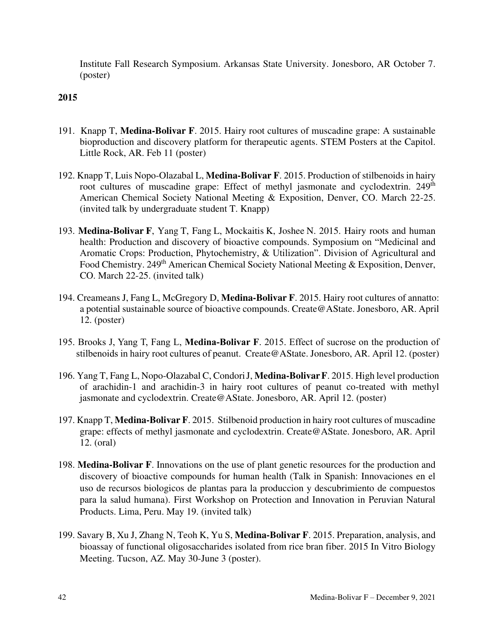Institute Fall Research Symposium. Arkansas State University. Jonesboro, AR October 7. (poster)

- 191. Knapp T, **Medina-Bolivar F**. 2015. Hairy root cultures of muscadine grape: A sustainable bioproduction and discovery platform for therapeutic agents. STEM Posters at the Capitol. Little Rock, AR. Feb 11 (poster)
- 192. Knapp T, Luis Nopo-Olazabal L, **Medina-Bolivar F**. 2015. Production of stilbenoids in hairy root cultures of muscadine grape: Effect of methyl jasmonate and cyclodextrin. 249<sup>th</sup> American Chemical Society National Meeting & Exposition, Denver, CO. March 22-25. (invited talk by undergraduate student T. Knapp)
- 193. **Medina-Bolivar F**, Yang T, Fang L, Mockaitis K, Joshee N. 2015. Hairy roots and human health: Production and discovery of bioactive compounds. Symposium on "Medicinal and Aromatic Crops: Production, Phytochemistry, & Utilization". Division of Agricultural and Food Chemistry. 249<sup>th</sup> American Chemical Society National Meeting & Exposition, Denver, CO. March 22-25. (invited talk)
- 194. Creameans J, Fang L, McGregory D, **Medina-Bolivar F**. 2015. Hairy root cultures of annatto: a potential sustainable source of bioactive compounds. Create@AState. Jonesboro, AR. April 12. (poster)
- 195. Brooks J, Yang T, Fang L, **Medina-Bolivar F**. 2015. Effect of sucrose on the production of stilbenoids in hairy root cultures of peanut. Create@AState. Jonesboro, AR. April 12. (poster)
- 196. Yang T, Fang L, Nopo-Olazabal C, CondoriJ, **Medina-BolivarF**. 2015. High level production of arachidin-1 and arachidin-3 in hairy root cultures of peanut co-treated with methyl jasmonate and cyclodextrin. Create@AState. Jonesboro, AR. April 12. (poster)
- 197. Knapp T, **Medina-Bolivar F**. 2015. Stilbenoid production in hairy root cultures of muscadine grape: effects of methyl jasmonate and cyclodextrin. Create@AState. Jonesboro, AR. April 12. (oral)
- 198. **Medina-Bolivar F**. Innovations on the use of plant genetic resources for the production and discovery of bioactive compounds for human health (Talk in Spanish: Innovaciones en el uso de recursos biologicos de plantas para la produccion y descubrimiento de compuestos para la salud humana). First Workshop on Protection and Innovation in Peruvian Natural Products. Lima, Peru. May 19. (invited talk)
- 199. Savary B, Xu J, Zhang N, Teoh K, Yu S, **Medina-Bolivar F**. 2015. Preparation, analysis, and bioassay of functional oligosaccharides isolated from rice bran fiber. 2015 In Vitro Biology Meeting. Tucson, AZ. May 30-June 3 (poster).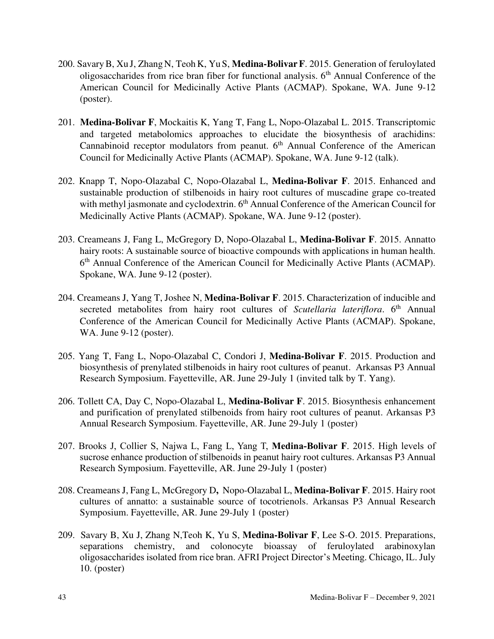- 200. SavaryB, Xu J, Zhang N, Teoh K, Yu S, **Medina-BolivarF**. 2015. Generation of feruloylated oligosaccharides from rice bran fiber for functional analysis.  $6<sup>th</sup>$  Annual Conference of the American Council for Medicinally Active Plants (ACMAP). Spokane, WA. June 9-12 (poster).
- 201. **Medina-Bolivar F**, Mockaitis K, Yang T, Fang L, Nopo-Olazabal L. 2015. Transcriptomic and targeted metabolomics approaches to elucidate the biosynthesis of arachidins: Cannabinoid receptor modulators from peanut.  $6<sup>th</sup>$  Annual Conference of the American Council for Medicinally Active Plants (ACMAP). Spokane, WA. June 9-12 (talk).
- 202. Knapp T, Nopo-Olazabal C, Nopo-Olazabal L, **Medina-Bolivar F**. 2015. Enhanced and sustainable production of stilbenoids in hairy root cultures of muscadine grape co-treated with methyl jasmonate and cyclodextrin.  $6<sup>th</sup>$  Annual Conference of the American Council for Medicinally Active Plants (ACMAP). Spokane, WA. June 9-12 (poster).
- 203. Creameans J, Fang L, McGregory D, Nopo-Olazabal L, **Medina-Bolivar F**. 2015. Annatto hairy roots: A sustainable source of bioactive compounds with applications in human health. 6<sup>th</sup> Annual Conference of the American Council for Medicinally Active Plants (ACMAP). Spokane, WA. June 9-12 (poster).
- 204. Creameans J, Yang T, Joshee N, **Medina-Bolivar F**. 2015. Characterization of inducible and secreted metabolites from hairy root cultures of *Scutellaria lateriflora*. 6<sup>th</sup> Annual Conference of the American Council for Medicinally Active Plants (ACMAP). Spokane, WA. June 9-12 (poster).
- 205. Yang T, Fang L, Nopo-Olazabal C, Condori J, **Medina-Bolivar F**. 2015. Production and biosynthesis of prenylated stilbenoids in hairy root cultures of peanut. Arkansas P3 Annual Research Symposium. Fayetteville, AR. June 29-July 1 (invited talk by T. Yang).
- 206. Tollett CA, Day C, Nopo-Olazabal L, **Medina-Bolivar F**. 2015. Biosynthesis enhancement and purification of prenylated stilbenoids from hairy root cultures of peanut. Arkansas P3 Annual Research Symposium. Fayetteville, AR. June 29-July 1 (poster)
- 207. Brooks J, Collier S, Najwa L, Fang L, Yang T, **Medina-Bolivar F**. 2015. High levels of sucrose enhance production of stilbenoids in peanut hairy root cultures. Arkansas P3 Annual Research Symposium. Fayetteville, AR. June 29-July 1 (poster)
- 208. Creameans J, Fang L, McGregory D**,** Nopo-Olazabal L, **Medina-Bolivar F**. 2015. Hairy root cultures of annatto: a sustainable source of tocotrienols. Arkansas P3 Annual Research Symposium. Fayetteville, AR. June 29-July 1 (poster)
- 209. Savary B, Xu J, Zhang N,Teoh K, Yu S, **Medina-Bolivar F**, Lee S-O. 2015. Preparations, separations chemistry, and colonocyte bioassay of feruloylated arabinoxylan oligosaccharides isolated from rice bran. AFRI Project Director's Meeting. Chicago, IL. July 10. (poster)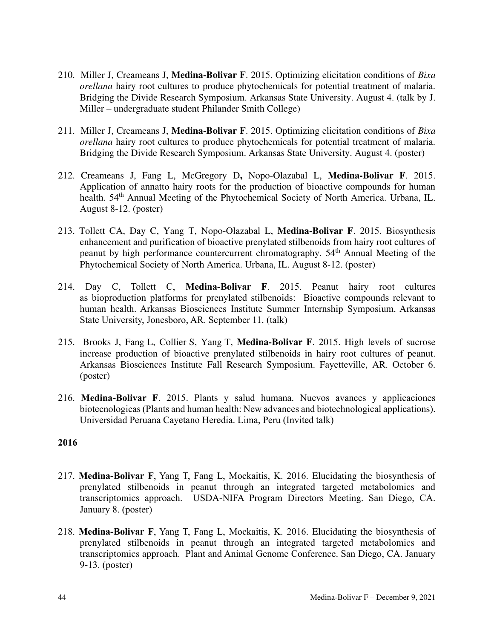- 210. Miller J, Creameans J, **Medina-Bolivar F**. 2015. Optimizing elicitation conditions of *Bixa orellana* hairy root cultures to produce phytochemicals for potential treatment of malaria. Bridging the Divide Research Symposium. Arkansas State University. August 4. (talk by J. Miller – undergraduate student Philander Smith College)
- 211. Miller J, Creameans J, **Medina-Bolivar F**. 2015. Optimizing elicitation conditions of *Bixa orellana* hairy root cultures to produce phytochemicals for potential treatment of malaria. Bridging the Divide Research Symposium. Arkansas State University. August 4. (poster)
- 212. Creameans J, Fang L, McGregory D**,** Nopo-Olazabal L, **Medina-Bolivar F**. 2015. Application of annatto hairy roots for the production of bioactive compounds for human health. 54<sup>th</sup> Annual Meeting of the Phytochemical Society of North America. Urbana, IL. August 8-12. (poster)
- 213. Tollett CA, Day C, Yang T, Nopo-Olazabal L, **Medina-Bolivar F**. 2015. Biosynthesis enhancement and purification of bioactive prenylated stilbenoids from hairy root cultures of peanut by high performance countercurrent chromatography. 54<sup>th</sup> Annual Meeting of the Phytochemical Society of North America. Urbana, IL. August 8-12. (poster)
- 214. Day C, Tollett C, **Medina-Bolivar F**. 2015. Peanut hairy root cultures as bioproduction platforms for prenylated stilbenoids: Bioactive compounds relevant to human health. Arkansas Biosciences Institute Summer Internship Symposium. Arkansas State University, Jonesboro, AR. September 11. (talk)
- 215. Brooks J, Fang L, Collier S, Yang T, **Medina-Bolivar F**. 2015. High levels of sucrose increase production of bioactive prenylated stilbenoids in hairy root cultures of peanut. Arkansas Biosciences Institute Fall Research Symposium. Fayetteville, AR. October 6. (poster)
- 216. **Medina-Bolivar F**. 2015. Plants y salud humana. Nuevos avances y applicaciones biotecnologicas (Plants and human health: New advances and biotechnological applications). Universidad Peruana Cayetano Heredia. Lima, Peru (Invited talk)

- 217. **Medina-Bolivar F**, Yang T, Fang L, Mockaitis, K. 2016. Elucidating the biosynthesis of prenylated stilbenoids in peanut through an integrated targeted metabolomics and transcriptomics approach. USDA-NIFA Program Directors Meeting. San Diego, CA. January 8. (poster)
- 218. **Medina-Bolivar F**, Yang T, Fang L, Mockaitis, K. 2016. Elucidating the biosynthesis of prenylated stilbenoids in peanut through an integrated targeted metabolomics and transcriptomics approach. Plant and Animal Genome Conference. San Diego, CA. January 9-13. (poster)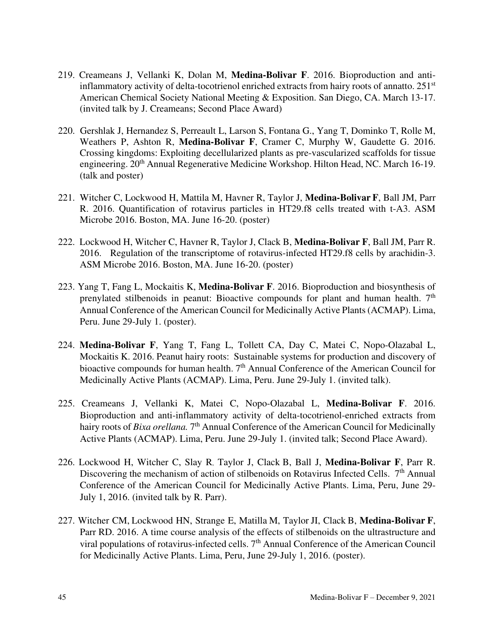- 219. Creameans J, Vellanki K, Dolan M, **Medina-Bolivar F**. 2016. Bioproduction and antiinflammatory activity of delta-tocotrienol enriched extracts from hairy roots of annatto. 251<sup>st</sup> American Chemical Society National Meeting & Exposition. San Diego, CA. March 13-17. (invited talk by J. Creameans; Second Place Award)
- 220. Gershlak J, Hernandez S, Perreault L, Larson S, Fontana G., Yang T, Dominko T, Rolle M, Weathers P, Ashton R, **Medina-Bolivar F**, Cramer C, Murphy W, Gaudette G. 2016. Crossing kingdoms: Exploiting decellularized plants as pre-vascularized scaffolds for tissue engineering. 20<sup>th</sup> Annual Regenerative Medicine Workshop. Hilton Head, NC. March 16-19. (talk and poster)
- 221. Witcher C, Lockwood H, Mattila M, Havner R, Taylor J, **Medina-Bolivar F**, Ball JM, Parr R. 2016. Quantification of rotavirus particles in HT29.f8 cells treated with t-A3. ASM Microbe 2016. Boston, MA. June 16-20. (poster)
- 222. Lockwood H, Witcher C, Havner R, Taylor J, Clack B, **Medina-Bolivar F**, Ball JM, Parr R. 2016. Regulation of the transcriptome of rotavirus-infected HT29.f8 cells by arachidin-3. ASM Microbe 2016. Boston, MA. June 16-20. (poster)
- 223. Yang T, Fang L, Mockaitis K, **Medina-Bolivar F**. 2016. Bioproduction and biosynthesis of prenylated stilbenoids in peanut: Bioactive compounds for plant and human health.  $7<sup>th</sup>$ Annual Conference of the American Council for Medicinally Active Plants (ACMAP). Lima, Peru. June 29-July 1. (poster).
- 224. **Medina-Bolivar F**, Yang T, Fang L, Tollett CA, Day C, Matei C, Nopo-Olazabal L, Mockaitis K. 2016. Peanut hairy roots: Sustainable systems for production and discovery of bioactive compounds for human health.  $7<sup>th</sup>$  Annual Conference of the American Council for Medicinally Active Plants (ACMAP). Lima, Peru. June 29-July 1. (invited talk).
- 225. Creameans J, Vellanki K, Matei C, Nopo-Olazabal L, **Medina-Bolivar F**. 2016. Bioproduction and anti-inflammatory activity of delta-tocotrienol-enriched extracts from hairy roots of *Bixa orellana*. 7<sup>th</sup> Annual Conference of the American Council for Medicinally Active Plants (ACMAP). Lima, Peru. June 29-July 1. (invited talk; Second Place Award).
- 226. Lockwood H, Witcher C, Slay R, Taylor J, Clack B, Ball J, **Medina-Bolivar F**, Parr R. Discovering the mechanism of action of stilbenoids on Rotavirus Infected Cells. 7<sup>th</sup> Annual Conference of the American Council for Medicinally Active Plants. Lima, Peru, June 29- July 1, 2016. (invited talk by R. Parr).
- 227. Witcher CM, Lockwood HN, Strange E, Matilla M, Taylor JI, Clack B, **Medina-Bolivar F**, Parr RD. 2016. A time course analysis of the effects of stilbenoids on the [ultrastructure and](http://www.sciencedirect.com/science/article/pii/0889160586900406)  [viral populations o](http://www.sciencedirect.com/science/article/pii/0889160586900406)f rotavirus-infected cells.  $7<sup>th</sup>$  Annual Conference of the American Council for Medicinally Active Plants. Lima, Peru, June 29-July 1, 2016. (poster).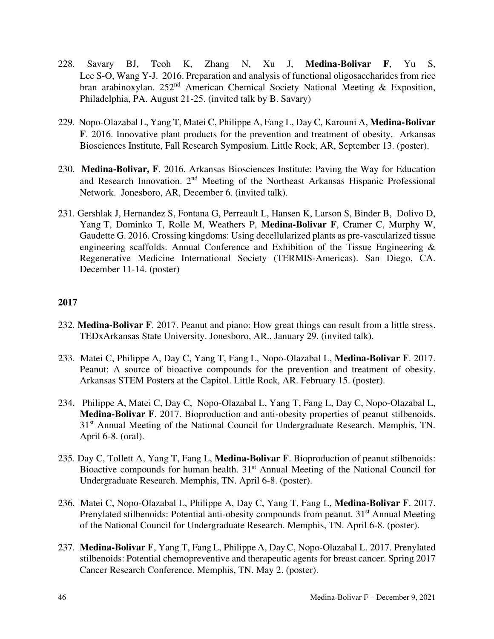- 228. Savary BJ, Teoh K, Zhang N, Xu J, **Medina-Bolivar F**, Yu S, Lee S-O, Wang Y-J. 2016. Preparation and analysis of functional oligosaccharides from rice bran arabinoxylan. 252<sup>nd</sup> American Chemical Society National Meeting & Exposition, Philadelphia, PA. August 21-25. (invited talk by B. Savary)
- 229. Nopo-Olazabal L, Yang T, Matei C, Philippe A, Fang L, Day C, Karouni A, **Medina-Bolivar F**. 2016. Innovative plant products for the prevention and treatment of obesity. Arkansas Biosciences Institute, Fall Research Symposium. Little Rock, AR, September 13. (poster).
- 230. **Medina-Bolivar, F**. 2016. Arkansas Biosciences Institute: Paving the Way for Education and Research Innovation. 2nd Meeting of the Northeast Arkansas Hispanic Professional Network. Jonesboro, AR, December 6. (invited talk).
- 231. Gershlak J, Hernandez S, Fontana G, Perreault L, Hansen K, Larson S, Binder B, Dolivo D, Yang T, Dominko T, Rolle M, Weathers P, **Medina-Bolivar F**, Cramer C, Murphy W, Gaudette G. 2016. Crossing kingdoms: Using decellularized plants as pre-vascularized tissue engineering scaffolds. Annual Conference and Exhibition of the Tissue Engineering & Regenerative Medicine International Society (TERMIS-Americas). San Diego, CA. December 11-14. (poster)

- 232. **Medina-Bolivar F**. 2017. Peanut and piano: How great things can result from a little stress. TEDxArkansas State University. Jonesboro, AR., January 29. (invited talk).
- 233. Matei C, Philippe A, Day C, Yang T, Fang L, Nopo-Olazabal L, **Medina-Bolivar F**. 2017. Peanut: A source of bioactive compounds for the prevention and treatment of obesity. Arkansas STEM Posters at the Capitol. Little Rock, AR. February 15. (poster).
- 234. Philippe A, Matei C, Day C, Nopo-Olazabal L, Yang T, Fang L, Day C, Nopo-Olazabal L, **Medina-Bolivar F**. 2017. Bioproduction and anti-obesity properties of peanut stilbenoids. 31<sup>st</sup> Annual Meeting of the National Council for Undergraduate Research. Memphis, TN. April 6-8. (oral).
- 235. Day C, Tollett A, Yang T, Fang L, **Medina-Bolivar F**. Bioproduction of peanut stilbenoids: Bioactive compounds for human health. 31<sup>st</sup> Annual Meeting of the National Council for Undergraduate Research. Memphis, TN. April 6-8. (poster).
- 236. Matei C, Nopo-Olazabal L, Philippe A, Day C, Yang T, Fang L, **Medina-Bolivar F**. 2017. Prenylated stilbenoids: Potential anti-obesity compounds from peanut. 31<sup>st</sup> Annual Meeting of the National Council for Undergraduate Research. Memphis, TN. April 6-8. (poster).
- 237. **Medina-Bolivar F**, Yang T, Fang L, Philippe A, DayC, Nopo-Olazabal L. 2017. Prenylated stilbenoids: Potential chemopreventive and therapeutic agents for breast cancer. Spring 2017 Cancer Research Conference. Memphis, TN. May 2. (poster).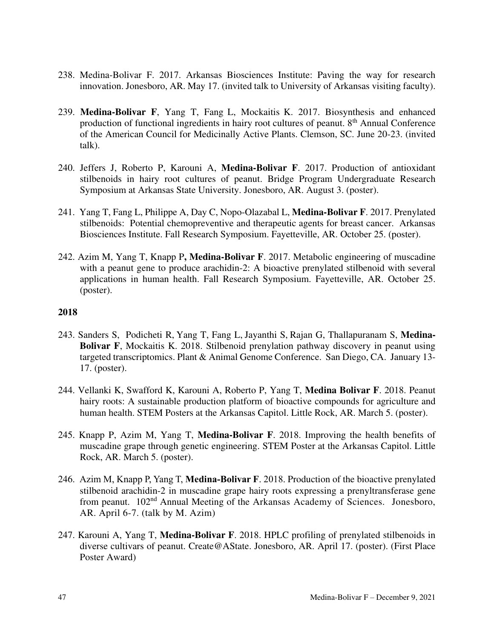- 238. Medina-Bolivar F. 2017. Arkansas Biosciences Institute: Paving the way for research innovation. Jonesboro, AR. May 17. (invited talk to University of Arkansas visiting faculty).
- 239. **Medina-Bolivar F**, Yang T, Fang L, Mockaitis K. 2017. Biosynthesis and enhanced production of functional ingredients in hairy root cultures of peanut.  $8<sup>th</sup>$  Annual Conference of the American Council for Medicinally Active Plants. Clemson, SC. June 20-23. (invited talk).
- 240. Jeffers J, Roberto P, Karouni A, **Medina-Bolivar F**. 2017. Production of antioxidant stilbenoids in hairy root cultures of peanut. Bridge Program Undergraduate Research Symposium at Arkansas State University. Jonesboro, AR. August 3. (poster).
- 241. Yang T, Fang L, Philippe A, Day C, Nopo-Olazabal L, **Medina-Bolivar F**. 2017. Prenylated stilbenoids: Potential chemopreventive and therapeutic agents for breast cancer. Arkansas Biosciences Institute. Fall Research Symposium. Fayetteville, AR. October 25. (poster).
- 242. Azim M, Yang T, Knapp P**, Medina-Bolivar F**. 2017. Metabolic engineering of muscadine with a peanut gene to produce arachidin-2: A bioactive prenylated stilbenoid with several applications in human health. Fall Research Symposium. Fayetteville, AR. October 25. (poster).

- 243. Sanders S, Podicheti R, Yang T, Fang L, Jayanthi S, Rajan G, Thallapuranam S, **Medina-Bolivar F**, Mockaitis K. 2018. Stilbenoid prenylation pathway discovery in peanut using targeted transcriptomics. Plant & Animal Genome Conference. San Diego, CA. January 13- 17. (poster).
- 244. Vellanki K, Swafford K, Karouni A, Roberto P, Yang T, **Medina Bolivar F**. 2018. Peanut hairy roots: A sustainable production platform of bioactive compounds for agriculture and human health. STEM Posters at the Arkansas Capitol. Little Rock, AR. March 5. (poster).
- 245. Knapp P, Azim M, Yang T, **Medina-Bolivar F**. 2018. Improving the health benefits of muscadine grape through genetic engineering. STEM Poster at the Arkansas Capitol. Little Rock, AR. March 5. (poster).
- 246. Azim M, Knapp P, Yang T, **Medina-Bolivar F**. 2018. Production of the bioactive prenylated stilbenoid arachidin-2 in muscadine grape hairy roots expressing a prenyltransferase gene from peanut. 102nd Annual Meeting of the Arkansas Academy of Sciences. Jonesboro, AR. April 6-7. (talk by M. Azim)
- 247. Karouni A, Yang T, **Medina-Bolivar F**. 2018. HPLC profiling of prenylated stilbenoids in diverse cultivars of peanut. Create@AState. Jonesboro, AR. April 17. (poster). (First Place Poster Award)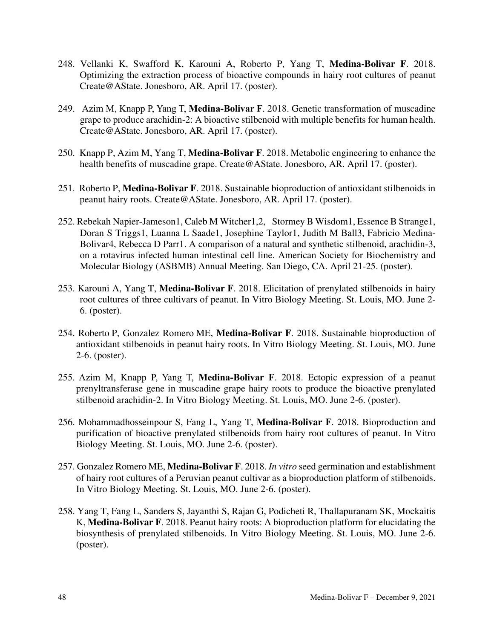- 248. Vellanki K, Swafford K, Karouni A, Roberto P, Yang T, **Medina-Bolivar F**. 2018. Optimizing the extraction process of bioactive compounds in hairy root cultures of peanut Create@AState. Jonesboro, AR. April 17. (poster).
- 249. Azim M, Knapp P, Yang T, **Medina-Bolivar F**. 2018. Genetic transformation of muscadine grape to produce arachidin-2: A bioactive stilbenoid with multiple benefits for human health. Create@AState. Jonesboro, AR. April 17. (poster).
- 250. Knapp P, Azim M, Yang T, **Medina-Bolivar F**. 2018. Metabolic engineering to enhance the health benefits of muscadine grape. Create@AState. Jonesboro, AR. April 17. (poster).
- 251. Roberto P, **Medina-Bolivar F**. 2018. Sustainable bioproduction of antioxidant stilbenoids in peanut hairy roots. Create@AState. Jonesboro, AR. April 17. (poster).
- 252. Rebekah Napier-Jameson1, Caleb M Witcher1,2, Stormey B Wisdom1, Essence B Strange1, Doran S Triggs1, Luanna L Saade1, Josephine Taylor1, Judith M Ball3, Fabricio Medina-Bolivar4, Rebecca D Parr1. A comparison of a natural and synthetic stilbenoid, arachidin-3, on a rotavirus infected human intestinal cell line. American Society for Biochemistry and Molecular Biology (ASBMB) Annual Meeting. San Diego, CA. April 21-25. (poster).
- 253. Karouni A, Yang T, **Medina-Bolivar F**. 2018. Elicitation of prenylated stilbenoids in hairy root cultures of three cultivars of peanut. In Vitro Biology Meeting. St. Louis, MO. June 2- 6. (poster).
- 254. Roberto P, Gonzalez Romero ME, **Medina-Bolivar F**. 2018. Sustainable bioproduction of antioxidant stilbenoids in peanut hairy roots. In Vitro Biology Meeting. St. Louis, MO. June 2-6. (poster).
- 255. Azim M, Knapp P, Yang T, **Medina-Bolivar F**. 2018. Ectopic expression of a peanut prenyltransferase gene in muscadine grape hairy roots to produce the bioactive prenylated stilbenoid arachidin-2. In Vitro Biology Meeting. St. Louis, MO. June 2-6. (poster).
- 256. Mohammadhosseinpour S, Fang L, Yang T, **Medina-Bolivar F**. 2018. Bioproduction and purification of bioactive prenylated stilbenoids from hairy root cultures of peanut. In Vitro Biology Meeting. St. Louis, MO. June 2-6. (poster).
- 257. Gonzalez Romero ME, **Medina-Bolivar F**. 2018. *In vitro* seed germination and establishment of hairy root cultures of a Peruvian peanut cultivar as a bioproduction platform of stilbenoids. In Vitro Biology Meeting. St. Louis, MO. June 2-6. (poster).
- 258. Yang T, Fang L, Sanders S, Jayanthi S, Rajan G, Podicheti R, Thallapuranam SK, Mockaitis K, **Medina-Bolivar F**. 2018. Peanut hairy roots: A bioproduction platform for elucidating the biosynthesis of prenylated stilbenoids. In Vitro Biology Meeting. St. Louis, MO. June 2-6. (poster).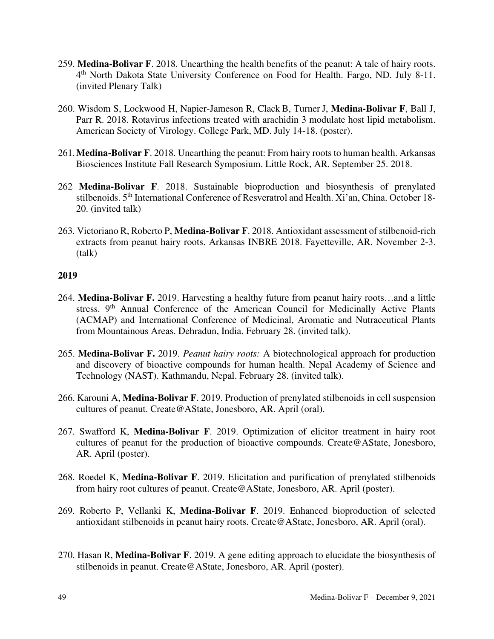- 259. **Medina-Bolivar F**. 2018. Unearthing the health benefits of the peanut: A tale of hairy roots. 4<sup>th</sup> North Dakota State University Conference on Food for Health. Fargo, ND. July 8-11. (invited Plenary Talk)
- 260. Wisdom S, Lockwood H, Napier-Jameson R, Clack B, Turner J, **Medina-Bolivar F**, Ball J, Parr R. 2018. Rotavirus infections treated with arachidin 3 modulate host lipid metabolism. American Society of Virology. College Park, MD. July 14-18. (poster).
- 261. **Medina-Bolivar F**. 2018. Unearthing the peanut: From hairy roots to human health. Arkansas Biosciences Institute Fall Research Symposium. Little Rock, AR. September 25. 2018.
- 262 **Medina-Bolivar F**. 2018. Sustainable bioproduction and biosynthesis of prenylated stilbenoids. 5<sup>th</sup> International Conference of Resveratrol and Health. Xi'an, China. October 18-20. (invited talk)
- 263. Victoriano R, Roberto P, **Medina-Bolivar F**. 2018. Antioxidant assessment of stilbenoid-rich extracts from peanut hairy roots. Arkansas INBRE 2018. Fayetteville, AR. November 2-3. (talk)

- 264. **Medina-Bolivar F.** 2019. Harvesting a healthy future from peanut hairy roots…and a little stress. 9<sup>th</sup> Annual Conference of the American Council for Medicinally Active Plants (ACMAP) and International Conference of Medicinal, Aromatic and Nutraceutical Plants from Mountainous Areas. Dehradun, India. February 28. (invited talk).
- 265. **Medina-Bolivar F.** 2019. *Peanut hairy roots:* A biotechnological approach for production and discovery of bioactive compounds for human health. Nepal Academy of Science and Technology (NAST). Kathmandu, Nepal. February 28. (invited talk).
- 266. Karouni A, **Medina-Bolivar F**. 2019. Production of prenylated stilbenoids in cell suspension cultures of peanut. Create@AState, Jonesboro, AR. April (oral).
- 267. Swafford K, **Medina-Bolivar F**. 2019. Optimization of elicitor treatment in hairy root cultures of peanut for the production of bioactive compounds. Create@AState, Jonesboro, AR. April (poster).
- 268. Roedel K, **Medina-Bolivar F**. 2019. Elicitation and purification of prenylated stilbenoids from hairy root cultures of peanut. Create@AState, Jonesboro, AR. April (poster).
- 269. Roberto P, Vellanki K, **Medina-Bolivar F**. 2019. Enhanced bioproduction of selected antioxidant stilbenoids in peanut hairy roots. Create@AState, Jonesboro, AR. April (oral).
- 270. Hasan R, **Medina-Bolivar F**. 2019. A gene editing approach to elucidate the biosynthesis of stilbenoids in peanut. Create@AState, Jonesboro, AR. April (poster).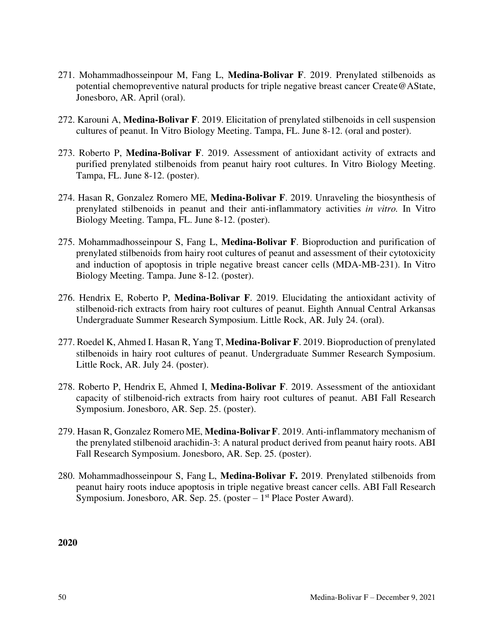- 271. Mohammadhosseinpour M, Fang L, **Medina-Bolivar F**. 2019. Prenylated stilbenoids as potential chemopreventive natural products for triple negative breast cancer Create@AState, Jonesboro, AR. April (oral).
- 272. Karouni A, **Medina-Bolivar F**. 2019. Elicitation of prenylated stilbenoids in cell suspension cultures of peanut. In Vitro Biology Meeting. Tampa, FL. June 8-12. (oral and poster).
- 273. Roberto P, **Medina-Bolivar F**. 2019. Assessment of antioxidant activity of extracts and purified prenylated stilbenoids from peanut hairy root cultures. In Vitro Biology Meeting. Tampa, FL. June 8-12. (poster).
- 274. Hasan R, Gonzalez Romero ME, **Medina-Bolivar F**. 2019. Unraveling the biosynthesis of prenylated stilbenoids in peanut and their anti-inflammatory activities *in vitro.* In Vitro Biology Meeting. Tampa, FL. June 8-12. (poster).
- 275. Mohammadhosseinpour S, Fang L, **Medina-Bolivar F**. Bioproduction and purification of prenylated stilbenoids from hairy root cultures of peanut and assessment of their cytotoxicity and induction of apoptosis in triple negative breast cancer cells (MDA-MB-231). In Vitro Biology Meeting. Tampa. June 8-12. (poster).
- 276. Hendrix E, Roberto P, **Medina-Bolivar F**. 2019. Elucidating the antioxidant activity of stilbenoid-rich extracts from hairy root cultures of peanut. Eighth Annual Central Arkansas Undergraduate Summer Research Symposium. Little Rock, AR. July 24. (oral).
- 277. Roedel K, Ahmed I. Hasan R, Yang T, **Medina-Bolivar F**. 2019. Bioproduction of prenylated stilbenoids in hairy root cultures of peanut. Undergraduate Summer Research Symposium. Little Rock, AR. July 24. (poster).
- 278. Roberto P, Hendrix E, Ahmed I, **Medina-Bolivar F**. 2019. Assessment of the antioxidant capacity of stilbenoid-rich extracts from hairy root cultures of peanut. ABI Fall Research Symposium. Jonesboro, AR. Sep. 25. (poster).
- 279. Hasan R, Gonzalez RomeroME, **Medina-BolivarF**. 2019. Anti-inflammatory mechanism of the prenylated stilbenoid arachidin-3: A natural product derived from peanut hairy roots. ABI Fall Research Symposium. Jonesboro, AR. Sep. 25. (poster).
- 280. Mohammadhosseinpour S, Fang L, **Medina-Bolivar F.** 2019. Prenylated stilbenoids from peanut hairy roots induce apoptosis in triple negative breast cancer cells. ABI Fall Research Symposium. Jonesboro, AR. Sep. 25. (poster –  $1<sup>st</sup>$  Place Poster Award).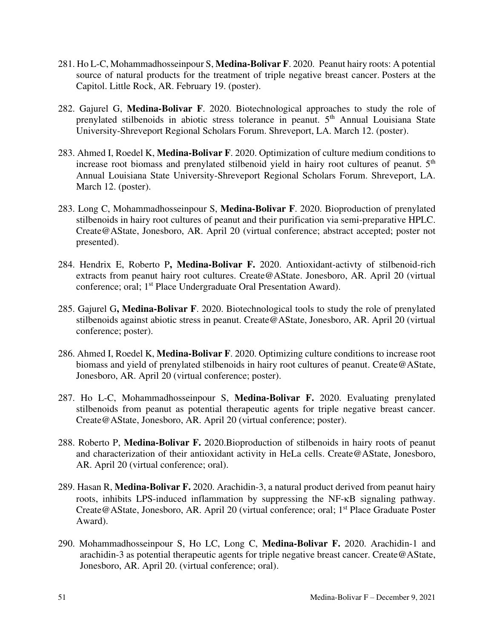- 281. Ho L-C, Mohammadhosseinpour S, **Medina-Bolivar F**. 2020. Peanut hairy roots: A potential source of natural products for the treatment of triple negative breast cancer. Posters at the Capitol. Little Rock, AR. February 19. (poster).
- 282. Gajurel G, **Medina-Bolivar F**. 2020. Biotechnological approaches to study the role of prenylated stilbenoids in abiotic stress tolerance in peanut. 5<sup>th</sup> Annual Louisiana State University-Shreveport Regional Scholars Forum. Shreveport, LA. March 12. (poster).
- 283. Ahmed I, Roedel K, **Medina-Bolivar F**. 2020. Optimization of culture medium conditions to increase root biomass and prenylated stilbenoid yield in hairy root cultures of peanut. 5<sup>th</sup> Annual Louisiana State University-Shreveport Regional Scholars Forum. Shreveport, LA. March 12. (poster).
- 283. Long C, Mohammadhosseinpour S, **Medina-Bolivar F**. 2020. Bioproduction of prenylated stilbenoids in hairy root cultures of peanut and their purification via semi-preparative HPLC. Create@AState, Jonesboro, AR. April 20 (virtual conference; abstract accepted; poster not presented).
- 284. Hendrix E, Roberto P**, Medina-Bolivar F.** 2020. Antioxidant-activty of stilbenoid-rich extracts from peanut hairy root cultures. Create@AState. Jonesboro, AR. April 20 (virtual conference; oral; 1<sup>st</sup> Place Undergraduate Oral Presentation Award).
- 285. Gajurel G**, Medina-Bolivar F**. 2020. Biotechnological tools to study the role of prenylated stilbenoids against abiotic stress in peanut. Create@AState, Jonesboro, AR. April 20 (virtual conference; poster).
- 286. Ahmed I, Roedel K, **Medina-Bolivar F**. 2020. Optimizing culture conditions to increase root biomass and yield of prenylated stilbenoids in hairy root cultures of peanut. Create@AState, Jonesboro, AR. April 20 (virtual conference; poster).
- 287. Ho L-C, Mohammadhosseinpour S, **Medina-Bolivar F.** 2020. Evaluating prenylated stilbenoids from peanut as potential therapeutic agents for triple negative breast cancer. Create@AState, Jonesboro, AR. April 20 (virtual conference; poster).
- 288. Roberto P, **Medina-Bolivar F.** 2020.Bioproduction of stilbenoids in hairy roots of peanut and characterization of their antioxidant activity in HeLa cells. Create@AState, Jonesboro, AR. April 20 (virtual conference; oral).
- 289. Hasan R, **Medina-Bolivar F.** 2020. Arachidin-3, a natural product derived from peanut hairy roots, inhibits LPS-induced inflammation by suppressing the NF- $\kappa$ B signaling pathway. Create@AState, Jonesboro, AR. April 20 (virtual conference; oral; 1st Place Graduate Poster Award).
- 290. Mohammadhosseinpour S, Ho LC, Long C, **Medina-Bolivar F.** 2020. Arachidin-1 and arachidin-3 as potential therapeutic agents for triple negative breast cancer. Create@AState, Jonesboro, AR. April 20. (virtual conference; oral).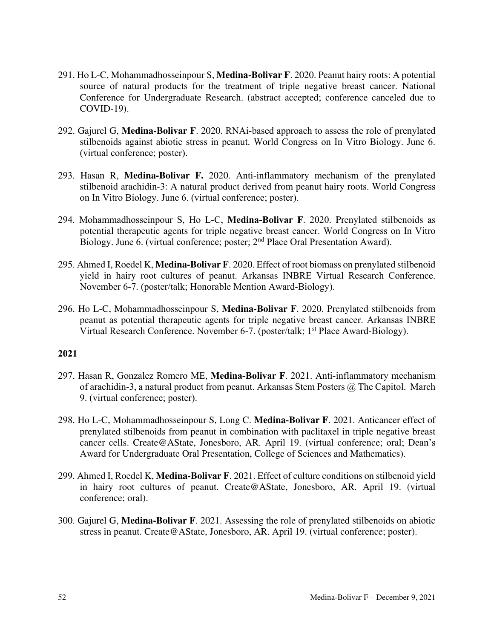- 291. Ho L-C, Mohammadhosseinpour S, **Medina-Bolivar F**. 2020. Peanut hairy roots: A potential source of natural products for the treatment of triple negative breast cancer. National Conference for Undergraduate Research. (abstract accepted; conference canceled due to COVID-19).
- 292. Gajurel G, **Medina-Bolivar F**. 2020. RNAi-based approach to assess the role of prenylated stilbenoids against abiotic stress in peanut. World Congress on In Vitro Biology. June 6. (virtual conference; poster).
- 293. Hasan R, **Medina-Bolivar F.** 2020. Anti-inflammatory mechanism of the prenylated stilbenoid arachidin-3: A natural product derived from peanut hairy roots. World Congress on In Vitro Biology. June 6. (virtual conference; poster).
- 294. Mohammadhosseinpour S, Ho L-C, **Medina-Bolivar F**. 2020. Prenylated stilbenoids as potential therapeutic agents for triple negative breast cancer. World Congress on In Vitro Biology. June 6. (virtual conference; poster; 2<sup>nd</sup> Place Oral Presentation Award).
- 295. Ahmed I, Roedel K, **Medina-Bolivar F**. 2020. Effect of root biomass on prenylated stilbenoid yield in hairy root cultures of peanut. Arkansas INBRE Virtual Research Conference. November 6-7. (poster/talk; Honorable Mention Award-Biology).
- 296. Ho L-C, Mohammadhosseinpour S, **Medina-Bolivar F**. 2020. Prenylated stilbenoids from peanut as potential therapeutic agents for triple negative breast cancer. Arkansas INBRE Virtual Research Conference. November 6-7. (poster/talk; 1<sup>st</sup> Place Award-Biology).

- 297. Hasan R, Gonzalez Romero ME, **Medina-Bolivar F**. 2021. Anti-inflammatory mechanism of arachidin-3, a natural product from peanut. Arkansas Stem Posters @ The Capitol. March 9. (virtual conference; poster).
- 298. Ho L-C, Mohammadhosseinpour S, Long C. **Medina-Bolivar F**. 2021. Anticancer effect of prenylated stilbenoids from peanut in combination with paclitaxel in triple negative breast cancer cells. Create@AState, Jonesboro, AR. April 19. (virtual conference; oral; Dean's Award for Undergraduate Oral Presentation, College of Sciences and Mathematics).
- 299. Ahmed I, Roedel K, **Medina-Bolivar F**. 2021. Effect of culture conditions on stilbenoid yield in hairy root cultures of peanut. Create@AState, Jonesboro, AR. April 19. (virtual conference; oral).
- 300. Gajurel G, **Medina-Bolivar F**. 2021. Assessing the role of prenylated stilbenoids on abiotic stress in peanut. Create@AState, Jonesboro, AR. April 19. (virtual conference; poster).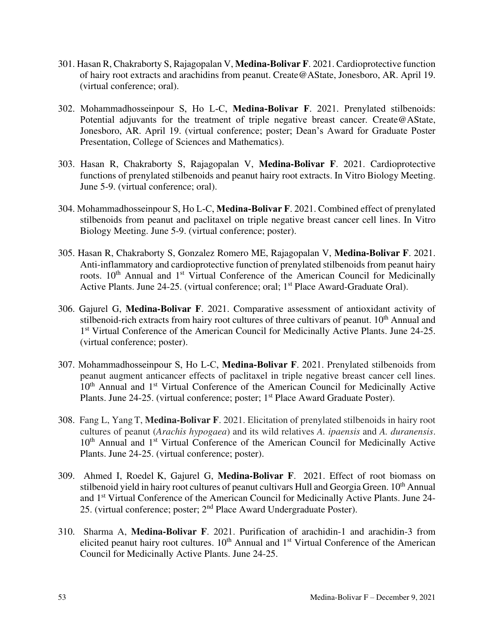- 301. Hasan R, Chakraborty S, Rajagopalan V, **Medina-Bolivar F**. 2021. Cardioprotective function of hairy root extracts and arachidins from peanut. Create@AState, Jonesboro, AR. April 19. (virtual conference; oral).
- 302. Mohammadhosseinpour S, Ho L-C, **Medina-Bolivar F**. 2021. Prenylated stilbenoids: Potential adjuvants for the treatment of triple negative breast cancer. Create@AState, Jonesboro, AR. April 19. (virtual conference; poster; Dean's Award for Graduate Poster Presentation, College of Sciences and Mathematics).
- 303. Hasan R, Chakraborty S, Rajagopalan V, **Medina-Bolivar F**. 2021. Cardioprotective functions of prenylated stilbenoids and peanut hairy root extracts. In Vitro Biology Meeting. June 5-9. (virtual conference; oral).
- 304. Mohammadhosseinpour S, Ho L-C, **Medina-Bolivar F**. 2021. Combined effect of prenylated stilbenoids from peanut and paclitaxel on triple negative breast cancer cell lines. In Vitro Biology Meeting. June 5-9. (virtual conference; poster).
- 305. Hasan R, Chakraborty S, Gonzalez Romero ME, Rajagopalan V, **Medina-Bolivar F**. 2021. Anti-inflammatory and cardioprotective function of prenylated stilbenoids from peanut hairy roots. 10<sup>th</sup> Annual and 1<sup>st</sup> Virtual Conference of the American Council for Medicinally Active Plants. June 24-25. (virtual conference; oral; 1<sup>st</sup> Place Award-Graduate Oral).
- 306. Gajurel G, **Medina-Bolivar F**. 2021. Comparative assessment of antioxidant activity of stilbenoid-rich extracts from hairy root cultures of three cultivars of peanut. 10<sup>th</sup> Annual and 1<sup>st</sup> Virtual Conference of the American Council for Medicinally Active Plants. June 24-25. (virtual conference; poster).
- 307. Mohammadhosseinpour S, Ho L-C, **Medina-Bolivar F**. 2021. Prenylated stilbenoids from peanut augment anticancer effects of paclitaxel in triple negative breast cancer cell lines. 10<sup>th</sup> Annual and 1<sup>st</sup> Virtual Conference of the American Council for Medicinally Active Plants. June 24-25. (virtual conference; poster; 1<sup>st</sup> Place Award Graduate Poster).
- 308. Fang L, Yang T, **Medina-Bolivar F**. 2021. Elicitation of prenylated stilbenoids in hairy root cultures of peanut (*Arachis hypogaea*) and its wild relatives *A. ipaensis* and *A. duranensis*. 10<sup>th</sup> Annual and 1<sup>st</sup> Virtual Conference of the American Council for Medicinally Active Plants. June 24-25. (virtual conference; poster).
- 309. Ahmed I, Roedel K, Gajurel G, **Medina-Bolivar F**. 2021. Effect of root biomass on stilbenoid yield in hairy root cultures of peanut cultivars Hull and Georgia Green. 10<sup>th</sup> Annual and 1st Virtual Conference of the American Council for Medicinally Active Plants. June 24- 25. (virtual conference; poster; 2nd Place Award Undergraduate Poster).
- 310. Sharma A, **Medina-Bolivar F**. 2021. Purification of arachidin-1 and arachidin-3 from elicited peanut hairy root cultures. 10<sup>th</sup> Annual and 1<sup>st</sup> Virtual Conference of the American Council for Medicinally Active Plants. June 24-25.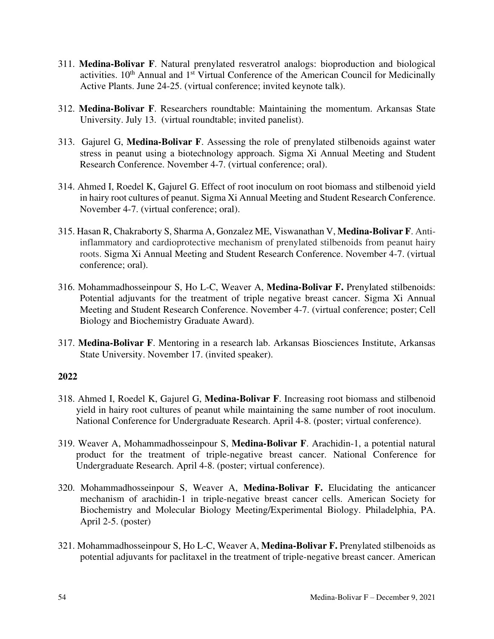- 311. **Medina-Bolivar F**. Natural prenylated resveratrol analogs: bioproduction and biological activities. 10<sup>th</sup> Annual and 1<sup>st</sup> Virtual Conference of the American Council for Medicinally Active Plants. June 24-25. (virtual conference; invited keynote talk).
- 312. **Medina-Bolivar F**. Researchers roundtable: Maintaining the momentum. Arkansas State University. July 13. (virtual roundtable; invited panelist).
- 313. Gajurel G, **Medina-Bolivar F**. Assessing the role of prenylated stilbenoids against water stress in peanut using a biotechnology approach. Sigma Xi Annual Meeting and Student Research Conference. November 4-7. (virtual conference; oral).
- 314. Ahmed I, Roedel K, Gajurel G. Effect of root inoculum on root biomass and stilbenoid yield in hairy root cultures of peanut. Sigma Xi Annual Meeting and Student Research Conference. November 4-7. (virtual conference; oral).
- 315. Hasan R, Chakraborty S, Sharma A, Gonzalez ME, Viswanathan V, **Medina-Bolivar F**. Antiinflammatory and cardioprotective mechanism of prenylated stilbenoids from peanut hairy roots. Sigma Xi Annual Meeting and Student Research Conference. November 4-7. (virtual conference; oral).
- 316. Mohammadhosseinpour S, Ho L-C, Weaver A, **Medina-Bolivar F.** Prenylated stilbenoids: Potential adjuvants for the treatment of triple negative breast cancer. Sigma Xi Annual Meeting and Student Research Conference. November 4-7. (virtual conference; poster; Cell Biology and Biochemistry Graduate Award).
- 317. **Medina-Bolivar F**. Mentoring in a research lab. Arkansas Biosciences Institute, Arkansas State University. November 17. (invited speaker).

- 318. Ahmed I, Roedel K, Gajurel G, **Medina-Bolivar F**. Increasing root biomass and stilbenoid yield in hairy root cultures of peanut while maintaining the same number of root inoculum. National Conference for Undergraduate Research. April 4-8. (poster; virtual conference).
- 319. Weaver A, Mohammadhosseinpour S, **Medina-Bolivar F**. Arachidin-1, a potential natural product for the treatment of triple-negative breast cancer. National Conference for Undergraduate Research. April 4-8. (poster; virtual conference).
- 320. Mohammadhosseinpour S, Weaver A, **Medina-Bolivar F.** Elucidating the anticancer mechanism of arachidin-1 in triple-negative breast cancer cells. American Society for Biochemistry and Molecular Biology Meeting/Experimental Biology. Philadelphia, PA. April 2-5. (poster)
- 321. Mohammadhosseinpour S, Ho L-C, Weaver A, **Medina-Bolivar F.** Prenylated stilbenoids as potential adjuvants for paclitaxel in the treatment of triple-negative breast cancer. American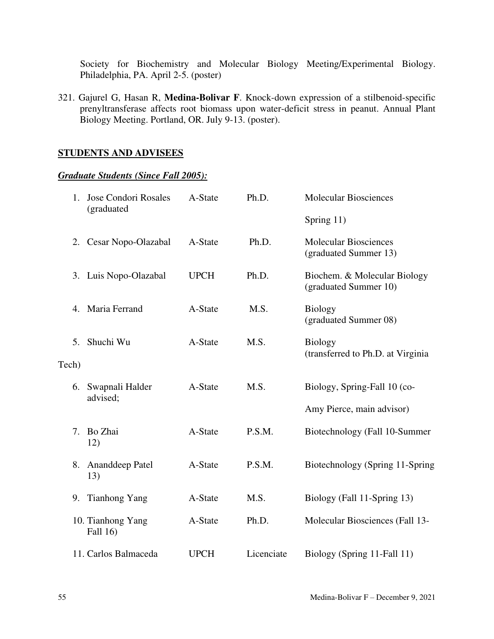Society for Biochemistry and Molecular Biology Meeting/Experimental Biology. Philadelphia, PA. April 2-5. (poster)

321. Gajurel G, Hasan R, **Medina-Bolivar F**. Knock-down expression of a stilbenoid-specific prenyltransferase affects root biomass upon water-deficit stress in peanut. Annual Plant Biology Meeting. Portland, OR. July 9-13. (poster).

# **STUDENTS AND ADVISEES**

# *Graduate Students (Since Fall 2005):*

| $1_{-}$ | <b>Jose Condori Rosales</b><br>(graduated | A-State     | Ph.D.      | <b>Molecular Biosciences</b>                          |
|---------|-------------------------------------------|-------------|------------|-------------------------------------------------------|
|         |                                           |             |            | Spring 11)                                            |
| 2.      | Cesar Nopo-Olazabal                       | A-State     | Ph.D.      | <b>Molecular Biosciences</b><br>(graduated Summer 13) |
|         | 3. Luis Nopo-Olazabal                     | <b>UPCH</b> | Ph.D.      | Biochem. & Molecular Biology<br>(graduated Summer 10) |
|         | 4. Maria Ferrand                          | A-State     | M.S.       | <b>Biology</b><br>(graduated Summer 08)               |
| 5.      | Shuchi Wu                                 | A-State     | M.S.       | <b>Biology</b>                                        |
| Tech)   |                                           |             |            | (transferred to Ph.D. at Virginia                     |
|         | 6. Swapnali Halder                        | A-State     | M.S.       | Biology, Spring-Fall 10 (co-                          |
|         | advised;                                  |             |            | Amy Pierce, main advisor)                             |
| 7.      | Bo Zhai<br>12)                            | A-State     | P.S.M.     | Biotechnology (Fall 10-Summer                         |
| 8.      | Ananddeep Patel<br>13)                    | A-State     | P.S.M.     | Biotechnology (Spring 11-Spring                       |
|         | 9. Tianhong Yang                          | A-State     | M.S.       | Biology (Fall 11-Spring 13)                           |
|         | 10. Tianhong Yang<br>Fall 16)             | A-State     | Ph.D.      | Molecular Biosciences (Fall 13-                       |
|         | 11. Carlos Balmaceda                      | <b>UPCH</b> | Licenciate | Biology (Spring 11-Fall 11)                           |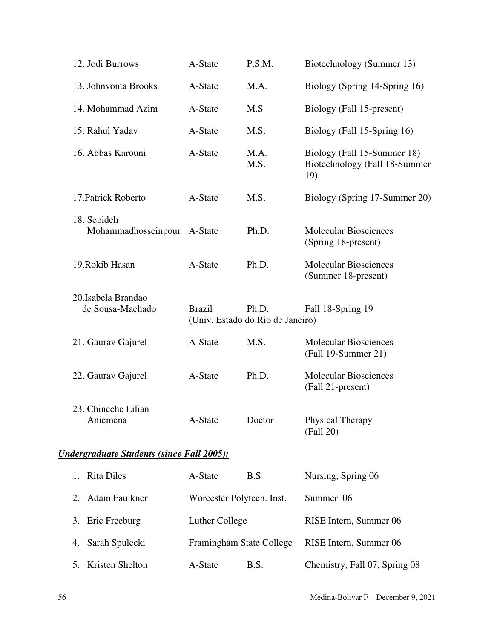| 12. Jodi Burrows                                  | A-State                   | P.S.M.                                    | Biotechnology (Summer 13)                                           |  |  |  |
|---------------------------------------------------|---------------------------|-------------------------------------------|---------------------------------------------------------------------|--|--|--|
| 13. Johnvonta Brooks                              | A-State                   | M.A.                                      | Biology (Spring 14-Spring 16)                                       |  |  |  |
| 14. Mohammad Azim                                 | A-State                   | M.S                                       | Biology (Fall 15-present)                                           |  |  |  |
| 15. Rahul Yadav                                   | A-State                   | M.S.                                      | Biology (Fall 15-Spring 16)                                         |  |  |  |
| 16. Abbas Karouni                                 | A-State                   | M.A.<br>M.S.                              | Biology (Fall 15-Summer 18)<br>Biotechnology (Fall 18-Summer<br>19) |  |  |  |
| 17. Patrick Roberto                               | A-State                   | M.S.                                      | Biology (Spring 17-Summer 20)                                       |  |  |  |
| 18. Sepideh<br>Mohammadhosseinpour                | A-State                   | Ph.D.                                     | <b>Molecular Biosciences</b><br>(Spring 18-present)                 |  |  |  |
| 19. Rokib Hasan                                   | A-State                   | Ph.D.                                     | <b>Molecular Biosciences</b><br>(Summer 18-present)                 |  |  |  |
| 20. Isabela Brandao<br>de Sousa-Machado           | <b>Brazil</b>             | Ph.D.<br>(Univ. Estado do Rio de Janeiro) | Fall 18-Spring 19                                                   |  |  |  |
| 21. Gaurav Gajurel                                | A-State                   | M.S.                                      | <b>Molecular Biosciences</b><br>(Fall 19-Summer 21)                 |  |  |  |
| 22. Gaurav Gajurel                                | A-State                   | Ph.D.                                     | <b>Molecular Biosciences</b><br>(Fall 21-present)                   |  |  |  |
| 23. Chineche Lilian<br>Aniemena                   | A-State                   | Doctor                                    | Physical Therapy<br>(Fall 20)                                       |  |  |  |
| <u> Undergraduate Students (since Fall 2005):</u> |                           |                                           |                                                                     |  |  |  |
| <b>Rita Diles</b><br>1.                           | A-State                   | B.S                                       | Nursing, Spring 06                                                  |  |  |  |
| <b>Adam Faulkner</b><br>2.                        | Worcester Polytech. Inst. |                                           | Summer 06                                                           |  |  |  |
| Eric Freeburg<br>3.                               | Luther College            |                                           | RISE Intern, Summer 06                                              |  |  |  |
| Sarah Spulecki<br>4.                              | Framingham State College  |                                           | RISE Intern, Summer 06                                              |  |  |  |
| Kristen Shelton<br>5.                             | A-State                   | B.S.                                      | Chemistry, Fall 07, Spring 08                                       |  |  |  |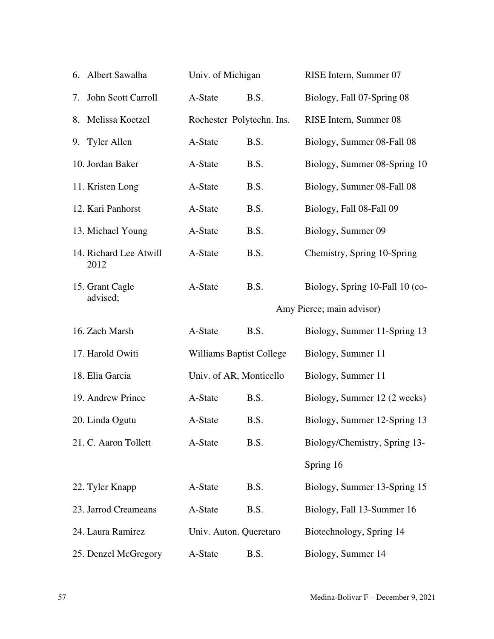| Albert Sawalha<br>6.           | Univ. of Michigan               |                           | RISE Intern, Summer 07          |
|--------------------------------|---------------------------------|---------------------------|---------------------------------|
| John Scott Carroll<br>7.       | A-State                         | B.S.                      | Biology, Fall 07-Spring 08      |
| Melissa Koetzel<br>8.          |                                 | Rochester Polytechn. Ins. | RISE Intern, Summer 08          |
| 9. Tyler Allen                 | A-State                         | B.S.                      | Biology, Summer 08-Fall 08      |
| 10. Jordan Baker               | A-State                         | B.S.                      | Biology, Summer 08-Spring 10    |
| 11. Kristen Long               | A-State                         | B.S.                      | Biology, Summer 08-Fall 08      |
| 12. Kari Panhorst              | A-State                         | B.S.                      | Biology, Fall 08-Fall 09        |
| 13. Michael Young              | A-State                         | B.S.                      | Biology, Summer 09              |
| 14. Richard Lee Atwill<br>2012 | A-State                         | B.S.                      | Chemistry, Spring 10-Spring     |
| 15. Grant Cagle                | A-State                         | B.S.                      | Biology, Spring 10-Fall 10 (co- |
| advised;                       |                                 |                           | Amy Pierce; main advisor)       |
| 16. Zach Marsh                 | A-State                         | B.S.                      | Biology, Summer 11-Spring 13    |
| 17. Harold Owiti               | <b>Williams Baptist College</b> |                           | Biology, Summer 11              |
| 18. Elia Garcia                | Univ. of AR, Monticello         |                           | Biology, Summer 11              |
| 19. Andrew Prince              | A-State                         | B.S.                      | Biology, Summer 12 (2 weeks)    |
| 20. Linda Ogutu                | A-State                         | B.S.                      | Biology, Summer 12-Spring 13    |
| 21. C. Aaron Tollett           | A-State                         | B.S.                      | Biology/Chemistry, Spring 13-   |
|                                |                                 |                           | Spring 16                       |
| 22. Tyler Knapp                | A-State                         | B.S.                      | Biology, Summer 13-Spring 15    |
| 23. Jarrod Creameans           | A-State                         | B.S.                      | Biology, Fall 13-Summer 16      |
| 24. Laura Ramirez              | Univ. Auton. Queretaro          |                           | Biotechnology, Spring 14        |
| 25. Denzel McGregory           | A-State                         | B.S.                      | Biology, Summer 14              |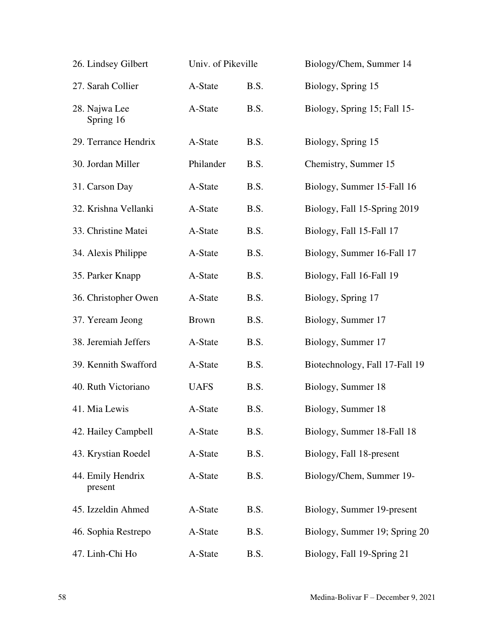| 26. Lindsey Gilbert          | Univ. of Pikeville |      | Biology/Chem, Summer 14        |
|------------------------------|--------------------|------|--------------------------------|
| 27. Sarah Collier            | A-State            | B.S. | Biology, Spring 15             |
| 28. Najwa Lee<br>Spring 16   | A-State            | B.S. | Biology, Spring 15; Fall 15-   |
| 29. Terrance Hendrix         | A-State            | B.S. | Biology, Spring 15             |
| 30. Jordan Miller            | Philander          | B.S. | Chemistry, Summer 15           |
| 31. Carson Day               | A-State            | B.S. | Biology, Summer 15-Fall 16     |
| 32. Krishna Vellanki         | A-State            | B.S. | Biology, Fall 15-Spring 2019   |
| 33. Christine Matei          | A-State            | B.S. | Biology, Fall 15-Fall 17       |
| 34. Alexis Philippe          | A-State            | B.S. | Biology, Summer 16-Fall 17     |
| 35. Parker Knapp             | A-State            | B.S. | Biology, Fall 16-Fall 19       |
| 36. Christopher Owen         | A-State            | B.S. | Biology, Spring 17             |
| 37. Yeream Jeong             | <b>Brown</b>       | B.S. | Biology, Summer 17             |
| 38. Jeremiah Jeffers         | A-State            | B.S. | Biology, Summer 17             |
| 39. Kennith Swafford         | A-State            | B.S. | Biotechnology, Fall 17-Fall 19 |
| 40. Ruth Victoriano          | <b>UAFS</b>        | B.S. | Biology, Summer 18             |
| 41. Mia Lewis                | A-State            | B.S. | Biology, Summer 18             |
| 42. Hailey Campbell          | A-State            | B.S. | Biology, Summer 18-Fall 18     |
| 43. Krystian Roedel          | A-State            | B.S. | Biology, Fall 18-present       |
| 44. Emily Hendrix<br>present | A-State            | B.S. | Biology/Chem, Summer 19-       |
| 45. Izzeldin Ahmed           | A-State            | B.S. | Biology, Summer 19-present     |
| 46. Sophia Restrepo          | A-State            | B.S. | Biology, Summer 19; Spring 20  |
| 47. Linh-Chi Ho              | A-State            | B.S. | Biology, Fall 19-Spring 21     |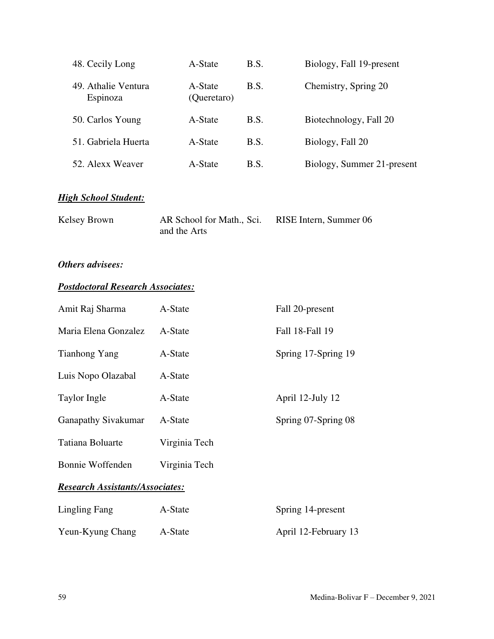| 48. Cecily Long                 | A-State                | B.S. | Biology, Fall 19-present   |
|---------------------------------|------------------------|------|----------------------------|
| 49. Athalie Ventura<br>Espinoza | A-State<br>(Queretaro) | B.S. | Chemistry, Spring 20       |
| 50. Carlos Young                | A-State                | B.S. | Biotechnology, Fall 20     |
| 51. Gabriela Huerta             | A-State                | B.S. | Biology, Fall 20           |
| 52. Alexx Weaver                | A-State                | B.S. | Biology, Summer 21-present |

# *High School Student:*

| Kelsey Brown | AR School for Math., Sci. | RISE Intern, Summer 06 |
|--------------|---------------------------|------------------------|
|              | and the Arts              |                        |

# *Others advisees:*

# *Postdoctoral Research Associates:*

| Amit Raj Sharma                        | A-State       | Fall 20-present      |  |  |  |
|----------------------------------------|---------------|----------------------|--|--|--|
| Maria Elena Gonzalez                   | A-State       | Fall 18-Fall 19      |  |  |  |
| Tianhong Yang                          | A-State       | Spring 17-Spring 19  |  |  |  |
| Luis Nopo Olazabal                     | A-State       |                      |  |  |  |
| Taylor Ingle                           | A-State       | April 12-July 12     |  |  |  |
| <b>Ganapathy Sivakumar</b>             | A-State       | Spring 07-Spring 08  |  |  |  |
| Tatiana Boluarte                       | Virginia Tech |                      |  |  |  |
| Bonnie Woffenden                       | Virginia Tech |                      |  |  |  |
| <b>Research Assistants/Associates:</b> |               |                      |  |  |  |
| Lingling Fang                          | A-State       | Spring 14-present    |  |  |  |
| Yeun-Kyung Chang                       | A-State       | April 12-February 13 |  |  |  |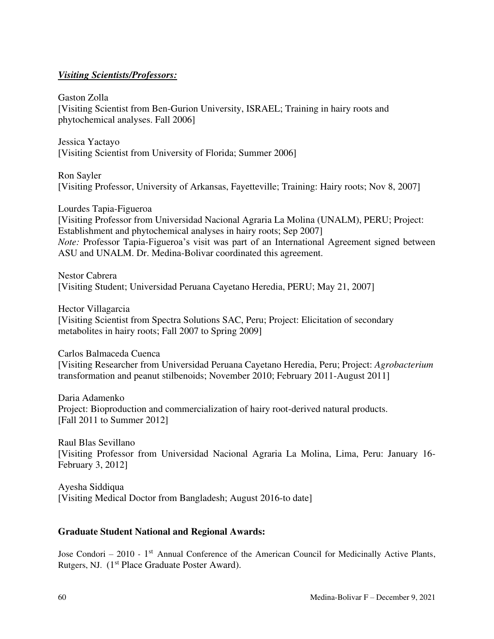# *Visiting Scientists/Professors:*

Gaston Zolla [Visiting Scientist from Ben-Gurion University, ISRAEL; Training in hairy roots and phytochemical analyses. Fall 2006]

Jessica Yactayo [Visiting Scientist from University of Florida; Summer 2006]

Ron Sayler [Visiting Professor, University of Arkansas, Fayetteville; Training: Hairy roots; Nov 8, 2007]

Lourdes Tapia-Figueroa [Visiting Professor from Universidad Nacional Agraria La Molina (UNALM), PERU; Project: Establishment and phytochemical analyses in hairy roots; Sep 2007] *Note:* Professor Tapia-Figueroa's visit was part of an International Agreement signed between ASU and UNALM. Dr. Medina-Bolivar coordinated this agreement.

Nestor Cabrera [Visiting Student; Universidad Peruana Cayetano Heredia, PERU; May 21, 2007]

Hector Villagarcia [Visiting Scientist from Spectra Solutions SAC, Peru; Project: Elicitation of secondary metabolites in hairy roots; Fall 2007 to Spring 2009]

Carlos Balmaceda Cuenca [Visiting Researcher from Universidad Peruana Cayetano Heredia, Peru; Project: *Agrobacterium* transformation and peanut stilbenoids; November 2010; February 2011-August 2011]

Daria Adamenko Project: Bioproduction and commercialization of hairy root-derived natural products. [Fall 2011 to Summer 2012]

Raul Blas Sevillano [Visiting Professor from Universidad Nacional Agraria La Molina, Lima, Peru: January 16- February 3, 2012]

Ayesha Siddiqua [Visiting Medical Doctor from Bangladesh; August 2016-to date]

# **Graduate Student National and Regional Awards:**

Jose Condori – 2010 - 1<sup>st</sup> Annual Conference of the American Council for Medicinally Active Plants, Rutgers, NJ. (1<sup>st</sup> Place Graduate Poster Award).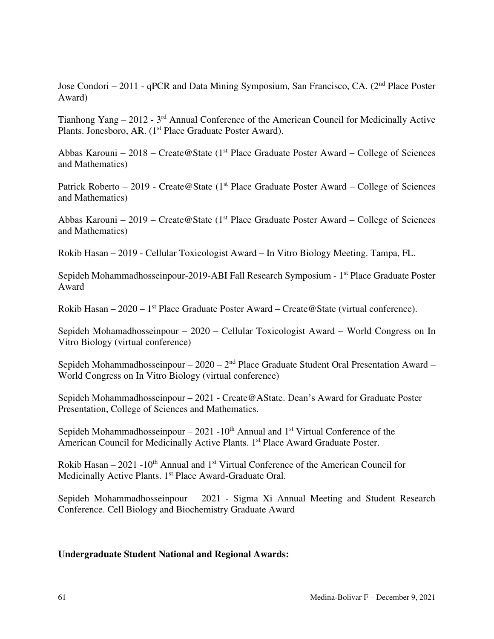Jose Condori – 2011 - qPCR and Data Mining Symposium, San Francisco, CA. (2<sup>nd</sup> Place Poster Award)

Tianhong Yang – 2012 - 3<sup>rd</sup> Annual Conference of the American Council for Medicinally Active Plants. Jonesboro, AR. (1<sup>st</sup> Place Graduate Poster Award).

Abbas Karouni – 2018 – Create@State (1<sup>st</sup> Place Graduate Poster Award – College of Sciences and Mathematics)

Patrick Roberto – 2019 - Create@State (1<sup>st</sup> Place Graduate Poster Award – College of Sciences and Mathematics)

Abbas Karouni – 2019 – Create@State (1<sup>st</sup> Place Graduate Poster Award – College of Sciences and Mathematics)

Rokib Hasan – 2019 - Cellular Toxicologist Award – In Vitro Biology Meeting. Tampa, FL.

Sepideh Mohammadhosseinpour-2019-ABI Fall Research Symposium - 1<sup>st</sup> Place Graduate Poster Award

Rokib Hasan – 2020 – 1<sup>st</sup> Place Graduate Poster Award – Create @ State (virtual conference).

Sepideh Mohamadhosseinpour – 2020 – Cellular Toxicologist Award – World Congress on In Vitro Biology (virtual conference)

Sepideh Mohammadhosseinpour –  $2020 - 2<sup>nd</sup>$  Place Graduate Student Oral Presentation Award – World Congress on In Vitro Biology (virtual conference)

Sepideh Mohammadhosseinpour – 2021 - Create@AState. Dean's Award for Graduate Poster Presentation, College of Sciences and Mathematics.

Sepideh Mohammadhosseinpour – 2021 -  $10^{th}$  Annual and  $1^{st}$  Virtual Conference of the American Council for Medicinally Active Plants. 1<sup>st</sup> Place Award Graduate Poster.

Rokib Hasan –  $2021 - 10^{th}$  Annual and 1<sup>st</sup> Virtual Conference of the American Council for Medicinally Active Plants. 1<sup>st</sup> Place Award-Graduate Oral.

Sepideh Mohammadhosseinpour – 2021 - Sigma Xi Annual Meeting and Student Research Conference. Cell Biology and Biochemistry Graduate Award

## **Undergraduate Student National and Regional Awards:**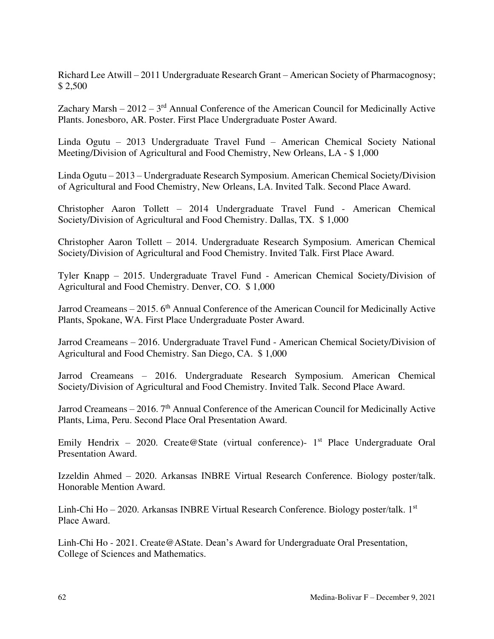Richard Lee Atwill – 2011 Undergraduate Research Grant – American Society of Pharmacognosy; \$ 2,500

Zachary Marsh –  $2012 - 3<sup>rd</sup>$  Annual Conference of the American Council for Medicinally Active Plants. Jonesboro, AR. Poster. First Place Undergraduate Poster Award.

Linda Ogutu – 2013 Undergraduate Travel Fund – American Chemical Society National Meeting/Division of Agricultural and Food Chemistry, New Orleans, LA - \$ 1,000

Linda Ogutu – 2013 – Undergraduate Research Symposium. American Chemical Society/Division of Agricultural and Food Chemistry, New Orleans, LA. Invited Talk. Second Place Award.

Christopher Aaron Tollett – 2014 Undergraduate Travel Fund - American Chemical Society/Division of Agricultural and Food Chemistry. Dallas, TX. \$ 1,000

Christopher Aaron Tollett – 2014. Undergraduate Research Symposium. American Chemical Society/Division of Agricultural and Food Chemistry. Invited Talk. First Place Award.

Tyler Knapp – 2015. Undergraduate Travel Fund - American Chemical Society/Division of Agricultural and Food Chemistry. Denver, CO. \$ 1,000

Jarrod Creameans – 2015. 6<sup>th</sup> Annual Conference of the American Council for Medicinally Active Plants, Spokane, WA. First Place Undergraduate Poster Award.

Jarrod Creameans – 2016. Undergraduate Travel Fund - American Chemical Society/Division of Agricultural and Food Chemistry. San Diego, CA. \$ 1,000

Jarrod Creameans – 2016. Undergraduate Research Symposium. American Chemical Society/Division of Agricultural and Food Chemistry. Invited Talk. Second Place Award.

Jarrod Creameans – 2016.  $7<sup>th</sup>$  Annual Conference of the American Council for Medicinally Active Plants, Lima, Peru. Second Place Oral Presentation Award.

Emily Hendrix – 2020. Create@State (virtual conference)-  $1<sup>st</sup>$  Place Undergraduate Oral Presentation Award.

Izzeldin Ahmed – 2020. Arkansas INBRE Virtual Research Conference. Biology poster/talk. Honorable Mention Award.

Linh-Chi Ho – 2020. Arkansas INBRE Virtual Research Conference. Biology poster/talk. 1st Place Award.

Linh-Chi Ho - 2021. Create@AState. Dean's Award for Undergraduate Oral Presentation, College of Sciences and Mathematics.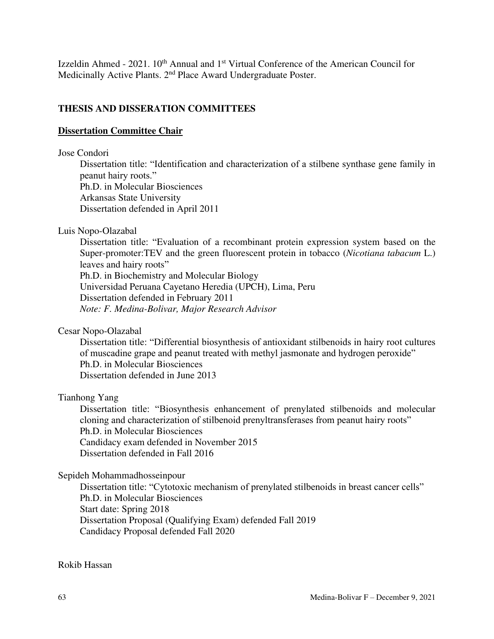Izzeldin Ahmed -  $2021. 10<sup>th</sup>$  Annual and  $1<sup>st</sup>$  Virtual Conference of the American Council for Medicinally Active Plants. 2nd Place Award Undergraduate Poster.

# **THESIS AND DISSERATION COMMITTEES**

# **Dissertation Committee Chair**

### Jose Condori

Dissertation title: "Identification and characterization of a stilbene synthase gene family in peanut hairy roots."

Ph.D. in Molecular Biosciences Arkansas State University Dissertation defended in April 2011

Luis Nopo-Olazabal

Dissertation title: "Evaluation of a recombinant protein expression system based on the Super-promoter:TEV and the green fluorescent protein in tobacco (*Nicotiana tabacum* L.) leaves and hairy roots" Ph.D. in Biochemistry and Molecular Biology Universidad Peruana Cayetano Heredia (UPCH), Lima, Peru

Dissertation defended in February 2011

*Note: F. Medina-Bolivar, Major Research Advisor* 

Cesar Nopo-Olazabal

Dissertation title: "Differential biosynthesis of antioxidant stilbenoids in hairy root cultures of muscadine grape and peanut treated with methyl jasmonate and hydrogen peroxide" Ph.D. in Molecular Biosciences Dissertation defended in June 2013

## Tianhong Yang

Dissertation title: "Biosynthesis enhancement of prenylated stilbenoids and molecular cloning and characterization of stilbenoid prenyltransferases from peanut hairy roots" Ph.D. in Molecular Biosciences Candidacy exam defended in November 2015 Dissertation defended in Fall 2016

## Sepideh Mohammadhosseinpour

Dissertation title: "Cytotoxic mechanism of prenylated stilbenoids in breast cancer cells" Ph.D. in Molecular Biosciences Start date: Spring 2018 Dissertation Proposal (Qualifying Exam) defended Fall 2019 Candidacy Proposal defended Fall 2020

Rokib Hassan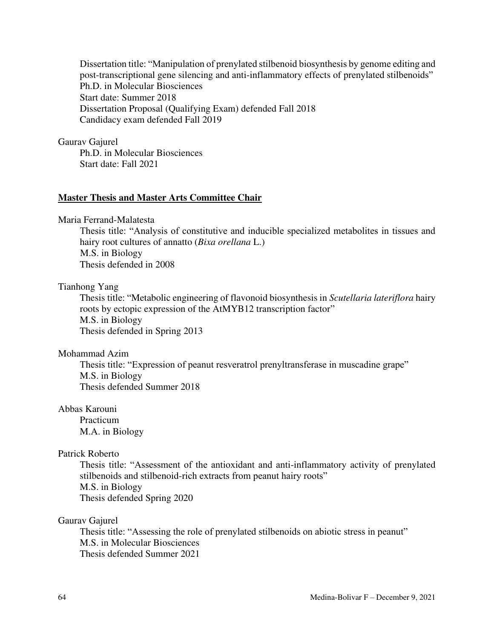Dissertation title: "Manipulation of prenylated stilbenoid biosynthesis by genome editing and post-transcriptional gene silencing and anti-inflammatory effects of prenylated stilbenoids" Ph.D. in Molecular Biosciences Start date: Summer 2018 Dissertation Proposal (Qualifying Exam) defended Fall 2018 Candidacy exam defended Fall 2019

### Gaurav Gajurel

Ph.D. in Molecular Biosciences Start date: Fall 2021

### **Master Thesis and Master Arts Committee Chair**

Maria Ferrand-Malatesta

Thesis title: "Analysis of constitutive and inducible specialized metabolites in tissues and hairy root cultures of annatto (*Bixa orellana* L.) M.S. in Biology Thesis defended in 2008

#### Tianhong Yang

Thesis title: "Metabolic engineering of flavonoid biosynthesis in *Scutellaria lateriflora* hairy roots by ectopic expression of the AtMYB12 transcription factor" M.S. in Biology Thesis defended in Spring 2013

#### Mohammad Azim

Thesis title: "Expression of peanut resveratrol prenyltransferase in muscadine grape" M.S. in Biology Thesis defended Summer 2018

## Abbas Karouni

 Practicum M.A. in Biology

### Patrick Roberto

Thesis title: "Assessment of the antioxidant and anti-inflammatory activity of prenylated stilbenoids and stilbenoid-rich extracts from peanut hairy roots" M.S. in Biology Thesis defended Spring 2020

### Gaurav Gajurel

Thesis title: "Assessing the role of prenylated stilbenoids on abiotic stress in peanut" M.S. in Molecular Biosciences Thesis defended Summer 2021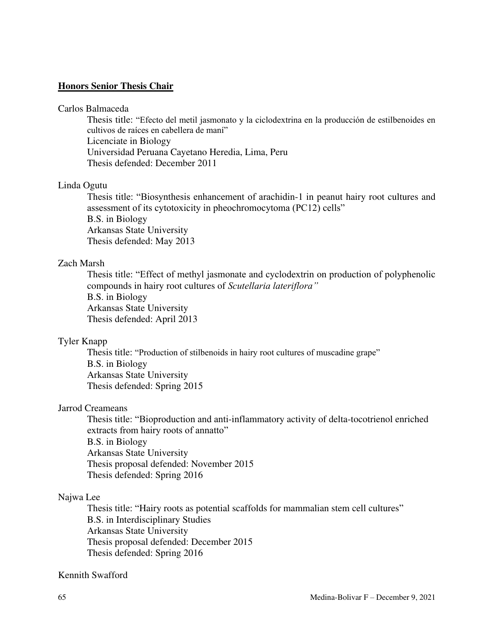### **Honors Senior Thesis Chair**

#### Carlos Balmaceda

Thesis title: "Efecto del metil jasmonato y la ciclodextrina en la producción de estilbenoides en cultivos de raíces en cabellera de maní" Licenciate in Biology Universidad Peruana Cayetano Heredia, Lima, Peru Thesis defended: December 2011

### Linda Ogutu

Thesis title: "Biosynthesis enhancement of arachidin-1 in peanut hairy root cultures and assessment of its cytotoxicity in pheochromocytoma (PC12) cells" B.S. in Biology Arkansas State University

Thesis defended: May 2013

## Zach Marsh

Thesis title: "Effect of methyl jasmonate and cyclodextrin on production of polyphenolic compounds in hairy root cultures of *Scutellaria lateriflora"* B.S. in Biology Arkansas State University Thesis defended: April 2013

## Tyler Knapp

Thesis title: "Production of stilbenoids in hairy root cultures of muscadine grape" B.S. in Biology Arkansas State University Thesis defended: Spring 2015

### Jarrod Creameans

Thesis title: "Bioproduction and anti-inflammatory activity of delta-tocotrienol enriched extracts from hairy roots of annatto" B.S. in Biology Arkansas State University Thesis proposal defended: November 2015 Thesis defended: Spring 2016

## Najwa Lee

Thesis title: "Hairy roots as potential scaffolds for mammalian stem cell cultures" B.S. in Interdisciplinary Studies Arkansas State University Thesis proposal defended: December 2015 Thesis defended: Spring 2016

### Kennith Swafford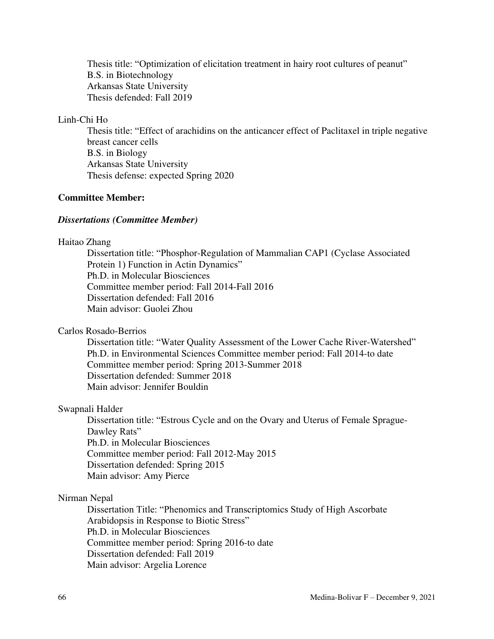Thesis title: "Optimization of elicitation treatment in hairy root cultures of peanut" B.S. in Biotechnology Arkansas State University Thesis defended: Fall 2019

# Linh-Chi Ho

Thesis title: "Effect of arachidins on the anticancer effect of Paclitaxel in triple negative breast cancer cells B.S. in Biology Arkansas State University Thesis defense: expected Spring 2020

## **Committee Member:**

#### *Dissertations (Committee Member)*

### Haitao Zhang

Dissertation title: "Phosphor-Regulation of Mammalian CAP1 (Cyclase Associated Protein 1) Function in Actin Dynamics" Ph.D. in Molecular Biosciences Committee member period: Fall 2014-Fall 2016 Dissertation defended: Fall 2016 Main advisor: Guolei Zhou

### Carlos Rosado-Berrios

Dissertation title: "Water Quality Assessment of the Lower Cache River-Watershed" Ph.D. in Environmental Sciences Committee member period: Fall 2014-to date Committee member period: Spring 2013-Summer 2018 Dissertation defended: Summer 2018 Main advisor: Jennifer Bouldin

#### Swapnali Halder

Dissertation title: "Estrous Cycle and on the Ovary and Uterus of Female Sprague-Dawley Rats" Ph.D. in Molecular Biosciences Committee member period: Fall 2012-May 2015 Dissertation defended: Spring 2015 Main advisor: Amy Pierce

### Nirman Nepal

Dissertation Title: "Phenomics and Transcriptomics Study of High Ascorbate Arabidopsis in Response to Biotic Stress" Ph.D. in Molecular Biosciences Committee member period: Spring 2016-to date Dissertation defended: Fall 2019 Main advisor: Argelia Lorence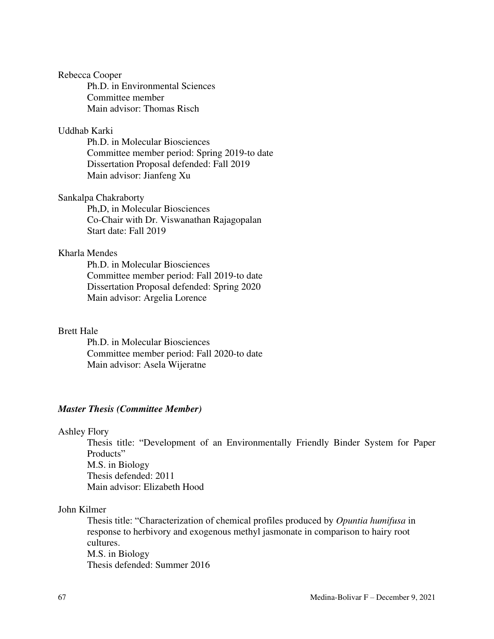### Rebecca Cooper

 Ph.D. in Environmental Sciences Committee member Main advisor: Thomas Risch

### Uddhab Karki

 Ph.D. in Molecular Biosciences Committee member period: Spring 2019-to date Dissertation Proposal defended: Fall 2019 Main advisor: Jianfeng Xu

### Sankalpa Chakraborty

 Ph,D, in Molecular Biosciences Co-Chair with Dr. Viswanathan Rajagopalan Start date: Fall 2019

## Kharla Mendes

 Ph.D. in Molecular Biosciences Committee member period: Fall 2019-to date Dissertation Proposal defended: Spring 2020 Main advisor: Argelia Lorence

#### Brett Hale

Ph.D. in Molecular Biosciences Committee member period: Fall 2020-to date Main advisor: Asela Wijeratne

### *Master Thesis (Committee Member)*

### Ashley Flory

Thesis title: "Development of an Environmentally Friendly Binder System for Paper Products" M.S. in Biology Thesis defended: 2011 Main advisor: Elizabeth Hood

#### John Kilmer

Thesis title: "Characterization of chemical profiles produced by *Opuntia humifusa* in response to herbivory and exogenous methyl jasmonate in comparison to hairy root cultures. M.S. in Biology Thesis defended: Summer 2016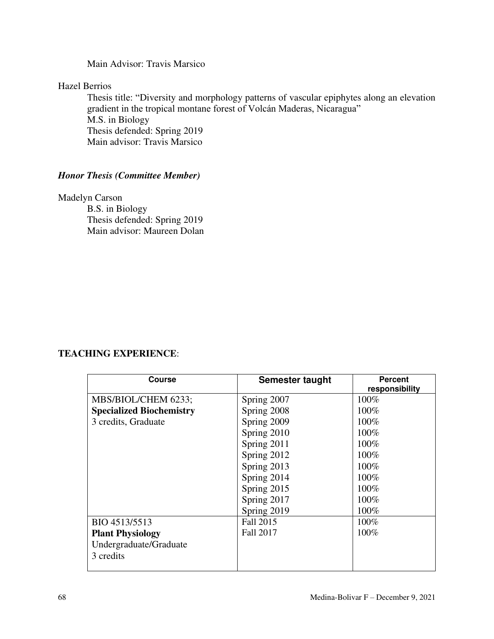Main Advisor: Travis Marsico

Hazel Berrios

Thesis title: "Diversity and morphology patterns of vascular epiphytes along an elevation gradient in the tropical montane forest of Volcán Maderas, Nicaragua" M.S. in Biology Thesis defended: Spring 2019 Main advisor: Travis Marsico

# *Honor Thesis (Committee Member)*

Madelyn Carson B.S. in Biology Thesis defended: Spring 2019 Main advisor: Maureen Dolan

# **TEACHING EXPERIENCE**:

| <b>Course</b>                   | Semester taught  | <b>Percent</b><br>responsibility |
|---------------------------------|------------------|----------------------------------|
| MBS/BIOL/CHEM 6233;             | Spring 2007      | 100%                             |
| <b>Specialized Biochemistry</b> | Spring 2008      | 100%                             |
| 3 credits, Graduate             | Spring 2009      | 100%                             |
|                                 | Spring 2010      | 100%                             |
|                                 | Spring 2011      | 100%                             |
|                                 | Spring 2012      | 100%                             |
|                                 | Spring 2013      | 100%                             |
|                                 | Spring 2014      | 100%                             |
|                                 | Spring 2015      | 100%                             |
|                                 | Spring 2017      | 100%                             |
|                                 | Spring 2019      | 100%                             |
| BIO 4513/5513                   | Fall 2015        | $100\%$                          |
| <b>Plant Physiology</b>         | <b>Fall 2017</b> | $100\%$                          |
| Undergraduate/Graduate          |                  |                                  |
| 3 credits                       |                  |                                  |
|                                 |                  |                                  |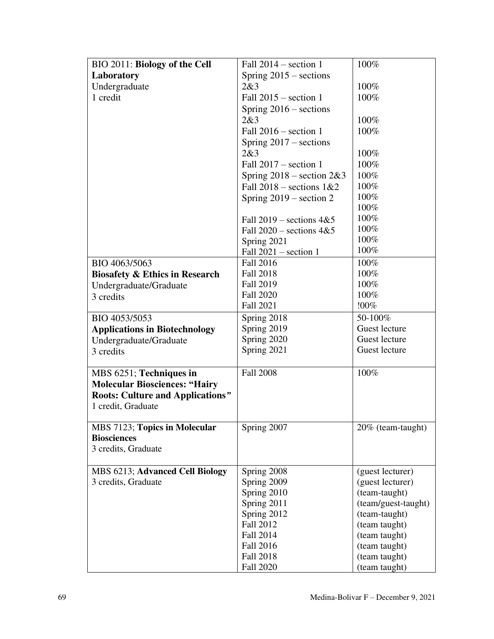| BIO 2011: Biology of the Cell                                   | Fall $2014$ – section 1       | 100%                           |
|-----------------------------------------------------------------|-------------------------------|--------------------------------|
| Laboratory                                                      | Spring $2015$ – sections      |                                |
| Undergraduate                                                   | 2&3                           | 100%                           |
| 1 credit                                                        | Fall $2015$ – section 1       | 100%                           |
|                                                                 | Spring $2016$ – sections      |                                |
|                                                                 | 2&3                           | 100%                           |
|                                                                 | Fall $2016$ – section 1       | 100%                           |
|                                                                 | Spring $2017$ – sections      |                                |
|                                                                 | 2&3                           | 100%                           |
|                                                                 | Fall $2017$ – section 1       | 100%                           |
|                                                                 | Spring $2018$ – section $2&3$ | 100%                           |
|                                                                 | Fall $2018$ – sections $1&&2$ | 100%                           |
|                                                                 | Spring $2019$ – section 2     | 100%                           |
|                                                                 |                               | 100%                           |
|                                                                 | Fall $2019$ – sections $4&5$  | 100%                           |
|                                                                 | Fall $2020$ – sections $4&5$  | 100%                           |
|                                                                 | Spring 2021                   | 100%                           |
|                                                                 | Fall $2021$ – section 1       | 100%                           |
| BIO 4063/5063                                                   | Fall 2016                     | 100%                           |
| <b>Biosafety &amp; Ethics in Research</b>                       | <b>Fall 2018</b>              | 100%                           |
| Undergraduate/Graduate                                          | <b>Fall 2019</b>              | 100%                           |
| 3 credits                                                       | <b>Fall 2020</b>              | 100%                           |
|                                                                 | Fall 2021                     | !00%                           |
| BIO 4053/5053                                                   | Spring 2018                   | 50-100%                        |
| <b>Applications in Biotechnology</b>                            | Spring 2019                   | Guest lecture                  |
| Undergraduate/Graduate                                          | Spring 2020                   | Guest lecture                  |
| 3 credits                                                       | Spring 2021                   | Guest lecture                  |
|                                                                 | <b>Fall 2008</b>              | 100%                           |
| MBS 6251; Techniques in<br><b>Molecular Biosciences: "Hairy</b> |                               |                                |
| <b>Roots: Culture and Applications"</b>                         |                               |                                |
| 1 credit, Graduate                                              |                               |                                |
|                                                                 |                               |                                |
| MBS 7123; Topics in Molecular                                   | Spring 2007                   | 20% (team-taught)              |
| <b>Biosciences</b>                                              |                               |                                |
| 3 credits, Graduate                                             |                               |                                |
|                                                                 |                               |                                |
| MBS 6213; Advanced Cell Biology                                 | Spring 2008                   | (guest lecturer)               |
| 3 credits, Graduate                                             | Spring 2009                   | (guest lecturer)               |
|                                                                 | Spring 2010                   | (team-taught)                  |
|                                                                 | Spring 2011                   | (team/guest-taught)            |
|                                                                 | Spring 2012                   | (team-taught)                  |
|                                                                 | Fall 2012                     | (team taught)                  |
|                                                                 | Fall 2014<br>Fall 2016        | (team taught)                  |
|                                                                 | <b>Fall 2018</b>              | (team taught)                  |
|                                                                 | <b>Fall 2020</b>              | (team taught)<br>(team taught) |
|                                                                 |                               |                                |